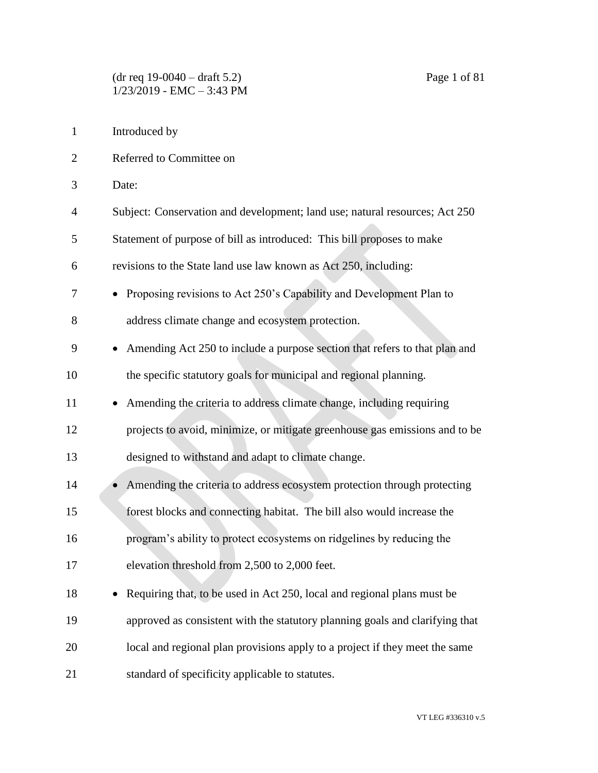- Introduced by
- Referred to Committee on
- Date:
- Subject: Conservation and development; land use; natural resources; Act 250
- Statement of purpose of bill as introduced: This bill proposes to make
- revisions to the State land use law known as Act 250, including:
- Proposing revisions to Act 250's Capability and Development Plan to address climate change and ecosystem protection.
- Amending Act 250 to include a purpose section that refers to that plan and the specific statutory goals for municipal and regional planning.
- 11 Amending the criteria to address climate change, including requiring projects to avoid, minimize, or mitigate greenhouse gas emissions and to be
- designed to withstand and adapt to climate change.
- 14 Amending the criteria to address ecosystem protection through protecting forest blocks and connecting habitat. The bill also would increase the program's ability to protect ecosystems on ridgelines by reducing the elevation threshold from 2,500 to 2,000 feet.
- 18 Requiring that, to be used in Act 250, local and regional plans must be approved as consistent with the statutory planning goals and clarifying that local and regional plan provisions apply to a project if they meet the same standard of specificity applicable to statutes.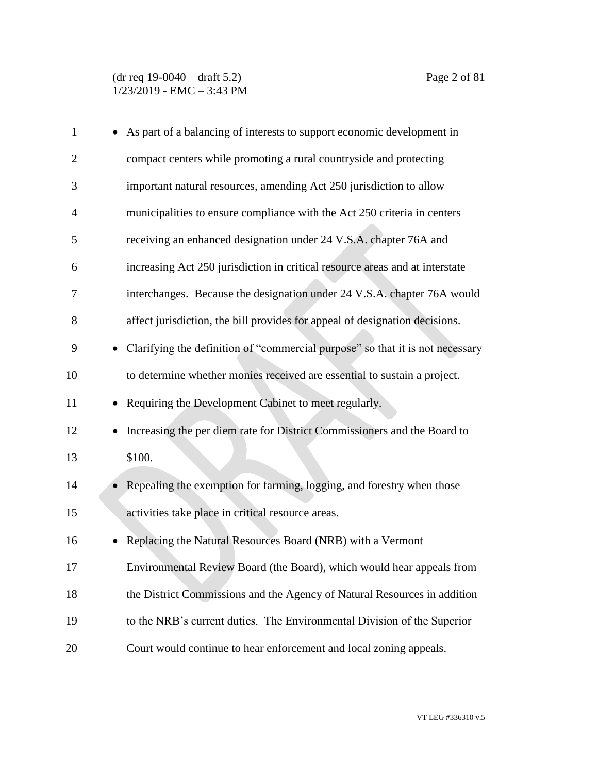| $\mathbf{1}$   | As part of a balancing of interests to support economic development in             |
|----------------|------------------------------------------------------------------------------------|
| $\overline{2}$ | compact centers while promoting a rural countryside and protecting                 |
| 3              | important natural resources, amending Act 250 jurisdiction to allow                |
| $\overline{4}$ | municipalities to ensure compliance with the Act 250 criteria in centers           |
| 5              | receiving an enhanced designation under 24 V.S.A. chapter 76A and                  |
| 6              | increasing Act 250 jurisdiction in critical resource areas and at interstate       |
| 7              | interchanges. Because the designation under 24 V.S.A. chapter 76A would            |
| 8              | affect jurisdiction, the bill provides for appeal of designation decisions.        |
| 9              | Clarifying the definition of "commercial purpose" so that it is not necessary      |
| 10             | to determine whether monies received are essential to sustain a project.           |
| 11             | Requiring the Development Cabinet to meet regularly.                               |
| 12             | Increasing the per diem rate for District Commissioners and the Board to           |
| 13             | \$100.                                                                             |
| 14             | Repealing the exemption for farming, logging, and forestry when those<br>$\bullet$ |
| 15             | activities take place in critical resource areas.                                  |
| 16             | Replacing the Natural Resources Board (NRB) with a Vermont                         |
| 17             | Environmental Review Board (the Board), which would hear appeals from              |
| 18             | the District Commissions and the Agency of Natural Resources in addition           |
| 19             | to the NRB's current duties. The Environmental Division of the Superior            |
| 20             | Court would continue to hear enforcement and local zoning appeals.                 |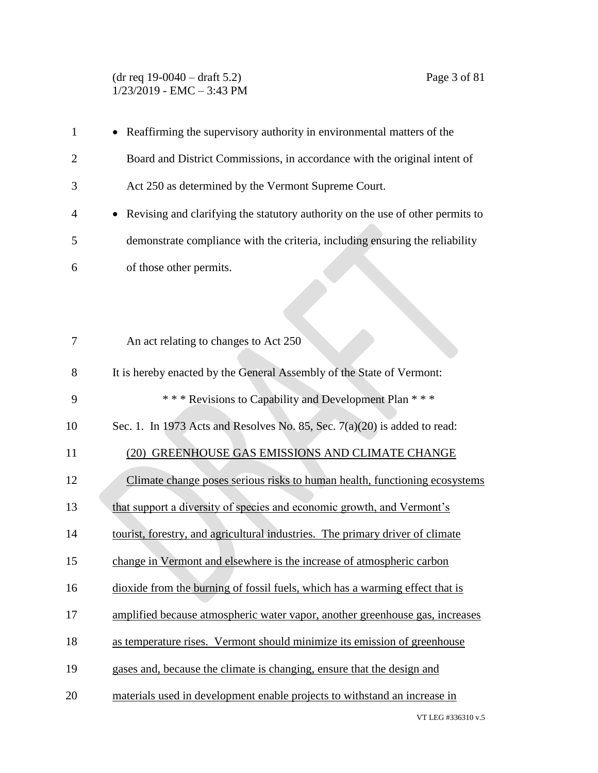#### (dr req 19-0040 – draft 5.2) Page 3 of 81 1/23/2019 - EMC – 3:43 PM

| $\mathbf{1}$   | • Reaffirming the supervisory authority in environmental matters of the                     |
|----------------|---------------------------------------------------------------------------------------------|
| $\overline{2}$ | Board and District Commissions, in accordance with the original intent of                   |
| 3              | Act 250 as determined by the Vermont Supreme Court.                                         |
| 4              | Revising and clarifying the statutory authority on the use of other permits to<br>$\bullet$ |
| 5              | demonstrate compliance with the criteria, including ensuring the reliability                |
| 6              | of those other permits.                                                                     |
|                |                                                                                             |
|                |                                                                                             |
| 7              | An act relating to changes to Act 250                                                       |
| 8              | It is hereby enacted by the General Assembly of the State of Vermont:                       |
| 9              | *** Revisions to Capability and Development Plan ***                                        |
| 10             | Sec. 1. In 1973 Acts and Resolves No. 85, Sec. 7(a)(20) is added to read:                   |
| 11             | (20) GREENHOUSE GAS EMISSIONS AND CLIMATE CHANGE                                            |
| 12             | Climate change poses serious risks to human health, functioning ecosystems                  |
| 13             | that support a diversity of species and economic growth, and Vermont's                      |
| 14             | tourist, forestry, and agricultural industries. The primary driver of climate               |
| 15             | change in Vermont and elsewhere is the increase of atmospheric carbon                       |
| 16             | dioxide from the burning of fossil fuels, which has a warming effect that is                |
| 17             | amplified because atmospheric water vapor, another greenhouse gas, increases                |
| 18             | as temperature rises. Vermont should minimize its emission of greenhouse                    |
| 19             | gases and, because the climate is changing, ensure that the design and                      |
| 20             | materials used in development enable projects to withstand an increase in                   |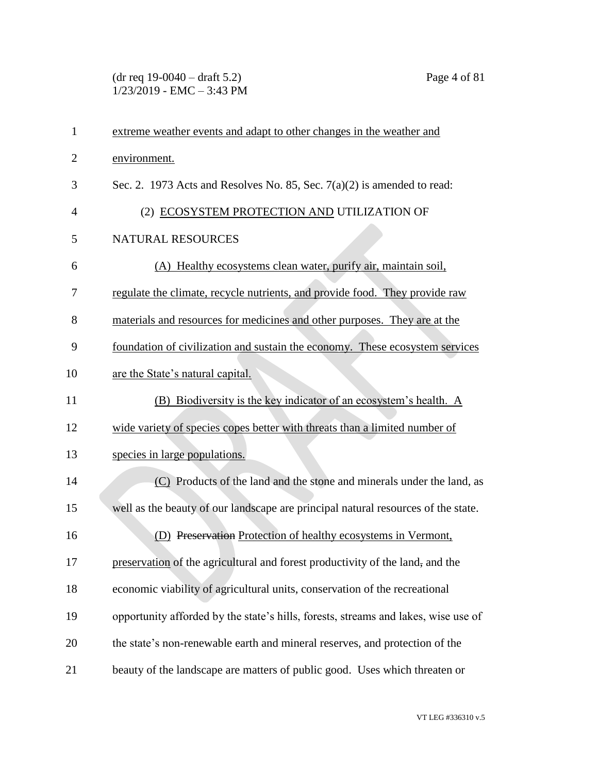(dr req 19-0040 – draft 5.2) Page 4 of 81  $1/23/2019$  - EMC – 3:43 PM

| $\mathbf{1}$ | extreme weather events and adapt to other changes in the weather and               |
|--------------|------------------------------------------------------------------------------------|
| 2            | environment.                                                                       |
| 3            | Sec. 2. 1973 Acts and Resolves No. 85, Sec. $7(a)(2)$ is amended to read:          |
| 4            | (2) ECOSYSTEM PROTECTION AND UTILIZATION OF                                        |
| 5            | <b>NATURAL RESOURCES</b>                                                           |
| 6            | (A) Healthy ecosystems clean water, purify air, maintain soil,                     |
| 7            | regulate the climate, recycle nutrients, and provide food. They provide raw        |
| 8            | materials and resources for medicines and other purposes. They are at the          |
| 9            | foundation of civilization and sustain the economy. These ecosystem services       |
| 10           | are the State's natural capital.                                                   |
| 11           | (B) Biodiversity is the key indicator of an ecosystem's health. A                  |
| 12           | wide variety of species copes better with threats than a limited number of         |
| 13           | species in large populations.                                                      |
| 14           | (C) Products of the land and the stone and minerals under the land, as             |
| 15           | well as the beauty of our landscape are principal natural resources of the state.  |
| 16           | (D) Preservation Protection of healthy ecosystems in Vermont,                      |
| 17           | preservation of the agricultural and forest productivity of the land, and the      |
| 18           | economic viability of agricultural units, conservation of the recreational         |
| 19           | opportunity afforded by the state's hills, forests, streams and lakes, wise use of |
| 20           | the state's non-renewable earth and mineral reserves, and protection of the        |
| 21           | beauty of the landscape are matters of public good. Uses which threaten or         |

VT LEG #336310 v.5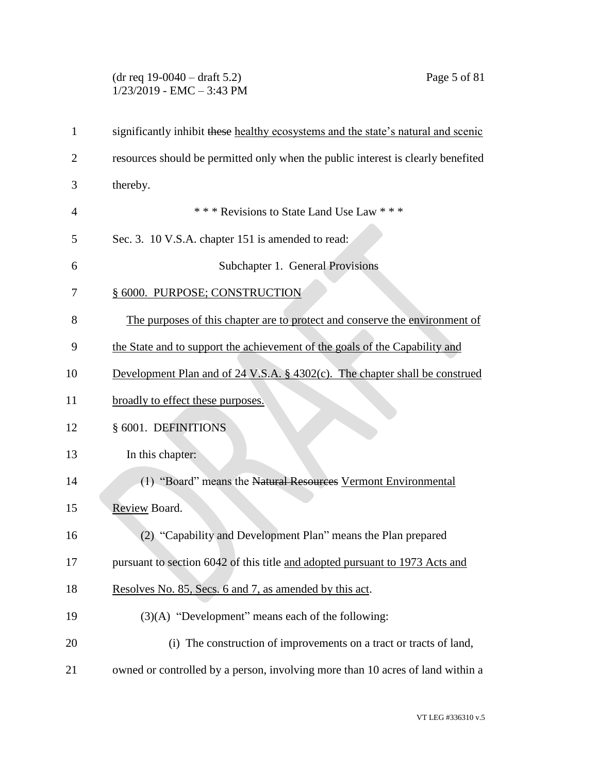# (dr req 19-0040 – draft 5.2) Page 5 of 81 1/23/2019 - EMC – 3:43 PM

| 1              | significantly inhibit these healthy ecosystems and the state's natural and scenic      |
|----------------|----------------------------------------------------------------------------------------|
| $\overline{2}$ | resources should be permitted only when the public interest is clearly benefited       |
| 3              | thereby.                                                                               |
| 4              | *** Revisions to State Land Use Law ***                                                |
| 5              | Sec. 3. 10 V.S.A. chapter 151 is amended to read:                                      |
| 6              | Subchapter 1. General Provisions                                                       |
| 7              | § 6000. PURPOSE; CONSTRUCTION                                                          |
| 8              | The purposes of this chapter are to protect and conserve the environment of            |
| 9              | the State and to support the achievement of the goals of the Capability and            |
| 10             | Development Plan and of $24 \text{ V.S.A. }$ § 4302(c). The chapter shall be construed |
| 11             | broadly to effect these purposes.                                                      |
| 12             | § 6001. DEFINITIONS                                                                    |
| 13             | In this chapter:                                                                       |
| 14             | (1) "Board" means the Natural Resources Vermont Environmental                          |
| 15             | Review Board.                                                                          |
| 16             | (2) "Capability and Development Plan" means the Plan prepared                          |
| 17             | pursuant to section 6042 of this title and adopted pursuant to 1973 Acts and           |
| 18             | Resolves No. 85, Secs. 6 and 7, as amended by this act.                                |
| 19             | $(3)(A)$ "Development" means each of the following:                                    |
| 20             | (i) The construction of improvements on a tract or tracts of land,                     |
| 21             | owned or controlled by a person, involving more than 10 acres of land within a         |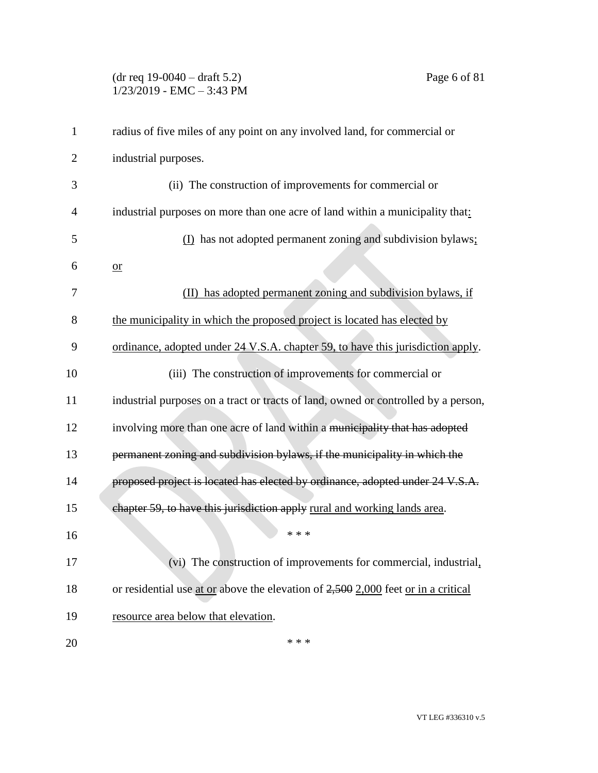# (dr req 19-0040 – draft 5.2) Page 6 of 81  $1/23/2019$  - EMC - 3:43 PM

| $\mathbf{1}$   | radius of five miles of any point on any involved land, for commercial or           |
|----------------|-------------------------------------------------------------------------------------|
| $\overline{2}$ | industrial purposes.                                                                |
| 3              | (ii) The construction of improvements for commercial or                             |
| $\overline{4}$ | industrial purposes on more than one acre of land within a municipality that:       |
| 5              | (I) has not adopted permanent zoning and subdivision bylaws;                        |
| 6              | $or$                                                                                |
| 7              | (II) has adopted permanent zoning and subdivision bylaws, if                        |
| 8              | the municipality in which the proposed project is located has elected by            |
| 9              | ordinance, adopted under 24 V.S.A. chapter 59, to have this jurisdiction apply.     |
| 10             | (iii) The construction of improvements for commercial or                            |
| 11             | industrial purposes on a tract or tracts of land, owned or controlled by a person,  |
| 12             | involving more than one acre of land within a municipality that has adopted         |
| 13             | permanent zoning and subdivision bylaws, if the municipality in which the           |
| 14             | proposed project is located has elected by ordinance, adopted under 24 V.S.A.       |
| 15             | chapter 59, to have this jurisdiction apply rural and working lands area.           |
| 16             | * * *                                                                               |
| 17             | (vi) The construction of improvements for commercial, industrial,                   |
| 18             | or residential use at or above the elevation of $2,500$ 2,000 feet or in a critical |
| 19             | resource area below that elevation.                                                 |
| 20             | * * *                                                                               |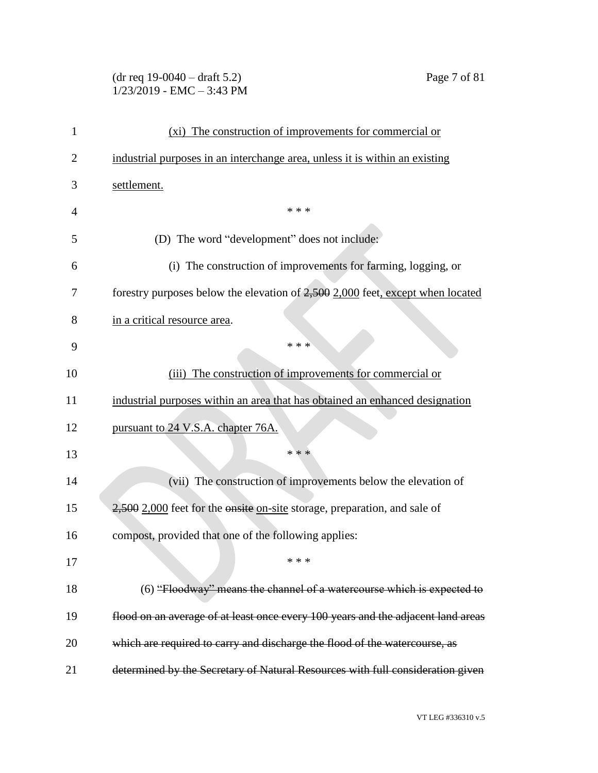# (dr req 19-0040 – draft 5.2) Page 7 of 81 1/23/2019 - EMC – 3:43 PM

| 1  | (xi) The construction of improvements for commercial or                          |
|----|----------------------------------------------------------------------------------|
| 2  | industrial purposes in an interchange area, unless it is within an existing      |
| 3  | settlement.                                                                      |
| 4  | * * *                                                                            |
| 5  | (D) The word "development" does not include:                                     |
| 6  | (i) The construction of improvements for farming, logging, or                    |
| 7  | forestry purposes below the elevation of 2,500 2,000 feet, except when located   |
| 8  | in a critical resource area.                                                     |
| 9  | * * *                                                                            |
| 10 | The construction of improvements for commercial or<br>(iii)                      |
| 11 | industrial purposes within an area that has obtained an enhanced designation     |
| 12 | pursuant to 24 V.S.A. chapter 76A.                                               |
| 13 | * * *                                                                            |
| 14 | (vii) The construction of improvements below the elevation of                    |
| 15 | 2,500 2,000 feet for the onsite on-site storage, preparation, and sale of        |
| 16 | compost, provided that one of the following applies:                             |
| 17 | * * *                                                                            |
| 18 | (6) "Floodway" means the channel of a watercourse which is expected to           |
| 19 | flood on an average of at least once every 100 years and the adjacent land areas |
| 20 | which are required to carry and discharge the flood of the watercourse, as       |
| 21 | determined by the Secretary of Natural Resources with full consideration given   |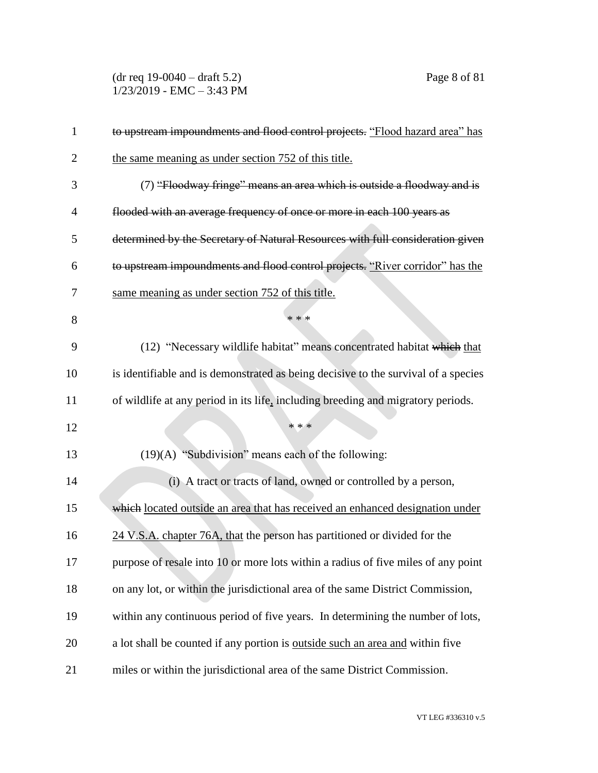(dr req 19-0040 – draft 5.2) Page 8 of 81 1/23/2019 - EMC – 3:43 PM

| $\mathbf{1}$   | to upstream impoundments and flood control projects. "Flood hazard area" has         |
|----------------|--------------------------------------------------------------------------------------|
| $\overline{2}$ | the same meaning as under section 752 of this title.                                 |
| 3              | (7) "Floodway fringe" means an area which is outside a floodway and is               |
| $\overline{4}$ | flooded with an average frequency of once or more in each 100 years as               |
| 5              | determined by the Secretary of Natural Resources with full consideration given       |
| 6              | to upstream impoundments and flood control projects. "River corridor" has the        |
| 7              | same meaning as under section 752 of this title.                                     |
| 8              | * * *                                                                                |
| 9              | (12) "Necessary wildlife habitat" means concentrated habitat which that              |
| 10             | is identifiable and is demonstrated as being decisive to the survival of a species   |
| 11             | of wildlife at any period in its life, including breeding and migratory periods.     |
| 12             | * * *                                                                                |
| 13             | $(19)(A)$ "Subdivision" means each of the following:                                 |
| 14             | (i) A tract or tracts of land, owned or controlled by a person,                      |
| 15             | which located outside an area that has received an enhanced designation under        |
| 16             | 24 V.S.A. chapter 76A, that the person has partitioned or divided for the            |
| 17             | purpose of resale into 10 or more lots within a radius of five miles of any point    |
| 18             | on any lot, or within the jurisdictional area of the same District Commission,       |
| 19             | within any continuous period of five years. In determining the number of lots,       |
| 20             | a lot shall be counted if any portion is <u>outside such an area and</u> within five |
| 21             | miles or within the jurisdictional area of the same District Commission.             |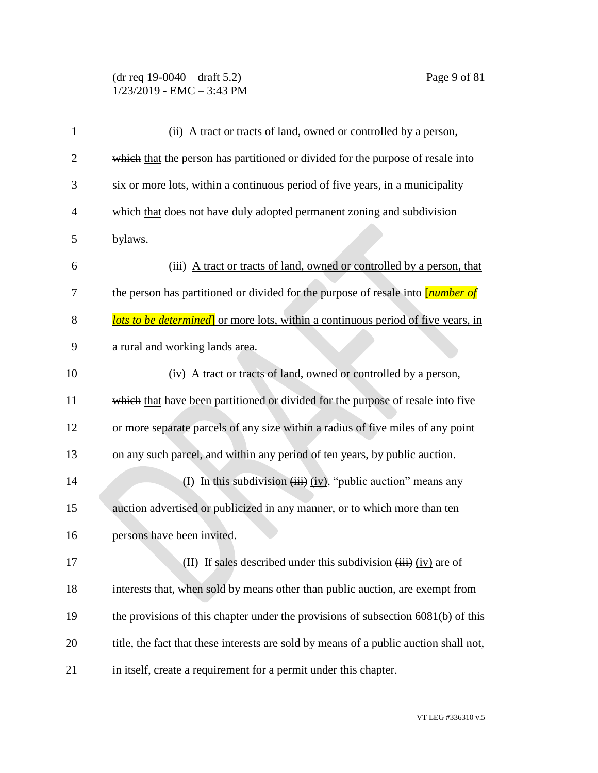### (dr req 19-0040 – draft 5.2) Page 9 of 81  $1/23/2019$  - EMC - 3:43 PM

| $\mathbf{1}$   | (ii) A tract or tracts of land, owned or controlled by a person,                         |
|----------------|------------------------------------------------------------------------------------------|
| $\overline{2}$ | which that the person has partitioned or divided for the purpose of resale into          |
| 3              | six or more lots, within a continuous period of five years, in a municipality            |
| $\overline{4}$ | which that does not have duly adopted permanent zoning and subdivision                   |
| 5              | bylaws.                                                                                  |
| 6              | (iii) A tract or tracts of land, owned or controlled by a person, that                   |
| 7              | the person has partitioned or divided for the purpose of resale into <i>[number of</i> ] |
| 8              | <b>lots to be determined</b> or more lots, within a continuous period of five years, in  |
| 9              | a rural and working lands area.                                                          |
| 10             | (iv) A tract or tracts of land, owned or controlled by a person,                         |
| 11             | which that have been partitioned or divided for the purpose of resale into five          |
| 12             | or more separate parcels of any size within a radius of five miles of any point          |
| 13             | on any such parcel, and within any period of ten years, by public auction.               |
| 14             | (I) In this subdivision $(iii)$ (iv), "public auction" means any                         |
| 15             | auction advertised or publicized in any manner, or to which more than ten                |
| 16             | persons have been invited.                                                               |
| 17             | (II) If sales described under this subdivision $(iii)$ (iv) are of                       |
| 18             | interests that, when sold by means other than public auction, are exempt from            |
| 19             | the provisions of this chapter under the provisions of subsection 6081(b) of this        |
| 20             | title, the fact that these interests are sold by means of a public auction shall not,    |
| 21             | in itself, create a requirement for a permit under this chapter.                         |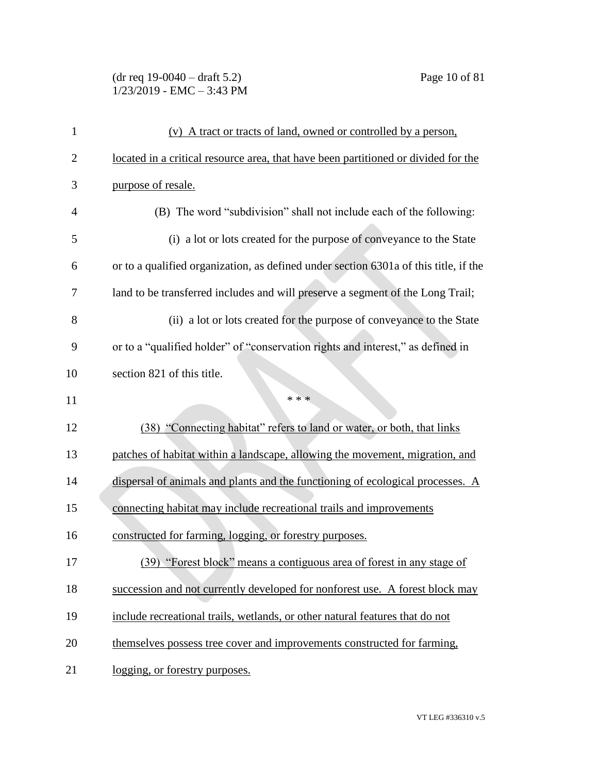#### (dr req 19-0040 – draft 5.2) Page 10 of 81 1/23/2019 - EMC – 3:43 PM

| $\mathbf{1}$   | (v) A tract or tracts of land, owned or controlled by a person,                      |
|----------------|--------------------------------------------------------------------------------------|
| $\overline{2}$ | located in a critical resource area, that have been partitioned or divided for the   |
| 3              | purpose of resale.                                                                   |
| $\overline{4}$ | (B) The word "subdivision" shall not include each of the following:                  |
| 5              | (i) a lot or lots created for the purpose of conveyance to the State                 |
| 6              | or to a qualified organization, as defined under section 6301a of this title, if the |
| 7              | land to be transferred includes and will preserve a segment of the Long Trail;       |
| 8              | (ii) a lot or lots created for the purpose of conveyance to the State                |
| 9              | or to a "qualified holder" of "conservation rights and interest," as defined in      |
| 10             | section 821 of this title.                                                           |
|                | * * *                                                                                |
| 11             |                                                                                      |
| 12             | (38) "Connecting habitat" refers to land or water, or both, that links               |
| 13             | patches of habitat within a landscape, allowing the movement, migration, and         |
| 14             | dispersal of animals and plants and the functioning of ecological processes. A       |
| 15             | connecting habitat may include recreational trails and improvements                  |
| 16             | constructed for farming, logging, or forestry purposes.                              |
| 17             | (39) "Forest block" means a contiguous area of forest in any stage of                |
| 18             | succession and not currently developed for nonforest use. A forest block may         |
| 19             | include recreational trails, wetlands, or other natural features that do not         |
| 20             | themselves possess tree cover and improvements constructed for farming,              |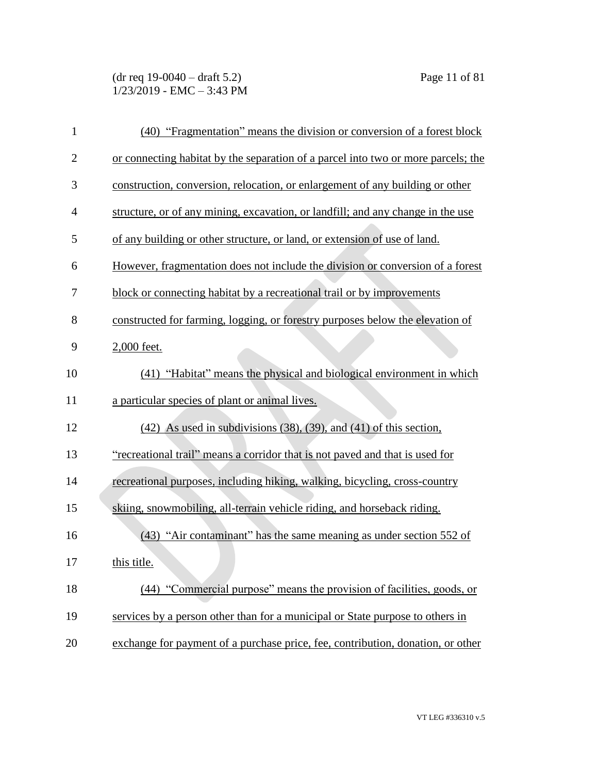| 1              | (40) "Fragmentation" means the division or conversion of a forest block           |
|----------------|-----------------------------------------------------------------------------------|
| $\mathbf{2}$   | or connecting habitat by the separation of a parcel into two or more parcels; the |
| 3              | construction, conversion, relocation, or enlargement of any building or other     |
| $\overline{4}$ | structure, or of any mining, excavation, or landfill; and any change in the use   |
| 5              | of any building or other structure, or land, or extension of use of land.         |
| 6              | However, fragmentation does not include the division or conversion of a forest    |
| 7              | block or connecting habitat by a recreational trail or by improvements            |
| 8              | constructed for farming, logging, or forestry purposes below the elevation of     |
| 9              | 2,000 feet.                                                                       |
| 10             | (41) "Habitat" means the physical and biological environment in which             |
| 11             | a particular species of plant or animal lives.                                    |
| 12             | $(42)$ As used in subdivisions $(38)$ , $(39)$ , and $(41)$ of this section,      |
| 13             | "recreational trail" means a corridor that is not paved and that is used for      |
| 14             | recreational purposes, including hiking, walking, bicycling, cross-country        |
| 15             | skiing, snowmobiling, all-terrain vehicle riding, and horseback riding.           |
| 16             | (43) "Air contaminant" has the same meaning as under section 552 of               |
| 17             | this title.                                                                       |
| 18             | "Commercial purpose" means the provision of facilities, goods, or<br>(44)         |
| 19             | services by a person other than for a municipal or State purpose to others in     |
| 20             | exchange for payment of a purchase price, fee, contribution, donation, or other   |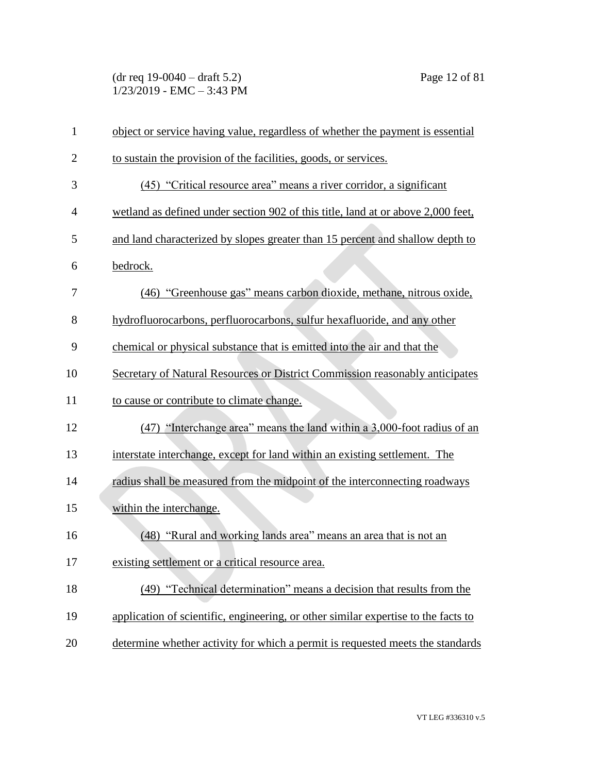(dr req 19-0040 – draft 5.2) Page 12 of 81 1/23/2019 - EMC – 3:43 PM

| $\mathbf{1}$   | object or service having value, regardless of whether the payment is essential     |
|----------------|------------------------------------------------------------------------------------|
| $\overline{2}$ | to sustain the provision of the facilities, goods, or services.                    |
| 3              | (45) "Critical resource area" means a river corridor, a significant                |
| $\overline{4}$ | wetland as defined under section 902 of this title, land at or above 2,000 feet,   |
| 5              | and land characterized by slopes greater than 15 percent and shallow depth to      |
| 6              | bedrock.                                                                           |
| 7              | (46) "Greenhouse gas" means carbon dioxide, methane, nitrous oxide,                |
| 8              | hydrofluorocarbons, perfluorocarbons, sulfur hexafluoride, and any other           |
| 9              | chemical or physical substance that is emitted into the air and that the           |
| 10             | Secretary of Natural Resources or District Commission reasonably anticipates       |
| 11             | to cause or contribute to climate change.                                          |
| 12             | (47) "Interchange area" means the land within a 3,000-foot radius of an            |
| 13             | interstate interchange, except for land within an existing settlement. The         |
| 14             | radius shall be measured from the midpoint of the interconnecting roadways         |
| 15             | within the interchange.                                                            |
| 16             | (48) "Rural and working lands area" means an area that is not an                   |
| 17             | existing settlement or a critical resource area.                                   |
| 18             | (49) "Technical determination" means a decision that results from the              |
| 19             | application of scientific, engineering, or other similar expertise to the facts to |
| 20             | determine whether activity for which a permit is requested meets the standards     |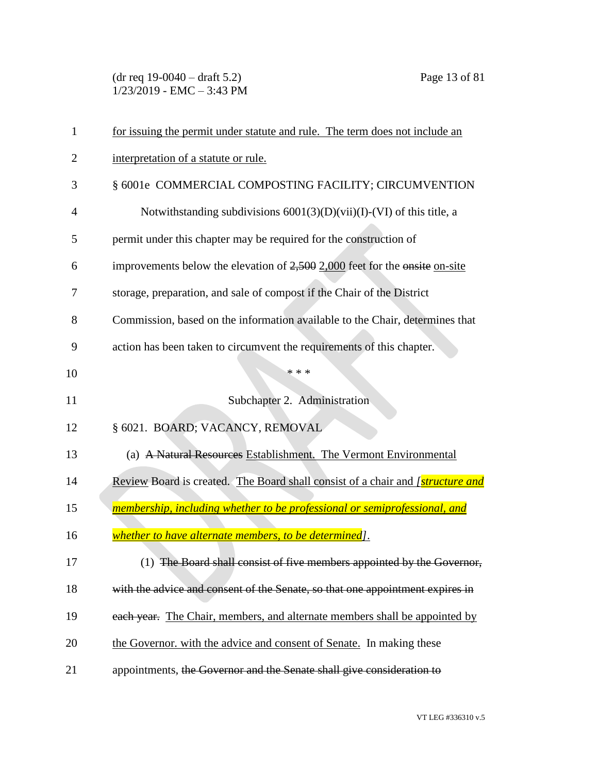(dr req 19-0040 – draft 5.2) Page 13 of 81  $1/23/2019$  - EMC - 3:43 PM

| 1              | for issuing the permit under statute and rule. The term does not include an           |
|----------------|---------------------------------------------------------------------------------------|
| $\overline{2}$ | interpretation of a statute or rule.                                                  |
| 3              | § 6001e COMMERCIAL COMPOSTING FACILITY; CIRCUMVENTION                                 |
| 4              | Notwithstanding subdivisions $6001(3)(D)(\n$ i)(I)-(VI) of this title, a              |
| 5              | permit under this chapter may be required for the construction of                     |
| 6              | improvements below the elevation of $2,500$ 2,000 feet for the onsite on-site         |
| 7              | storage, preparation, and sale of compost if the Chair of the District                |
| 8              | Commission, based on the information available to the Chair, determines that          |
| 9              | action has been taken to circumvent the requirements of this chapter.                 |
| 10             | * * *                                                                                 |
| 11             | Subchapter 2. Administration                                                          |
| 12             | § 6021. BOARD; VACANCY, REMOVAL                                                       |
| 13             | (a) A Natural Resources Establishment. The Vermont Environmental                      |
| 14             | Review Board is created. The Board shall consist of a chair and <i>[structure and</i> |
| 15             | membership, including whether to be professional or semiprofessional, and             |
| 16             | whether to have alternate members, to be determined].                                 |
| 17             | (1) The Board shall consist of five members appointed by the Governor,                |
| 18             | with the advice and consent of the Senate, so that one appointment expires in         |
| 19             | each year. The Chair, members, and alternate members shall be appointed by            |
| 20             | the Governor, with the advice and consent of Senate. In making these                  |
| 21             | appointments, the Governor and the Senate shall give consideration to                 |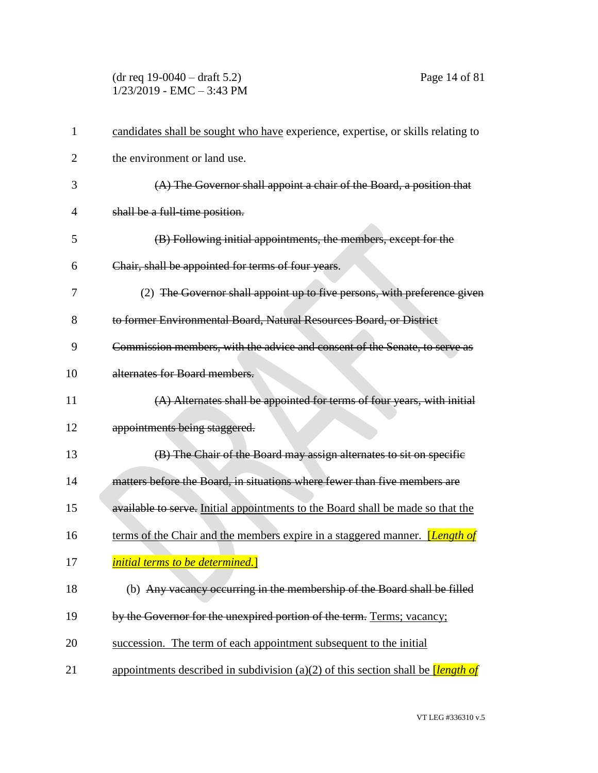(dr req 19-0040 – draft 5.2) Page 14 of 81  $1/23/2019$  - EMC - 3:43 PM

| 1  | candidates shall be sought who have experience, expertise, or skills relating to       |
|----|----------------------------------------------------------------------------------------|
| 2  | the environment or land use.                                                           |
| 3  | (A) The Governor shall appoint a chair of the Board, a position that                   |
| 4  | shall be a full-time position.                                                         |
| 5  | (B) Following initial appointments, the members, except for the                        |
| 6  | Chair, shall be appointed for terms of four years.                                     |
| 7  | (2) The Governor shall appoint up to five persons, with preference given               |
| 8  | to former Environmental Board, Natural Resources Board, or District                    |
| 9  | Commission members, with the advice and consent of the Senate, to serve as             |
| 10 | alternates for Board members.                                                          |
| 11 | (A) Alternates shall be appointed for terms of four years, with initial                |
| 12 | appointments being staggered.                                                          |
| 13 | (B) The Chair of the Board may assign alternates to sit on specific                    |
| 14 | matters before the Board, in situations where fewer than five members are              |
| 15 | available to serve. Initial appointments to the Board shall be made so that the        |
| 16 | terms of the Chair and the members expire in a staggered manner. <i>[Length of</i> ]   |
| 17 | <i>initial terms to be determined.</i>                                                 |
| 18 | (b) Any vacancy occurring in the membership of the Board shall be filled               |
| 19 | by the Governor for the unexpired portion of the term. Terms; vacancy;                 |
| 20 | succession. The term of each appointment subsequent to the initial                     |
| 21 | appointments described in subdivision (a)(2) of this section shall be <i>length of</i> |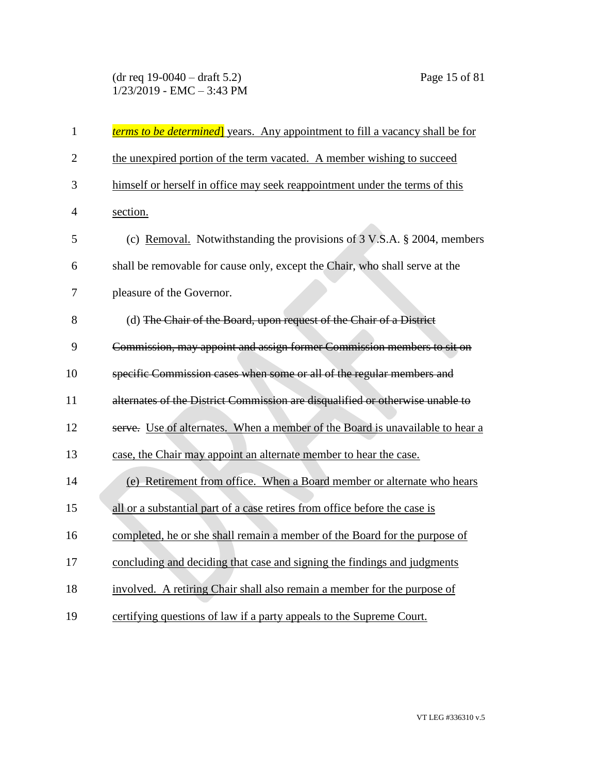# (dr req 19-0040 – draft 5.2) Page 15 of 81  $1/23/2019$  - EMC - 3:43 PM

| $\mathbf{1}$   | <i>terms to be determined</i> years. Any appointment to fill a vacancy shall be for |
|----------------|-------------------------------------------------------------------------------------|
| $\overline{2}$ | the unexpired portion of the term vacated. A member wishing to succeed              |
| 3              | himself or herself in office may seek reappointment under the terms of this         |
| $\overline{4}$ | section.                                                                            |
| 5              | (c) Removal. Notwithstanding the provisions of 3 V.S.A. § 2004, members             |
| 6              | shall be removable for cause only, except the Chair, who shall serve at the         |
| 7              | pleasure of the Governor.                                                           |
| 8              | (d) The Chair of the Board, upon request of the Chair of a District                 |
| 9              | Commission, may appoint and assign former Commission members to sit on              |
| 10             | specific Commission cases when some or all of the regular members and               |
| 11             | alternates of the District Commission are disqualified or otherwise unable to       |
| 12             | serve. Use of alternates. When a member of the Board is unavailable to hear a       |
| 13             | case, the Chair may appoint an alternate member to hear the case.                   |
| 14             | (e) Retirement from office. When a Board member or alternate who hears              |
| 15             | all or a substantial part of a case retires from office before the case is          |
| 16             | completed, he or she shall remain a member of the Board for the purpose of          |
| 17             | concluding and deciding that case and signing the findings and judgments            |
| 18             | involved. A retiring Chair shall also remain a member for the purpose of            |
| 19             | certifying questions of law if a party appeals to the Supreme Court.                |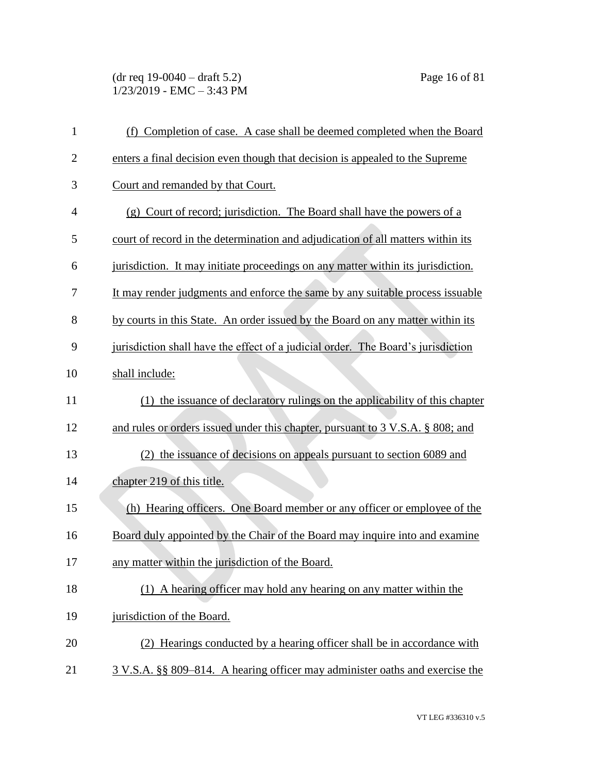(dr req 19-0040 – draft 5.2) Page 16 of 81  $1/23/2019$  - EMC - 3:43 PM

| $\mathbf{1}$   | (f) Completion of case. A case shall be deemed completed when the Board          |
|----------------|----------------------------------------------------------------------------------|
| $\mathbf{2}$   | enters a final decision even though that decision is appealed to the Supreme     |
| 3              | Court and remanded by that Court.                                                |
| $\overline{4}$ | (g) Court of record; jurisdiction. The Board shall have the powers of a          |
| 5              | court of record in the determination and adjudication of all matters within its  |
| 6              | jurisdiction. It may initiate proceedings on any matter within its jurisdiction. |
| 7              | It may render judgments and enforce the same by any suitable process issuable    |
| 8              | by courts in this State. An order issued by the Board on any matter within its   |
| 9              | jurisdiction shall have the effect of a judicial order. The Board's jurisdiction |
| 10             | shall include:                                                                   |
| 11             | (1) the issuance of declaratory rulings on the applicability of this chapter     |
| 12             | and rules or orders issued under this chapter, pursuant to 3 V.S.A. § 808; and   |
| 13             | (2) the issuance of decisions on appeals pursuant to section 6089 and            |
| 14             | chapter 219 of this title.                                                       |
| 15             | (h) Hearing officers. One Board member or any officer or employee of the         |
| 16             | Board duly appointed by the Chair of the Board may inquire into and examine      |
| 17             | any matter within the jurisdiction of the Board.                                 |
| 18             | (1) A hearing officer may hold any hearing on any matter within the              |
| 19             | jurisdiction of the Board.                                                       |
| 20             | (2) Hearings conducted by a hearing officer shall be in accordance with          |
| 21             | 3 V.S.A. §§ 809–814. A hearing officer may administer oaths and exercise the     |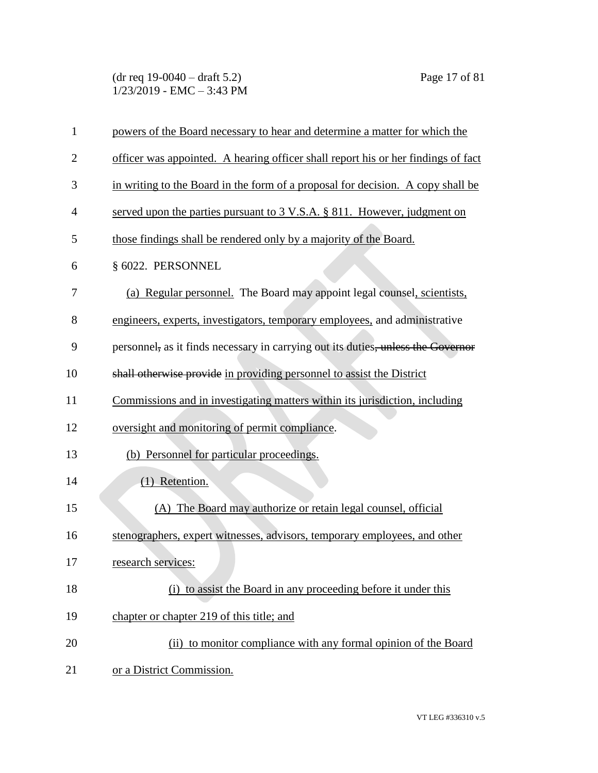(dr req 19-0040 – draft 5.2) Page 17 of 81 1/23/2019 - EMC – 3:43 PM

| $\mathbf{1}$   | powers of the Board necessary to hear and determine a matter for which the             |
|----------------|----------------------------------------------------------------------------------------|
| $\overline{2}$ | officer was appointed. A hearing officer shall report his or her findings of fact      |
| 3              | in writing to the Board in the form of a proposal for decision. A copy shall be        |
| 4              | served upon the parties pursuant to $3 \text{ V.S.A.}$ $\S 811$ . However, judgment on |
| 5              | those findings shall be rendered only by a majority of the Board.                      |
| 6              | § 6022. PERSONNEL                                                                      |
| 7              | (a) Regular personnel. The Board may appoint legal counsel, scientists,                |
| 8              | engineers, experts, investigators, temporary employees, and administrative             |
| 9              | personnel, as it finds necessary in carrying out its duties, unless the Governor       |
| 10             | shall otherwise provide in providing personnel to assist the District                  |
| 11             | Commissions and in investigating matters within its jurisdiction, including            |
| 12             | oversight and monitoring of permit compliance.                                         |
| 13             | (b) Personnel for particular proceedings.                                              |
| 14             | (1) Retention.                                                                         |
| 15             | (A) The Board may authorize or retain legal counsel, official                          |
| 16             | stenographers, expert witnesses, advisors, temporary employees, and other              |
| 17             | research services:                                                                     |
| 18             | (i) to assist the Board in any proceeding before it under this                         |
| 19             | chapter or chapter 219 of this title; and                                              |
| 20             | (ii) to monitor compliance with any formal opinion of the Board                        |
| 21             | or a District Commission.                                                              |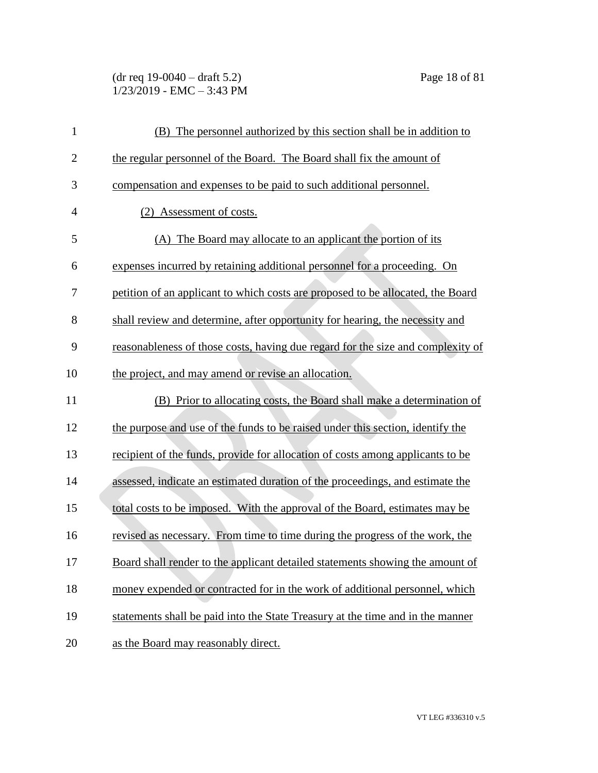(dr req 19-0040 – draft 5.2) Page 18 of 81  $1/23/2019$  - EMC - 3:43 PM

| $\mathbf{1}$   | (B) The personnel authorized by this section shall be in addition to            |
|----------------|---------------------------------------------------------------------------------|
| $\overline{c}$ | the regular personnel of the Board. The Board shall fix the amount of           |
| 3              | compensation and expenses to be paid to such additional personnel.              |
| $\overline{4}$ | (2) Assessment of costs.                                                        |
| 5              | The Board may allocate to an applicant the portion of its<br>(A)                |
| 6              | expenses incurred by retaining additional personnel for a proceeding. On        |
| 7              | petition of an applicant to which costs are proposed to be allocated, the Board |
| 8              | shall review and determine, after opportunity for hearing, the necessity and    |
| 9              | reasonableness of those costs, having due regard for the size and complexity of |
| 10             | the project, and may amend or revise an allocation.                             |
| 11             | (B) Prior to allocating costs, the Board shall make a determination of          |
| 12             | the purpose and use of the funds to be raised under this section, identify the  |
| 13             | recipient of the funds, provide for allocation of costs among applicants to be  |
| 14             | assessed, indicate an estimated duration of the proceedings, and estimate the   |
| 15             | total costs to be imposed. With the approval of the Board, estimates may be     |
| 16             | revised as necessary. From time to time during the progress of the work, the    |
| 17             | Board shall render to the applicant detailed statements showing the amount of   |
| 18             | money expended or contracted for in the work of additional personnel, which     |
| 19             | statements shall be paid into the State Treasury at the time and in the manner  |
| 20             | as the Board may reasonably direct.                                             |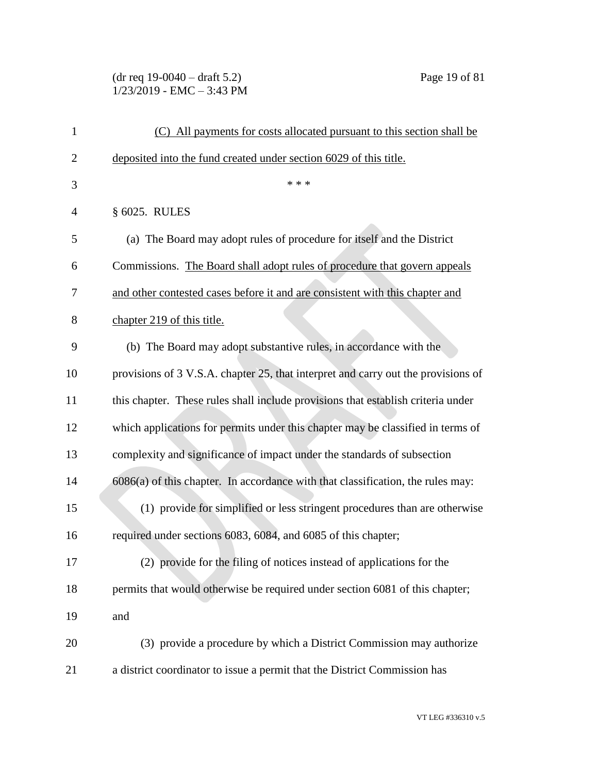# (dr req 19-0040 – draft 5.2) Page 19 of 81 1/23/2019 - EMC – 3:43 PM

| 1              | (C) All payments for costs allocated pursuant to this section shall be            |
|----------------|-----------------------------------------------------------------------------------|
| $\overline{2}$ | deposited into the fund created under section 6029 of this title.                 |
| 3              | * * *                                                                             |
| 4              | § 6025. RULES                                                                     |
| 5              | (a) The Board may adopt rules of procedure for itself and the District            |
| 6              | Commissions. The Board shall adopt rules of procedure that govern appeals         |
| 7              | and other contested cases before it and are consistent with this chapter and      |
| 8              | chapter 219 of this title.                                                        |
| 9              | (b) The Board may adopt substantive rules, in accordance with the                 |
| 10             | provisions of 3 V.S.A. chapter 25, that interpret and carry out the provisions of |
| 11             | this chapter. These rules shall include provisions that establish criteria under  |
| 12             | which applications for permits under this chapter may be classified in terms of   |
| 13             | complexity and significance of impact under the standards of subsection           |
| 14             | $6086(a)$ of this chapter. In accordance with that classification, the rules may: |
| 15             | (1) provide for simplified or less stringent procedures than are otherwise        |
| 16             | required under sections 6083, 6084, and 6085 of this chapter;                     |
| 17             | (2) provide for the filing of notices instead of applications for the             |
| 18             | permits that would otherwise be required under section 6081 of this chapter;      |
| 19             | and                                                                               |
| 20             | (3) provide a procedure by which a District Commission may authorize              |
| 21             | a district coordinator to issue a permit that the District Commission has         |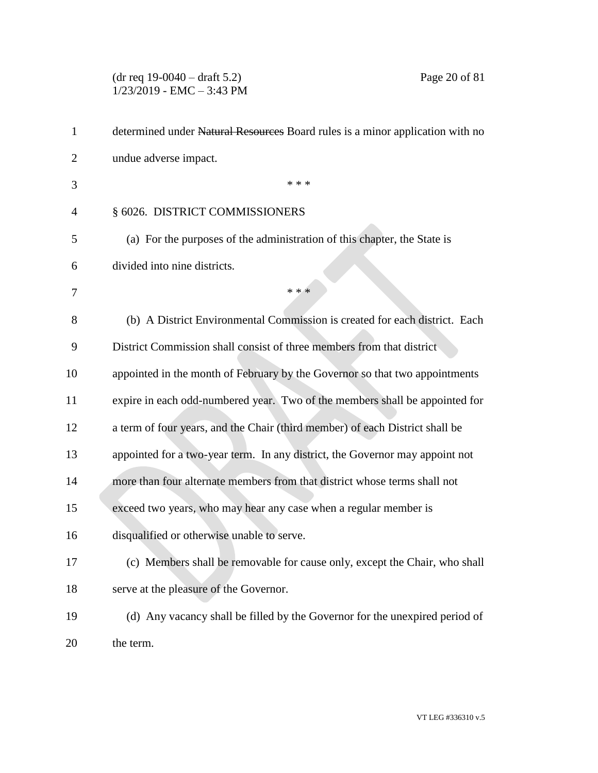# (dr req 19-0040 – draft 5.2) Page 20 of 81 1/23/2019 - EMC – 3:43 PM

| 1              | determined under Natural Resources Board rules is a minor application with no |
|----------------|-------------------------------------------------------------------------------|
| 2              | undue adverse impact.                                                         |
| 3              | * * *                                                                         |
| $\overline{4}$ | § 6026. DISTRICT COMMISSIONERS                                                |
| 5              | (a) For the purposes of the administration of this chapter, the State is      |
| 6              | divided into nine districts.                                                  |
| 7              | * * *                                                                         |
| 8              | (b) A District Environmental Commission is created for each district. Each    |
| 9              | District Commission shall consist of three members from that district         |
| 10             | appointed in the month of February by the Governor so that two appointments   |
| 11             | expire in each odd-numbered year. Two of the members shall be appointed for   |
| 12             | a term of four years, and the Chair (third member) of each District shall be  |
| 13             | appointed for a two-year term. In any district, the Governor may appoint not  |
| 14             | more than four alternate members from that district whose terms shall not     |
| 15             | exceed two years, who may hear any case when a regular member is              |
| 16             | disqualified or otherwise unable to serve.                                    |
| 17             | (c) Members shall be removable for cause only, except the Chair, who shall    |
| 18             | serve at the pleasure of the Governor.                                        |
| 19             | (d) Any vacancy shall be filled by the Governor for the unexpired period of   |
| 20             | the term.                                                                     |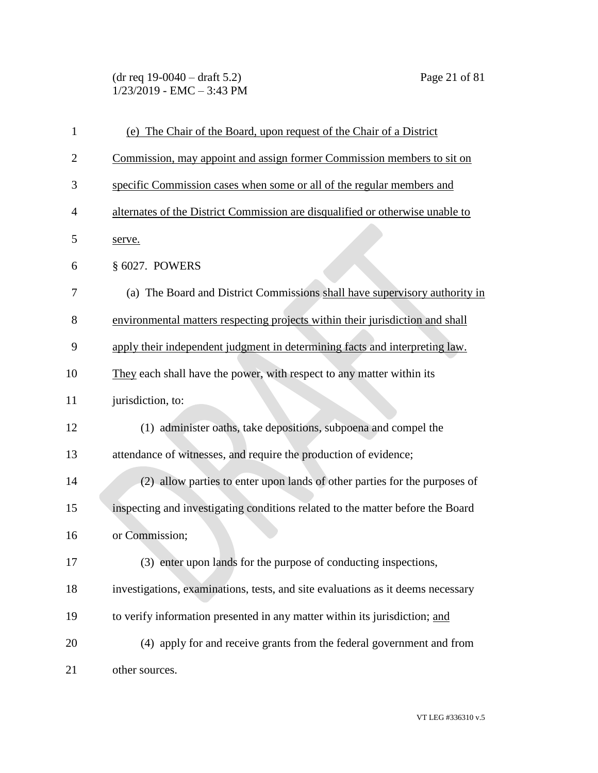(dr req 19-0040 – draft 5.2) Page 21 of 81  $1/23/2019$  - EMC - 3:43 PM

| $\mathbf{1}$   | (e) The Chair of the Board, upon request of the Chair of a District             |
|----------------|---------------------------------------------------------------------------------|
| $\overline{2}$ | Commission, may appoint and assign former Commission members to sit on          |
| 3              | specific Commission cases when some or all of the regular members and           |
| 4              | alternates of the District Commission are disqualified or otherwise unable to   |
| 5              | serve.                                                                          |
| 6              | § 6027. POWERS                                                                  |
| 7              | (a) The Board and District Commissions shall have supervisory authority in      |
| 8              | environmental matters respecting projects within their jurisdiction and shall   |
| 9              | apply their independent judgment in determining facts and interpreting law.     |
| 10             | They each shall have the power, with respect to any matter within its           |
| 11             | jurisdiction, to:                                                               |
| 12             | (1) administer oaths, take depositions, subpoena and compel the                 |
| 13             | attendance of witnesses, and require the production of evidence;                |
| 14             | (2) allow parties to enter upon lands of other parties for the purposes of      |
| 15             | inspecting and investigating conditions related to the matter before the Board  |
| 16             | or Commission;                                                                  |
| 17             | (3) enter upon lands for the purpose of conducting inspections,                 |
| 18             | investigations, examinations, tests, and site evaluations as it deems necessary |
| 19             | to verify information presented in any matter within its jurisdiction; and      |
| 20             | (4) apply for and receive grants from the federal government and from           |
| 21             | other sources.                                                                  |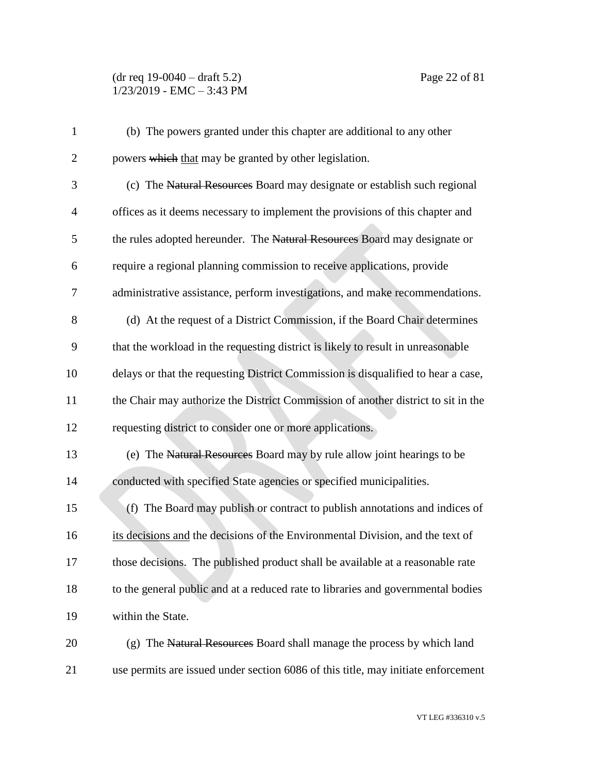## (dr req 19-0040 – draft 5.2) Page 22 of 81 1/23/2019 - EMC – 3:43 PM

| $\mathbf{1}$   | (b) The powers granted under this chapter are additional to any other             |
|----------------|-----------------------------------------------------------------------------------|
| $\mathbf{2}$   | powers which that may be granted by other legislation.                            |
| 3              | (c) The Natural Resources Board may designate or establish such regional          |
| $\overline{4}$ | offices as it deems necessary to implement the provisions of this chapter and     |
| 5              | the rules adopted hereunder. The Natural Resources Board may designate or         |
| 6              | require a regional planning commission to receive applications, provide           |
| 7              | administrative assistance, perform investigations, and make recommendations.      |
| 8              | (d) At the request of a District Commission, if the Board Chair determines        |
| 9              | that the workload in the requesting district is likely to result in unreasonable  |
| 10             | delays or that the requesting District Commission is disqualified to hear a case, |
| 11             | the Chair may authorize the District Commission of another district to sit in the |
| 12             | requesting district to consider one or more applications.                         |
| 13             | (e) The Natural Resources Board may by rule allow joint hearings to be            |
| 14             | conducted with specified State agencies or specified municipalities.              |
| 15             | (f) The Board may publish or contract to publish annotations and indices of       |
| 16             | its decisions and the decisions of the Environmental Division, and the text of    |
| 17             | those decisions. The published product shall be available at a reasonable rate    |
| 18             | to the general public and at a reduced rate to libraries and governmental bodies  |
| 19             | within the State.                                                                 |
| 20             | (g) The Natural Resources Board shall manage the process by which land            |
| 21             | use permits are issued under section 6086 of this title, may initiate enforcement |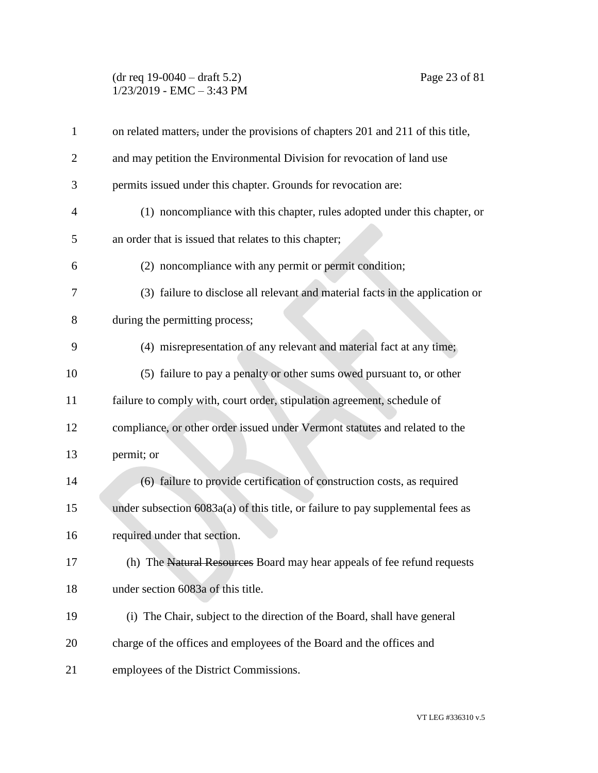### (dr req 19-0040 – draft 5.2) Page 23 of 81 1/23/2019 - EMC – 3:43 PM

| $\mathbf{1}$   | on related matters, under the provisions of chapters 201 and 211 of this title, |
|----------------|---------------------------------------------------------------------------------|
| $\overline{2}$ | and may petition the Environmental Division for revocation of land use          |
| 3              | permits issued under this chapter. Grounds for revocation are:                  |
| 4              | (1) noncompliance with this chapter, rules adopted under this chapter, or       |
| 5              | an order that is issued that relates to this chapter;                           |
| 6              | (2) noncompliance with any permit or permit condition;                          |
| 7              | (3) failure to disclose all relevant and material facts in the application or   |
| 8              | during the permitting process;                                                  |
| 9              | (4) misrepresentation of any relevant and material fact at any time;            |
| 10             | (5) failure to pay a penalty or other sums owed pursuant to, or other           |
| 11             | failure to comply with, court order, stipulation agreement, schedule of         |
| 12             | compliance, or other order issued under Vermont statutes and related to the     |
| 13             | permit; or                                                                      |
| 14             | (6) failure to provide certification of construction costs, as required         |
| 15             | under subsection 6083a(a) of this title, or failure to pay supplemental fees as |
| 16             | required under that section.                                                    |
| 17             | (h) The Natural Resources Board may hear appeals of fee refund requests         |
| 18             | under section 6083a of this title.                                              |
| 19             | (i) The Chair, subject to the direction of the Board, shall have general        |
| 20             | charge of the offices and employees of the Board and the offices and            |
| 21             | employees of the District Commissions.                                          |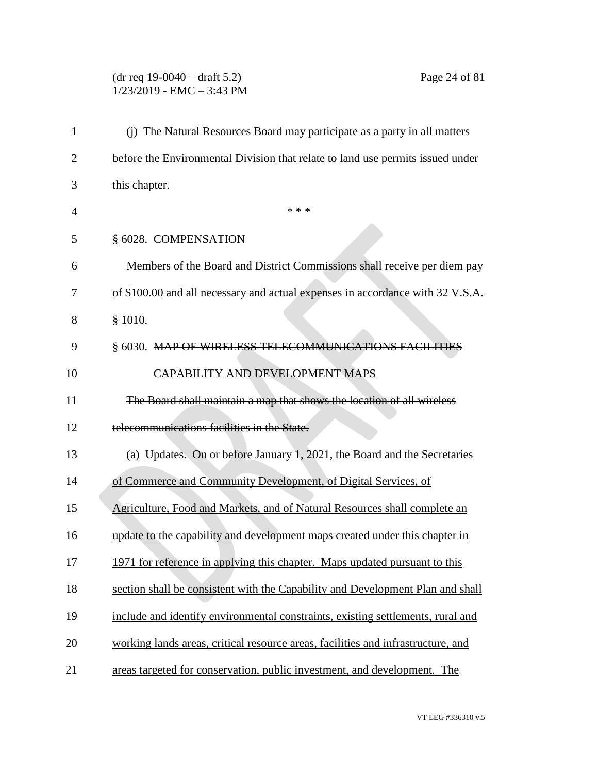# (dr req 19-0040 – draft 5.2) Page 24 of 81 1/23/2019 - EMC – 3:43 PM

| $\mathbf{1}$   | (j) The Natural Resources Board may participate as a party in all matters        |
|----------------|----------------------------------------------------------------------------------|
| $\overline{2}$ | before the Environmental Division that relate to land use permits issued under   |
| 3              | this chapter.                                                                    |
| 4              | * * *                                                                            |
| 5              | § 6028. COMPENSATION                                                             |
| 6              | Members of the Board and District Commissions shall receive per diem pay         |
| 7              | of \$100.00 and all necessary and actual expenses in accordance with 32 V.S.A.   |
| 8              | \$1010.                                                                          |
| 9              | § 6030. MAP OF WIRELESS TELECOMMUNICATIONS FACILITIES                            |
| 10             | CAPABILITY AND DEVELOPMENT MAPS                                                  |
| 11             | The Board shall maintain a map that shows the location of all wireless           |
| 12             | telecommunications facilities in the State.                                      |
| 13             | (a) Updates. On or before January 1, 2021, the Board and the Secretaries         |
| 14             | of Commerce and Community Development, of Digital Services, of                   |
| 15             | Agriculture, Food and Markets, and of Natural Resources shall complete an        |
| 16             | update to the capability and development maps created under this chapter in      |
| 17             | 1971 for reference in applying this chapter. Maps updated pursuant to this       |
| 18             | section shall be consistent with the Capability and Development Plan and shall   |
| 19             | include and identify environmental constraints, existing settlements, rural and  |
| 20             | working lands areas, critical resource areas, facilities and infrastructure, and |
| 21             | areas targeted for conservation, public investment, and development. The         |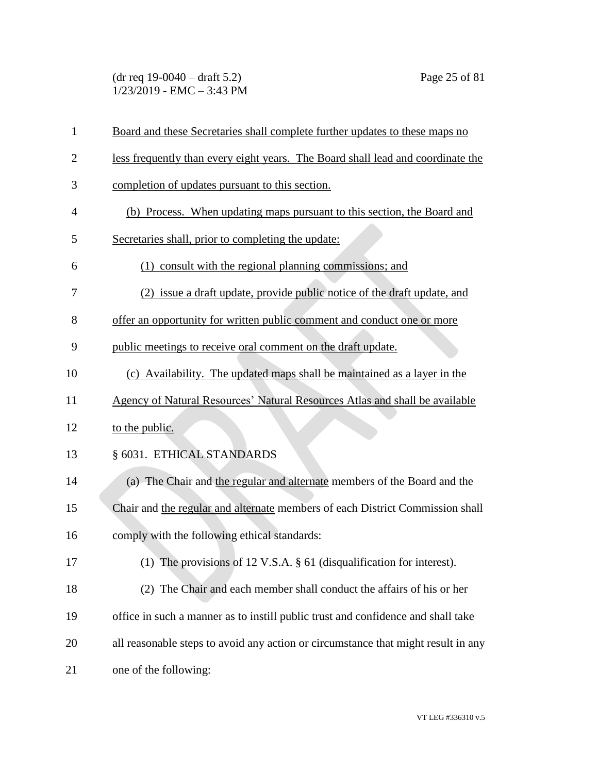(dr req 19-0040 – draft 5.2) Page 25 of 81 1/23/2019 - EMC – 3:43 PM

| $\mathbf{1}$   | Board and these Secretaries shall complete further updates to these maps no       |
|----------------|-----------------------------------------------------------------------------------|
| $\overline{2}$ | less frequently than every eight years. The Board shall lead and coordinate the   |
| 3              | completion of updates pursuant to this section.                                   |
| $\overline{4}$ | (b) Process. When updating maps pursuant to this section, the Board and           |
| 5              | Secretaries shall, prior to completing the update:                                |
| 6              | (1) consult with the regional planning commissions; and                           |
| 7              | (2) issue a draft update, provide public notice of the draft update, and          |
| 8              | offer an opportunity for written public comment and conduct one or more           |
| 9              | public meetings to receive oral comment on the draft update.                      |
| 10             | (c) Availability. The updated maps shall be maintained as a layer in the          |
| 11             | Agency of Natural Resources' Natural Resources Atlas and shall be available       |
| 12             | to the public.                                                                    |
| 13             | § 6031. ETHICAL STANDARDS                                                         |
| 14             | (a) The Chair and the regular and alternate members of the Board and the          |
| 15             | Chair and the regular and alternate members of each District Commission shall     |
| 16             | comply with the following ethical standards:                                      |
| 17             | (1) The provisions of 12 V.S.A. $\S$ 61 (disqualification for interest).          |
| 18             | (2) The Chair and each member shall conduct the affairs of his or her             |
| 19             | office in such a manner as to instill public trust and confidence and shall take  |
| 20             | all reasonable steps to avoid any action or circumstance that might result in any |
| 21             | one of the following:                                                             |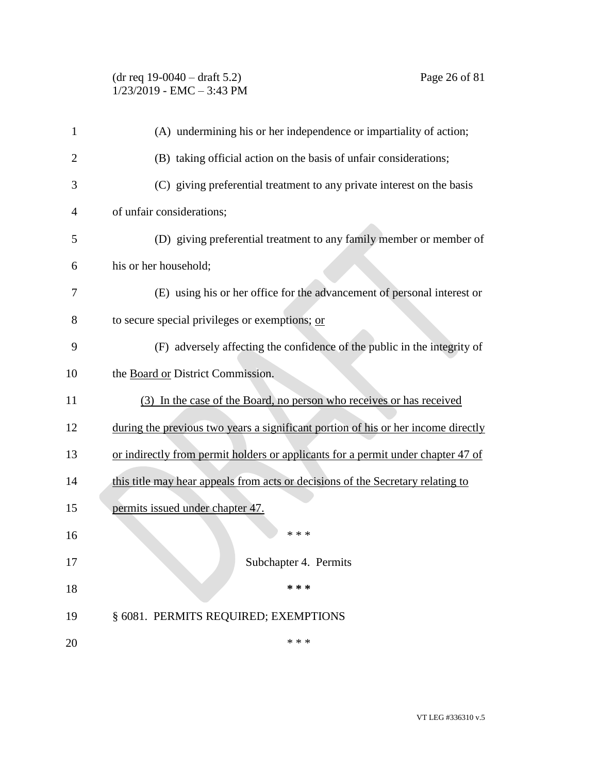# (dr req 19-0040 – draft 5.2) Page 26 of 81 1/23/2019 - EMC – 3:43 PM

| 1              | (A) undermining his or her independence or impartiality of action;                |
|----------------|-----------------------------------------------------------------------------------|
| $\overline{c}$ | (B) taking official action on the basis of unfair considerations;                 |
| 3              | (C) giving preferential treatment to any private interest on the basis            |
| 4              | of unfair considerations;                                                         |
| 5              | (D) giving preferential treatment to any family member or member of               |
| 6              | his or her household;                                                             |
| 7              | (E) using his or her office for the advancement of personal interest or           |
| 8              | to secure special privileges or exemptions; or                                    |
| 9              | (F) adversely affecting the confidence of the public in the integrity of          |
| 10             | the Board or District Commission.                                                 |
| 11             | (3) In the case of the Board, no person who receives or has received              |
| 12             | during the previous two years a significant portion of his or her income directly |
| 13             | or indirectly from permit holders or applicants for a permit under chapter 47 of  |
| 14             | this title may hear appeals from acts or decisions of the Secretary relating to   |
| 15             | permits issued under chapter 47.                                                  |
| 16             | * * *                                                                             |
| 17             | Subchapter 4. Permits                                                             |
| 18             | * * *                                                                             |
| 19             | § 6081. PERMITS REQUIRED; EXEMPTIONS                                              |
| 20             | * * *                                                                             |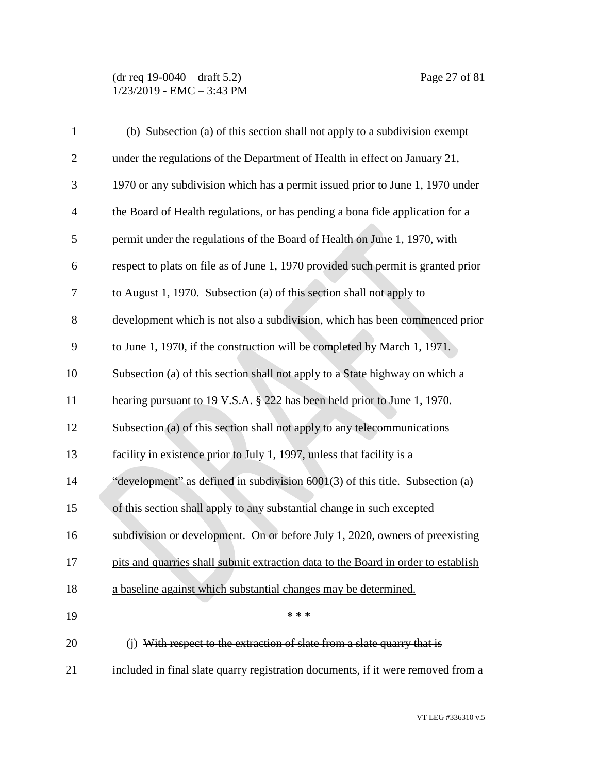#### (dr req 19-0040 – draft 5.2) Page 27 of 81 1/23/2019 - EMC – 3:43 PM

| $\mathbf{1}$   | (b) Subsection (a) of this section shall not apply to a subdivision exempt        |
|----------------|-----------------------------------------------------------------------------------|
| $\mathfrak{2}$ | under the regulations of the Department of Health in effect on January 21,        |
| 3              | 1970 or any subdivision which has a permit issued prior to June 1, 1970 under     |
| $\overline{4}$ | the Board of Health regulations, or has pending a bona fide application for a     |
| 5              | permit under the regulations of the Board of Health on June 1, 1970, with         |
| 6              | respect to plats on file as of June 1, 1970 provided such permit is granted prior |
| 7              | to August 1, 1970. Subsection (a) of this section shall not apply to              |
| $8\,$          | development which is not also a subdivision, which has been commenced prior       |
| 9              | to June 1, 1970, if the construction will be completed by March 1, 1971.          |
| 10             | Subsection (a) of this section shall not apply to a State highway on which a      |
| 11             | hearing pursuant to 19 V.S.A. § 222 has been held prior to June 1, 1970.          |
| 12             | Subsection (a) of this section shall not apply to any telecommunications          |
| 13             | facility in existence prior to July 1, 1997, unless that facility is a            |
| 14             | "development" as defined in subdivision $6001(3)$ of this title. Subsection (a)   |
| 15             | of this section shall apply to any substantial change in such excepted            |
| 16             | subdivision or development. On or before July 1, 2020, owners of preexisting      |
| 17             | pits and quarries shall submit extraction data to the Board in order to establish |
| 18             | a baseline against which substantial changes may be determined.                   |
| 19             | * * *                                                                             |
| 20             | (j) With respect to the extraction of slate from a slate quarry that is           |
| 21             | included in final slate quarry registration documents, if it were removed from a  |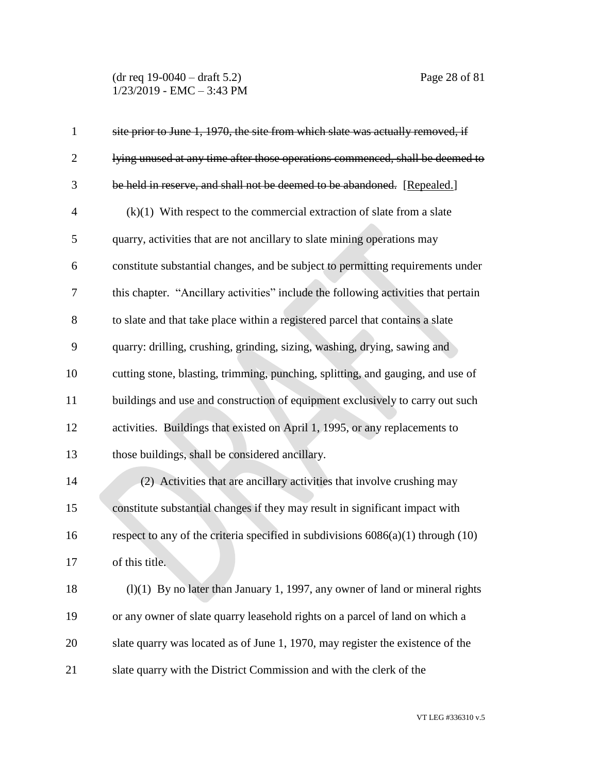(dr req 19-0040 – draft 5.2) Page 28 of 81 1/23/2019 - EMC – 3:43 PM

| $\mathbf{1}$   | site prior to June 1, 1970, the site from which slate was actually removed, if       |
|----------------|--------------------------------------------------------------------------------------|
| $\overline{2}$ | lying unused at any time after those operations commenced, shall be deemed to        |
| 3              | be held in reserve, and shall not be deemed to be abandoned. [Repealed.]             |
| $\overline{4}$ | $(k)(1)$ With respect to the commercial extraction of slate from a slate             |
| 5              | quarry, activities that are not ancillary to slate mining operations may             |
| 6              | constitute substantial changes, and be subject to permitting requirements under      |
| 7              | this chapter. "Ancillary activities" include the following activities that pertain   |
| 8              | to slate and that take place within a registered parcel that contains a slate        |
| 9              | quarry: drilling, crushing, grinding, sizing, washing, drying, sawing and            |
| 10             | cutting stone, blasting, trimming, punching, splitting, and gauging, and use of      |
| 11             | buildings and use and construction of equipment exclusively to carry out such        |
| 12             | activities. Buildings that existed on April 1, 1995, or any replacements to          |
| 13             | those buildings, shall be considered ancillary.                                      |
| 14             | (2) Activities that are ancillary activities that involve crushing may               |
| 15             | constitute substantial changes if they may result in significant impact with         |
| 16             | respect to any of the criteria specified in subdivisions $6086(a)(1)$ through $(10)$ |
| 17             | of this title.                                                                       |
| 18             | $(l)(1)$ By no later than January 1, 1997, any owner of land or mineral rights       |
| 19             | or any owner of slate quarry leasehold rights on a parcel of land on which a         |
| 20             | slate quarry was located as of June 1, 1970, may register the existence of the       |
| 21             | slate quarry with the District Commission and with the clerk of the                  |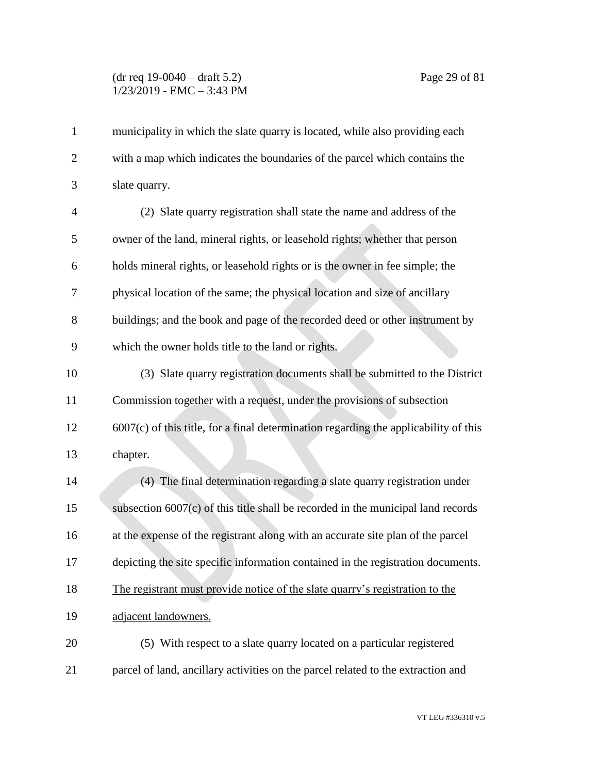# (dr req 19-0040 – draft 5.2) Page 29 of 81 1/23/2019 - EMC – 3:43 PM

| $\mathbf{1}$   | municipality in which the slate quarry is located, while also providing each           |
|----------------|----------------------------------------------------------------------------------------|
| $\overline{2}$ | with a map which indicates the boundaries of the parcel which contains the             |
| 3              | slate quarry.                                                                          |
| 4              | (2) Slate quarry registration shall state the name and address of the                  |
| 5              | owner of the land, mineral rights, or leasehold rights; whether that person            |
| 6              | holds mineral rights, or leasehold rights or is the owner in fee simple; the           |
| 7              | physical location of the same; the physical location and size of ancillary             |
| 8              | buildings; and the book and page of the recorded deed or other instrument by           |
| 9              | which the owner holds title to the land or rights.                                     |
| 10             | (3) Slate quarry registration documents shall be submitted to the District             |
| 11             | Commission together with a request, under the provisions of subsection                 |
| 12             | $6007(c)$ of this title, for a final determination regarding the applicability of this |
| 13             | chapter.                                                                               |
| 14             | (4) The final determination regarding a slate quarry registration under                |
| 15             | subsection $6007(c)$ of this title shall be recorded in the municipal land records     |
| 16             | at the expense of the registrant along with an accurate site plan of the parcel        |
| 17             | depicting the site specific information contained in the registration documents.       |
| 18             | The registrant must provide notice of the slate quarry's registration to the           |
| 19             | adjacent landowners.                                                                   |
| 20             | (5) With respect to a slate quarry located on a particular registered                  |
| 21             | parcel of land, ancillary activities on the parcel related to the extraction and       |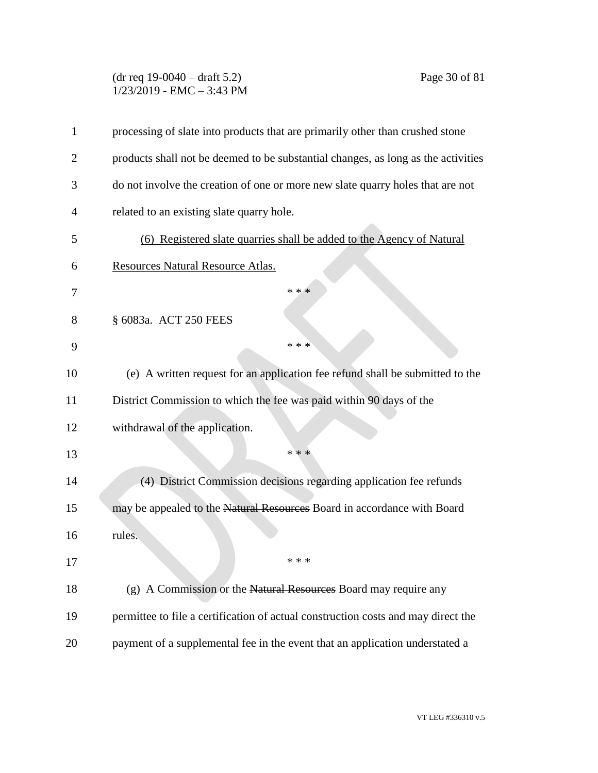### (dr req 19-0040 – draft 5.2) Page 30 of 81 1/23/2019 - EMC – 3:43 PM

| 1  | processing of slate into products that are primarily other than crushed stone     |
|----|-----------------------------------------------------------------------------------|
| 2  | products shall not be deemed to be substantial changes, as long as the activities |
| 3  | do not involve the creation of one or more new slate quarry holes that are not    |
| 4  | related to an existing slate quarry hole.                                         |
| 5  | (6) Registered slate quarries shall be added to the Agency of Natural             |
| 6  | Resources Natural Resource Atlas.                                                 |
| 7  | * * *                                                                             |
| 8  | § 6083a. ACT 250 FEES                                                             |
| 9  | * * *                                                                             |
| 10 | (e) A written request for an application fee refund shall be submitted to the     |
| 11 | District Commission to which the fee was paid within 90 days of the               |
| 12 | withdrawal of the application.                                                    |
| 13 | * * *                                                                             |
| 14 | (4) District Commission decisions regarding application fee refunds               |
| 15 | may be appealed to the Natural Resources Board in accordance with Board           |
| 16 | rules.                                                                            |
| 17 | * * *                                                                             |
| 18 | (g) A Commission or the Natural Resources Board may require any                   |
| 19 | permittee to file a certification of actual construction costs and may direct the |
| 20 | payment of a supplemental fee in the event that an application understated a      |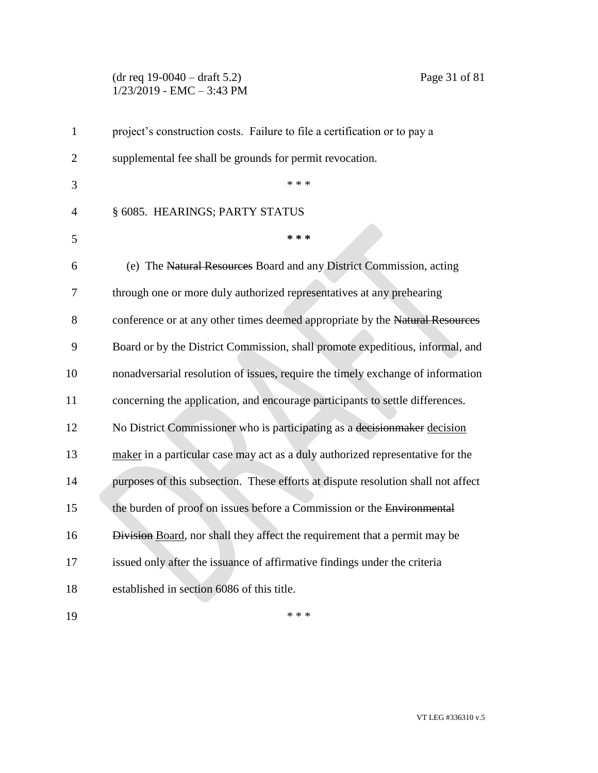#### (dr req 19-0040 – draft 5.2) Page 31 of 81 1/23/2019 - EMC – 3:43 PM

| $\mathbf{1}$   | project's construction costs. Failure to file a certification or to pay a         |
|----------------|-----------------------------------------------------------------------------------|
| $\overline{2}$ | supplemental fee shall be grounds for permit revocation.                          |
| 3              | * * *                                                                             |
| 4              | § 6085. HEARINGS; PARTY STATUS                                                    |
| 5              | * * *                                                                             |
| 6              | (e) The Natural Resources Board and any District Commission, acting               |
| 7              | through one or more duly authorized representatives at any prehearing             |
| 8              | conference or at any other times deemed appropriate by the Natural Resources      |
| 9              | Board or by the District Commission, shall promote expeditious, informal, and     |
| 10             | nonadversarial resolution of issues, require the timely exchange of information   |
| 11             | concerning the application, and encourage participants to settle differences.     |
| 12             | No District Commissioner who is participating as a decision maker decision        |
| 13             | maker in a particular case may act as a duly authorized representative for the    |
| 14             | purposes of this subsection. These efforts at dispute resolution shall not affect |
| 15             | the burden of proof on issues before a Commission or the Environmental            |
| 16             | Division Board, nor shall they affect the requirement that a permit may be        |
| 17             | issued only after the issuance of affirmative findings under the criteria         |
| 18             | established in section 6086 of this title.                                        |
| 19             | * * *                                                                             |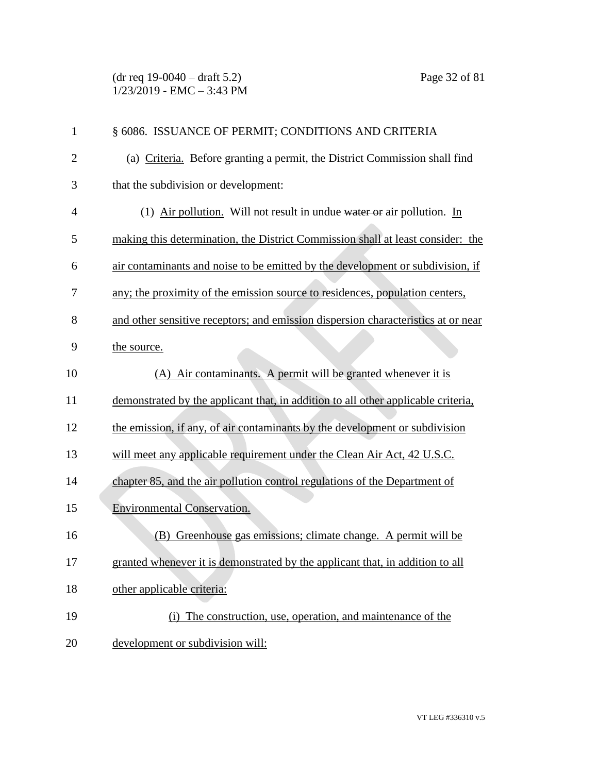(dr req 19-0040 – draft 5.2) Page 32 of 81 1/23/2019 - EMC – 3:43 PM

| $\mathbf{1}$   | § 6086. ISSUANCE OF PERMIT; CONDITIONS AND CRITERIA                               |
|----------------|-----------------------------------------------------------------------------------|
| $\overline{2}$ | (a) Criteria. Before granting a permit, the District Commission shall find        |
| 3              | that the subdivision or development:                                              |
| $\overline{4}$ | (1) Air pollution. Will not result in undue water or air pollution. In            |
| 5              | making this determination, the District Commission shall at least consider: the   |
| 6              | air contaminants and noise to be emitted by the development or subdivision, if    |
| 7              | any; the proximity of the emission source to residences, population centers,      |
| 8              | and other sensitive receptors; and emission dispersion characteristics at or near |
| 9              | the source.                                                                       |
| 10             | (A) Air contaminants. A permit will be granted whenever it is                     |
| 11             | demonstrated by the applicant that, in addition to all other applicable criteria, |
| 12             | the emission, if any, of air contaminants by the development or subdivision       |
| 13             | will meet any applicable requirement under the Clean Air Act, 42 U.S.C.           |
| 14             | chapter 85, and the air pollution control regulations of the Department of        |
| 15             | <b>Environmental Conservation.</b>                                                |
| 16             | (B) Greenhouse gas emissions; climate change. A permit will be                    |
| 17             | granted whenever it is demonstrated by the applicant that, in addition to all     |
| 18             | other applicable criteria:                                                        |
| 19             | (i) The construction, use, operation, and maintenance of the                      |
| 20             | development or subdivision will:                                                  |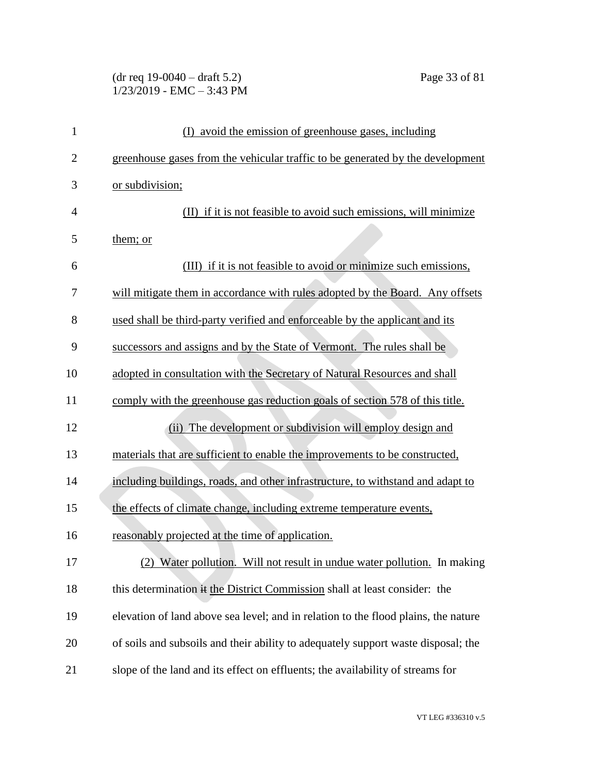# (dr req 19-0040 – draft 5.2) Page 33 of 81 1/23/2019 - EMC – 3:43 PM

| $\mathbf{1}$   | (I) avoid the emission of greenhouse gases, including                              |
|----------------|------------------------------------------------------------------------------------|
| $\overline{2}$ | greenhouse gases from the vehicular traffic to be generated by the development     |
| 3              | or subdivision;                                                                    |
| $\overline{4}$ | (II) if it is not feasible to avoid such emissions, will minimize                  |
| 5              | them; or                                                                           |
| 6              | (III) if it is not feasible to avoid or minimize such emissions,                   |
| 7              | will mitigate them in accordance with rules adopted by the Board. Any offsets      |
| 8              | used shall be third-party verified and enforceable by the applicant and its        |
| 9              | successors and assigns and by the State of Vermont. The rules shall be             |
| 10             | adopted in consultation with the Secretary of Natural Resources and shall          |
| 11             | comply with the greenhouse gas reduction goals of section 578 of this title.       |
| 12             | (ii) The development or subdivision will employ design and                         |
| 13             | materials that are sufficient to enable the improvements to be constructed,        |
| 14             | including buildings, roads, and other infrastructure, to withstand and adapt to    |
| 15             | the effects of climate change, including extreme temperature events,               |
| 16             | reasonably projected at the time of application.                                   |
| 17             | (2) Water pollution. Will not result in undue water pollution. In making           |
| 18             | this determination it the District Commission shall at least consider: the         |
| 19             | elevation of land above sea level; and in relation to the flood plains, the nature |
| 20             | of soils and subsoils and their ability to adequately support waste disposal; the  |
| 21             | slope of the land and its effect on effluents; the availability of streams for     |
|                |                                                                                    |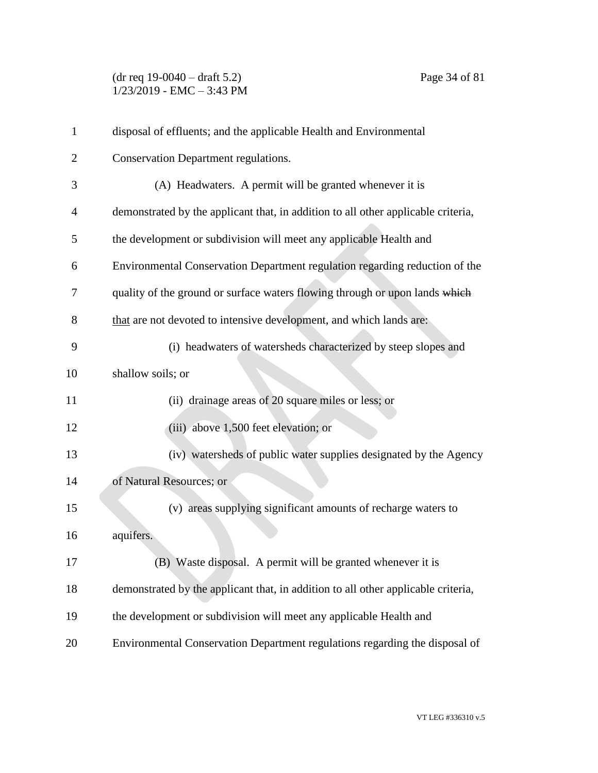(dr req 19-0040 – draft 5.2) Page 34 of 81 1/23/2019 - EMC – 3:43 PM

| 1              | disposal of effluents; and the applicable Health and Environmental                |
|----------------|-----------------------------------------------------------------------------------|
| $\overline{2}$ | Conservation Department regulations.                                              |
| 3              | (A) Headwaters. A permit will be granted whenever it is                           |
| 4              | demonstrated by the applicant that, in addition to all other applicable criteria, |
| 5              | the development or subdivision will meet any applicable Health and                |
| 6              | Environmental Conservation Department regulation regarding reduction of the       |
| 7              | quality of the ground or surface waters flowing through or upon lands which       |
| 8              | that are not devoted to intensive development, and which lands are:               |
| 9              | (i) headwaters of watersheds characterized by steep slopes and                    |
| 10             | shallow soils; or                                                                 |
| 11             | (ii) drainage areas of 20 square miles or less; or                                |
| 12             | (iii) above 1,500 feet elevation; or                                              |
| 13             | (iv) watersheds of public water supplies designated by the Agency                 |
| 14             | of Natural Resources; or                                                          |
| 15             | (v) areas supplying significant amounts of recharge waters to                     |
| 16             | aquifers.                                                                         |
| 17             | (B) Waste disposal. A permit will be granted whenever it is                       |
| 18             | demonstrated by the applicant that, in addition to all other applicable criteria, |
| 19             | the development or subdivision will meet any applicable Health and                |
| 20             | Environmental Conservation Department regulations regarding the disposal of       |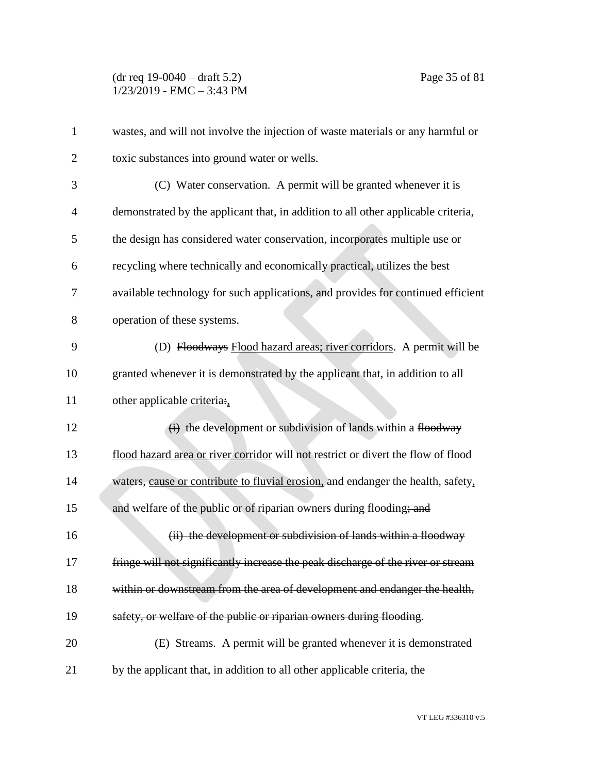(dr req 19-0040 – draft 5.2) Page 35 of 81 1/23/2019 - EMC – 3:43 PM

| $\mathbf{1}$   | wastes, and will not involve the injection of waste materials or any harmful or   |
|----------------|-----------------------------------------------------------------------------------|
| $\overline{2}$ | toxic substances into ground water or wells.                                      |
| 3              | (C) Water conservation. A permit will be granted whenever it is                   |
| $\overline{4}$ | demonstrated by the applicant that, in addition to all other applicable criteria, |
| 5              | the design has considered water conservation, incorporates multiple use or        |
| 6              | recycling where technically and economically practical, utilizes the best         |
| 7              | available technology for such applications, and provides for continued efficient  |
| 8              | operation of these systems.                                                       |
| 9              | (D) Floodways Flood hazard areas; river corridors. A permit will be               |
| 10             | granted whenever it is demonstrated by the applicant that, in addition to all     |
| 11             | other applicable criteria:                                                        |
| 12             | $\overrightarrow{(i)}$ the development or subdivision of lands within a floodway  |
| 13             | flood hazard area or river corridor will not restrict or divert the flow of flood |
| 14             | waters, cause or contribute to fluvial erosion, and endanger the health, safety,  |
| 15             | and welfare of the public or of riparian owners during flooding; and              |
| 16             | (ii) the development or subdivision of lands within a floodway                    |
| 17             | fringe will not significantly increase the peak discharge of the river or stream  |
| 18             | within or downstream from the area of development and endanger the health,        |
| 19             | safety, or welfare of the public or riparian owners during flooding.              |
| 20             | (E) Streams. A permit will be granted whenever it is demonstrated                 |
| 21             | by the applicant that, in addition to all other applicable criteria, the          |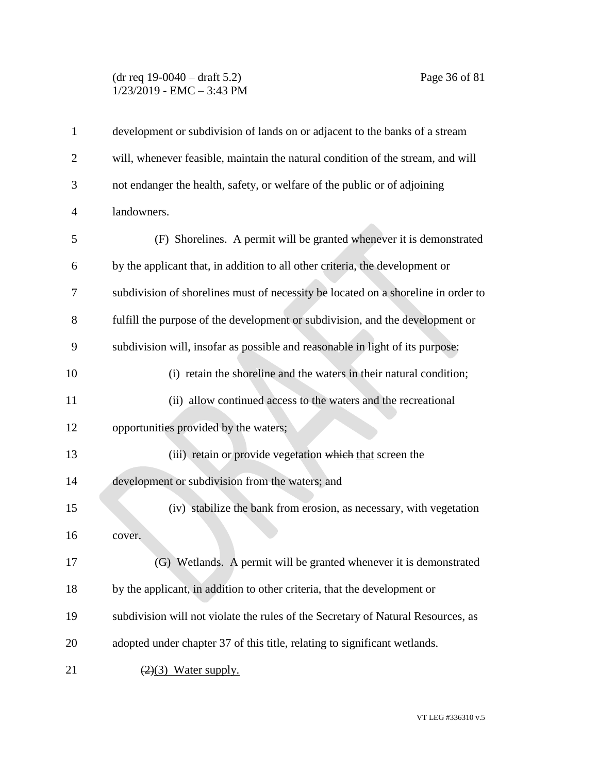## (dr req 19-0040 – draft 5.2) Page 36 of 81 1/23/2019 - EMC – 3:43 PM

| $\mathbf{1}$   | development or subdivision of lands on or adjacent to the banks of a stream       |
|----------------|-----------------------------------------------------------------------------------|
| $\overline{2}$ | will, whenever feasible, maintain the natural condition of the stream, and will   |
| 3              | not endanger the health, safety, or welfare of the public or of adjoining         |
| $\overline{4}$ | landowners.                                                                       |
| 5              | (F) Shorelines. A permit will be granted whenever it is demonstrated              |
| 6              | by the applicant that, in addition to all other criteria, the development or      |
| 7              | subdivision of shorelines must of necessity be located on a shoreline in order to |
| 8              | fulfill the purpose of the development or subdivision, and the development or     |
| 9              | subdivision will, insofar as possible and reasonable in light of its purpose:     |
| 10             | (i) retain the shoreline and the waters in their natural condition;               |
| 11             | (ii) allow continued access to the waters and the recreational                    |
| 12             | opportunities provided by the waters;                                             |
| 13             | (iii) retain or provide vegetation which that screen the                          |
| 14             | development or subdivision from the waters; and                                   |
| 15             | (iv) stabilize the bank from erosion, as necessary, with vegetation               |
| 16             | cover.                                                                            |
| 17             | G) Wetlands. A permit will be granted whenever it is demonstrated                 |
| 18             | by the applicant, in addition to other criteria, that the development or          |
| 19             | subdivision will not violate the rules of the Secretary of Natural Resources, as  |
| 20             | adopted under chapter 37 of this title, relating to significant wetlands.         |
| 21             | $(2)(3)$ Water supply.                                                            |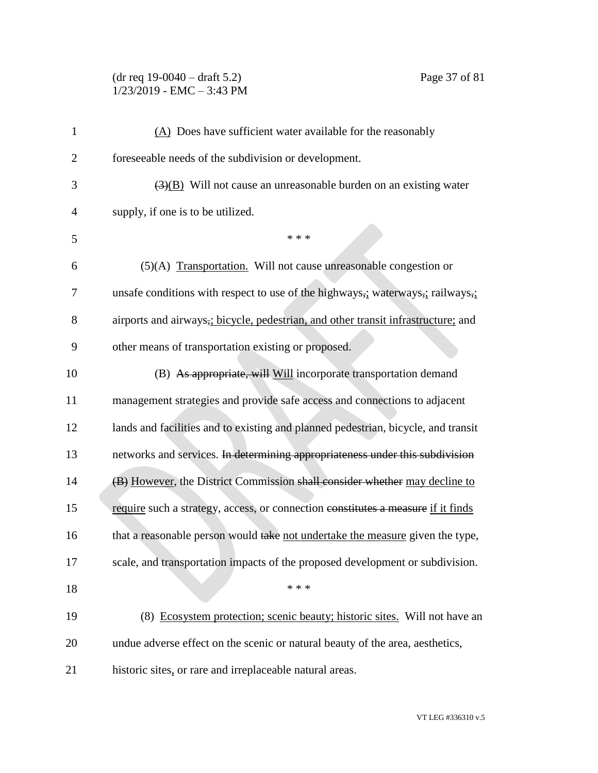# (dr req 19-0040 – draft 5.2) Page 37 of 81  $1/23/2019$  - EMC - 3:43 PM

| foreseeable needs of the subdivision or development.<br>$\overline{2}$<br>3<br>supply, if one is to be utilized.<br>4<br>5<br>* * *<br>(5)(A) Transportation. Will not cause unreasonable congestion or<br>6<br>7<br>8<br>9<br>other means of transportation existing or proposed.<br>(B) As appropriate, will Will incorporate transportation demand<br>10<br>11<br>12<br>13<br>14<br>15<br>16<br>17<br>* * *<br>18<br>19<br>20<br>21<br>historic sites, or rare and irreplaceable natural areas. | $\mathbf{1}$ | $(A)$ Does have sufficient water available for the reasonably                     |
|----------------------------------------------------------------------------------------------------------------------------------------------------------------------------------------------------------------------------------------------------------------------------------------------------------------------------------------------------------------------------------------------------------------------------------------------------------------------------------------------------|--------------|-----------------------------------------------------------------------------------|
|                                                                                                                                                                                                                                                                                                                                                                                                                                                                                                    |              |                                                                                   |
|                                                                                                                                                                                                                                                                                                                                                                                                                                                                                                    |              | $\overline{(3)(B)}$ Will not cause an unreasonable burden on an existing water    |
|                                                                                                                                                                                                                                                                                                                                                                                                                                                                                                    |              |                                                                                   |
|                                                                                                                                                                                                                                                                                                                                                                                                                                                                                                    |              |                                                                                   |
|                                                                                                                                                                                                                                                                                                                                                                                                                                                                                                    |              |                                                                                   |
|                                                                                                                                                                                                                                                                                                                                                                                                                                                                                                    |              | unsafe conditions with respect to use of the highways,; waterways,; railways,;    |
|                                                                                                                                                                                                                                                                                                                                                                                                                                                                                                    |              | airports and airways,; bicycle, pedestrian, and other transit infrastructure; and |
|                                                                                                                                                                                                                                                                                                                                                                                                                                                                                                    |              |                                                                                   |
|                                                                                                                                                                                                                                                                                                                                                                                                                                                                                                    |              |                                                                                   |
|                                                                                                                                                                                                                                                                                                                                                                                                                                                                                                    |              | management strategies and provide safe access and connections to adjacent         |
|                                                                                                                                                                                                                                                                                                                                                                                                                                                                                                    |              | lands and facilities and to existing and planned pedestrian, bicycle, and transit |
|                                                                                                                                                                                                                                                                                                                                                                                                                                                                                                    |              | networks and services. In determining appropriateness under this subdivision      |
|                                                                                                                                                                                                                                                                                                                                                                                                                                                                                                    |              | (B) However, the District Commission shall consider whether may decline to        |
|                                                                                                                                                                                                                                                                                                                                                                                                                                                                                                    |              | require such a strategy, access, or connection constitutes a measure if it finds  |
|                                                                                                                                                                                                                                                                                                                                                                                                                                                                                                    |              | that a reasonable person would take not undertake the measure given the type,     |
|                                                                                                                                                                                                                                                                                                                                                                                                                                                                                                    |              | scale, and transportation impacts of the proposed development or subdivision.     |
|                                                                                                                                                                                                                                                                                                                                                                                                                                                                                                    |              |                                                                                   |
|                                                                                                                                                                                                                                                                                                                                                                                                                                                                                                    |              | (8) Ecosystem protection; scenic beauty; historic sites. Will not have an         |
|                                                                                                                                                                                                                                                                                                                                                                                                                                                                                                    |              | undue adverse effect on the scenic or natural beauty of the area, aesthetics,     |
|                                                                                                                                                                                                                                                                                                                                                                                                                                                                                                    |              |                                                                                   |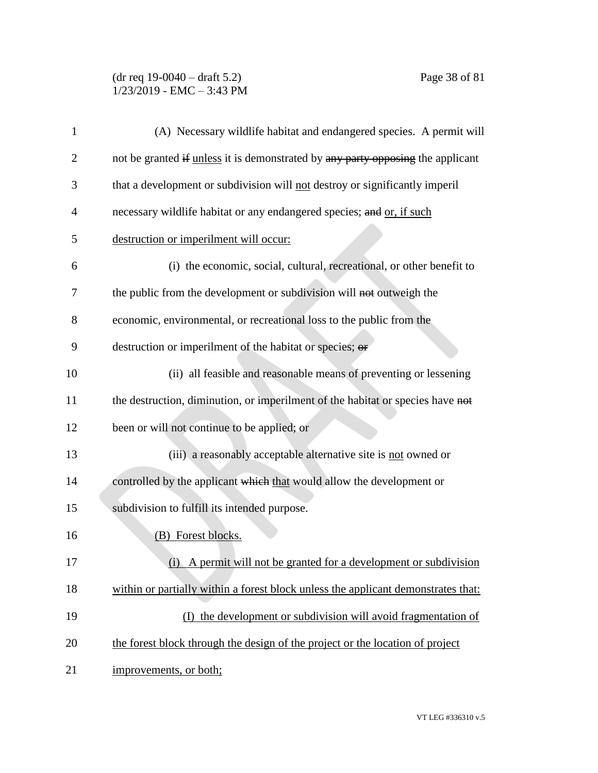### (dr req 19-0040 – draft 5.2) Page 38 of 81 1/23/2019 - EMC – 3:43 PM

| 1              | (A) Necessary wildlife habitat and endangered species. A permit will              |
|----------------|-----------------------------------------------------------------------------------|
| $\overline{2}$ | not be granted if unless it is demonstrated by any party opposing the applicant   |
| 3              | that a development or subdivision will not destroy or significantly imperil       |
| 4              | necessary wildlife habitat or any endangered species; and or, if such             |
| 5              | destruction or imperilment will occur:                                            |
| 6              | (i) the economic, social, cultural, recreational, or other benefit to             |
| 7              | the public from the development or subdivision will not outweigh the              |
| 8              | economic, environmental, or recreational loss to the public from the              |
| 9              | destruction or imperilment of the habitat or species; or                          |
| 10             | (ii) all feasible and reasonable means of preventing or lessening                 |
| 11             | the destruction, diminution, or imperilment of the habitat or species have not    |
| 12             | been or will not continue to be applied; or                                       |
| 13             | (iii) a reasonably acceptable alternative site is not owned or                    |
| 14             | controlled by the applicant which that would allow the development or             |
| 15             | subdivision to fulfill its intended purpose.                                      |
| 16             | (B) Forest blocks.                                                                |
| 17             | (i) A permit will not be granted for a development or subdivision                 |
| 18             | within or partially within a forest block unless the applicant demonstrates that: |
| 19             | (I) the development or subdivision will avoid fragmentation of                    |
| 20             | the forest block through the design of the project or the location of project     |
| 21             | improvements, or both;                                                            |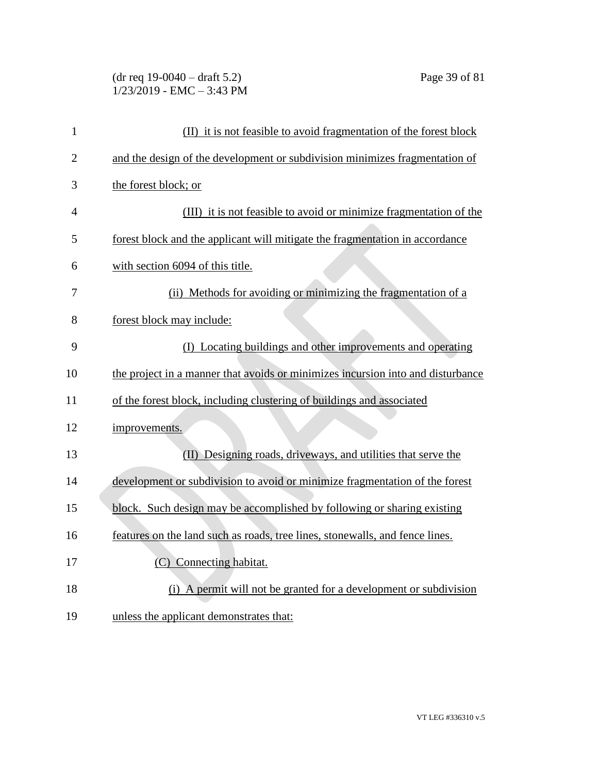# (dr req 19-0040 – draft 5.2) Page 39 of 81 1/23/2019 - EMC – 3:43 PM

| $\mathbf{1}$   | (II) it is not feasible to avoid fragmentation of the forest block              |
|----------------|---------------------------------------------------------------------------------|
| $\overline{2}$ | and the design of the development or subdivision minimizes fragmentation of     |
| 3              | the forest block; or                                                            |
| 4              | (III) it is not feasible to avoid or minimize fragmentation of the              |
| 5              | forest block and the applicant will mitigate the fragmentation in accordance    |
| 6              | with section 6094 of this title.                                                |
| 7              | (ii) Methods for avoiding or minimizing the fragmentation of a                  |
| 8              | forest block may include:                                                       |
| 9              | (I) Locating buildings and other improvements and operating                     |
| 10             | the project in a manner that avoids or minimizes incursion into and disturbance |
| 11             | of the forest block, including clustering of buildings and associated           |
| 12             | improvements.                                                                   |
| 13             | (II) Designing roads, driveways, and utilities that serve the                   |
| 14             | development or subdivision to avoid or minimize fragmentation of the forest     |
| 15             | block. Such design may be accomplished by following or sharing existing         |
| 16             | features on the land such as roads, tree lines, stonewalls, and fence lines.    |
| 17             | (C) Connecting habitat.                                                         |
| 18             | (i) A permit will not be granted for a development or subdivision               |
| 19             | unless the applicant demonstrates that:                                         |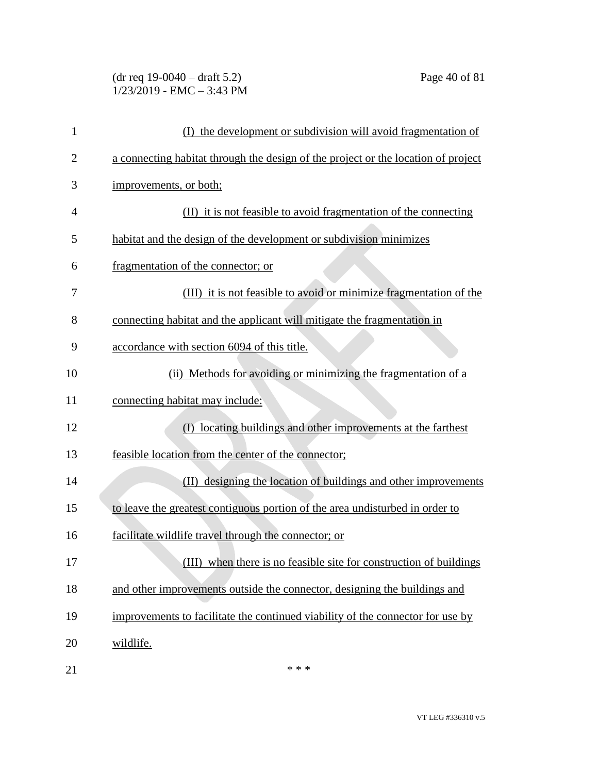#### (dr req 19-0040 – draft 5.2) Page 40 of 81 1/23/2019 - EMC – 3:43 PM

| 1              | (I) the development or subdivision will avoid fragmentation of                    |
|----------------|-----------------------------------------------------------------------------------|
| $\overline{2}$ | a connecting habitat through the design of the project or the location of project |
| 3              | improvements, or both;                                                            |
| 4              | (II) it is not feasible to avoid fragmentation of the connecting                  |
| 5              | habitat and the design of the development or subdivision minimizes                |
| 6              | fragmentation of the connector; or                                                |
| 7              | (III) it is not feasible to avoid or minimize fragmentation of the                |
| 8              | connecting habitat and the applicant will mitigate the fragmentation in           |
| 9              | accordance with section 6094 of this title.                                       |
| 10             | (ii) Methods for avoiding or minimizing the fragmentation of a                    |
| 11             | connecting habitat may include:                                                   |
| 12             | locating buildings and other improvements at the farthest                         |
| 13             | feasible location from the center of the connector;                               |
| 14             | (II) designing the location of buildings and other improvements                   |
| 15             | to leave the greatest contiguous portion of the area undisturbed in order to      |
| 16             | facilitate wildlife travel through the connector; or                              |
| 17             | (III) when there is no feasible site for construction of buildings                |
| 18             | and other improvements outside the connector, designing the buildings and         |
| 19             | improvements to facilitate the continued viability of the connector for use by    |
| 20             | wildlife.                                                                         |
| 21             | * * *                                                                             |

VT LEG #336310 v.5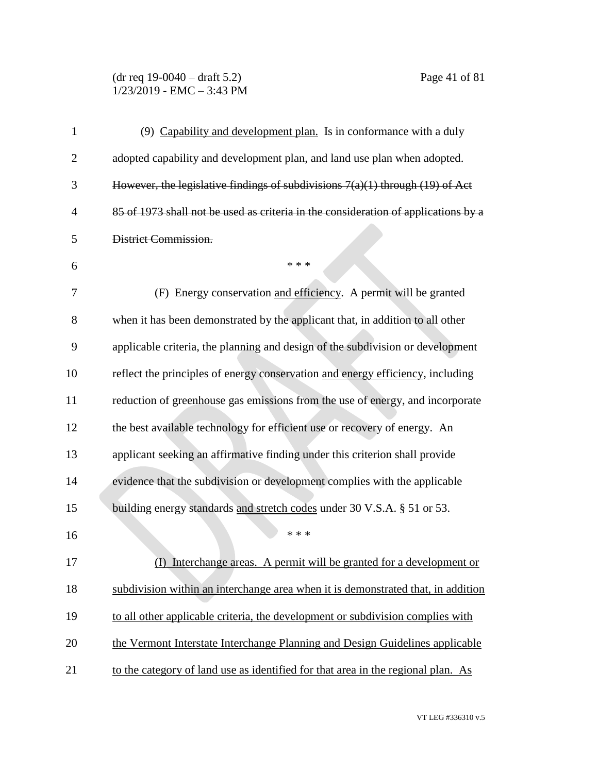# (dr req 19-0040 – draft 5.2) Page 41 of 81  $1/23/2019$  - EMC - 3:43 PM

| 1              | (9) Capability and development plan. Is in conformance with a duly                 |
|----------------|------------------------------------------------------------------------------------|
| $\overline{2}$ | adopted capability and development plan, and land use plan when adopted.           |
| 3              | However, the legislative findings of subdivisions $7(a)(1)$ through (19) of Act    |
| 4              | 85 of 1973 shall not be used as criteria in the consideration of applications by a |
| 5              | District Commission.                                                               |
| 6              | * * *                                                                              |
| 7              | (F) Energy conservation and efficiency. A permit will be granted                   |
| 8              | when it has been demonstrated by the applicant that, in addition to all other      |
| 9              | applicable criteria, the planning and design of the subdivision or development     |
| 10             | reflect the principles of energy conservation and energy efficiency, including     |
| 11             | reduction of greenhouse gas emissions from the use of energy, and incorporate      |
| 12             | the best available technology for efficient use or recovery of energy. An          |
| 13             | applicant seeking an affirmative finding under this criterion shall provide        |
| 14             | evidence that the subdivision or development complies with the applicable          |
| 15             | building energy standards and stretch codes under 30 V.S.A. § 51 or 53.            |
| 16             | * * *                                                                              |
| 17             | (I) Interchange areas. A permit will be granted for a development or               |
| 18             | subdivision within an interchange area when it is demonstrated that, in addition   |
| 19             | to all other applicable criteria, the development or subdivision complies with     |
| 20             | the Vermont Interstate Interchange Planning and Design Guidelines applicable       |
| 21             | to the category of land use as identified for that area in the regional plan. As   |

VT LEG #336310 v.5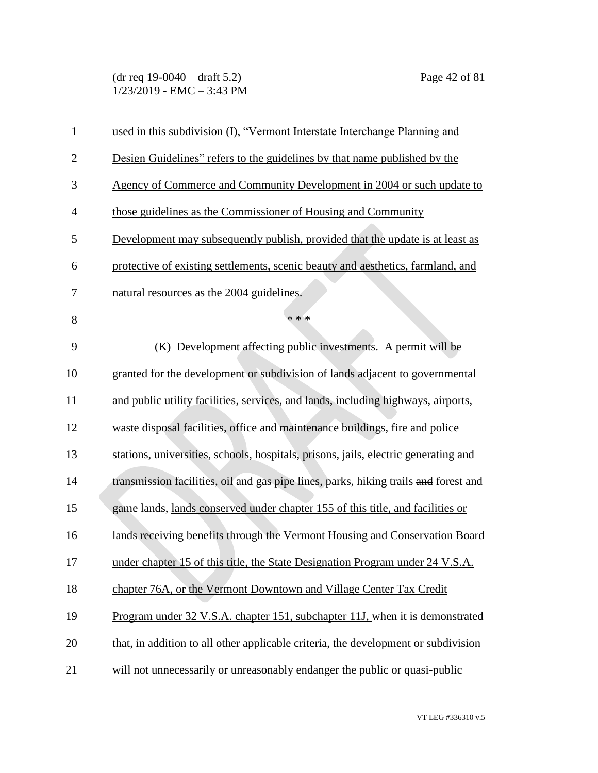(dr req 19-0040 – draft 5.2) Page 42 of 81  $1/23/2019$  - EMC - 3:43 PM

| $\mathbf{1}$   | used in this subdivision (I), "Vermont Interstate Interchange Planning and           |
|----------------|--------------------------------------------------------------------------------------|
| $\overline{2}$ | Design Guidelines" refers to the guidelines by that name published by the            |
| 3              | Agency of Commerce and Community Development in 2004 or such update to               |
| $\overline{4}$ | those guidelines as the Commissioner of Housing and Community                        |
| 5              | Development may subsequently publish, provided that the update is at least as        |
| 6              | protective of existing settlements, scenic beauty and aesthetics, farmland, and      |
| 7              | natural resources as the 2004 guidelines.                                            |
| 8              | * * *                                                                                |
| 9              | (K) Development affecting public investments. A permit will be                       |
| 10             | granted for the development or subdivision of lands adjacent to governmental         |
| 11             | and public utility facilities, services, and lands, including highways, airports,    |
| 12             | waste disposal facilities, office and maintenance buildings, fire and police         |
| 13             | stations, universities, schools, hospitals, prisons, jails, electric generating and  |
| 14             | transmission facilities, oil and gas pipe lines, parks, hiking trails and forest and |
| 15             | game lands, lands conserved under chapter 155 of this title, and facilities or       |
| 16             | lands receiving benefits through the Vermont Housing and Conservation Board          |
| 17             | under chapter 15 of this title, the State Designation Program under 24 V.S.A.        |
| 18             | chapter 76A, or the Vermont Downtown and Village Center Tax Credit                   |
| 19             | Program under 32 V.S.A. chapter 151, subchapter 11J, when it is demonstrated         |
| 20             | that, in addition to all other applicable criteria, the development or subdivision   |
| 21             | will not unnecessarily or unreasonably endanger the public or quasi-public           |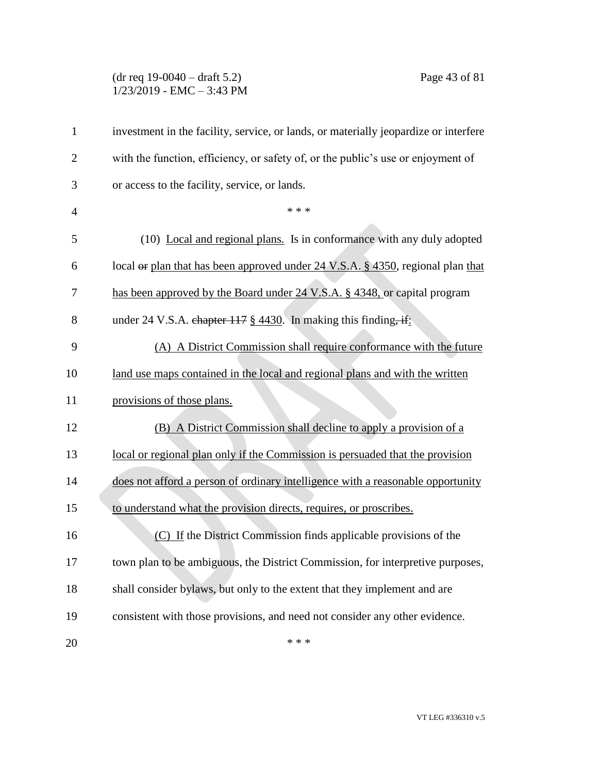#### (dr req 19-0040 – draft 5.2) Page 43 of 81 1/23/2019 - EMC – 3:43 PM

| $\mathbf{1}$   | investment in the facility, service, or lands, or materially jeopardize or interfere       |
|----------------|--------------------------------------------------------------------------------------------|
| $\overline{c}$ | with the function, efficiency, or safety of, or the public's use or enjoyment of           |
| 3              | or access to the facility, service, or lands.                                              |
| $\overline{4}$ | * * *                                                                                      |
| 5              | (10) Local and regional plans. Is in conformance with any duly adopted                     |
| 6              | local <del>or</del> plan that has been approved under 24 V.S.A. § 4350, regional plan that |
| 7              | has been approved by the Board under 24 V.S.A. § 4348, or capital program                  |
| 8              | under 24 V.S.A. chapter 117 § 4430. In making this finding, if:                            |
| 9              | (A) A District Commission shall require conformance with the future                        |
| 10             | land use maps contained in the local and regional plans and with the written               |
| 11             | provisions of those plans.                                                                 |
| 12             | (B) A District Commission shall decline to apply a provision of a                          |
| 13             | local or regional plan only if the Commission is persuaded that the provision              |
| 14             | does not afford a person of ordinary intelligence with a reasonable opportunity            |
| 15             | to understand what the provision directs, requires, or proscribes.                         |
| 16             | (C) If the District Commission finds applicable provisions of the                          |
| 17             | town plan to be ambiguous, the District Commission, for interpretive purposes,             |
| 18             | shall consider bylaws, but only to the extent that they implement and are                  |
| 19             | consistent with those provisions, and need not consider any other evidence.                |
| 20             | * * *                                                                                      |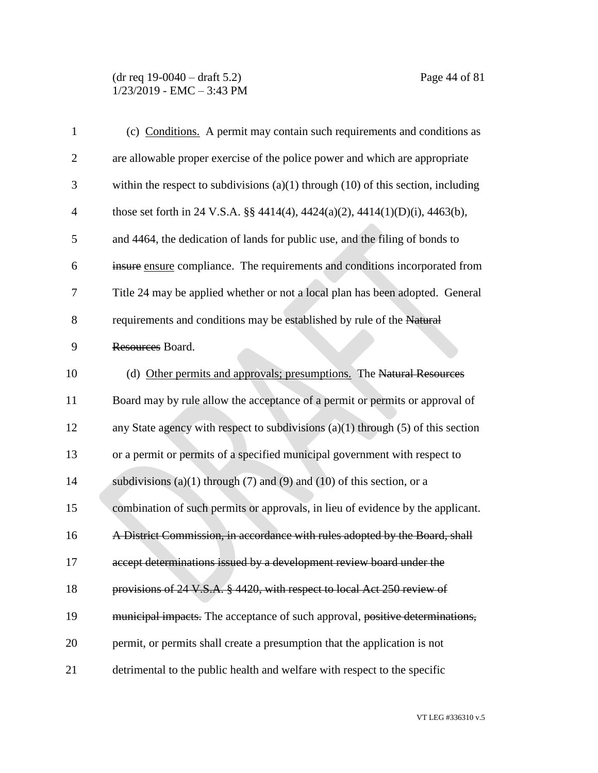#### (dr req 19-0040 – draft 5.2) Page 44 of 81  $1/23/2019$  - EMC - 3:43 PM

| $\mathbf{1}$   | (c) Conditions. A permit may contain such requirements and conditions as              |
|----------------|---------------------------------------------------------------------------------------|
| $\overline{2}$ | are allowable proper exercise of the police power and which are appropriate           |
| 3              | within the respect to subdivisions $(a)(1)$ through $(10)$ of this section, including |
| $\overline{4}$ | those set forth in 24 V.S.A. §§ 4414(4), 4424(a)(2), 4414(1)(D)(i), 4463(b),          |
| 5              | and 4464, the dedication of lands for public use, and the filing of bonds to          |
| 6              | insure ensure compliance. The requirements and conditions incorporated from           |
| 7              | Title 24 may be applied whether or not a local plan has been adopted. General         |
| 8              | requirements and conditions may be established by rule of the Natural                 |
| 9              | Resources Board.                                                                      |
| 10             | (d) Other permits and approvals; presumptions. The Natural Resources                  |
| 11             | Board may by rule allow the acceptance of a permit or permits or approval of          |
| 12             | any State agency with respect to subdivisions $(a)(1)$ through $(5)$ of this section  |
| 13             | or a permit or permits of a specified municipal government with respect to            |
| 14             | subdivisions (a)(1) through (7) and (9) and (10) of this section, or a                |
| 15             | combination of such permits or approvals, in lieu of evidence by the applicant.       |
| 16             | A District Commission, in accordance with rules adopted by the Board, shall           |
| 17             | accept determinations issued by a development review board under the                  |
| 18             | provisions of 24 V.S.A. § 4420, with respect to local Act 250 review of               |
| 19             | municipal impacts. The acceptance of such approval, positive determinations,          |
| 20             | permit, or permits shall create a presumption that the application is not             |
| 21             | detrimental to the public health and welfare with respect to the specific             |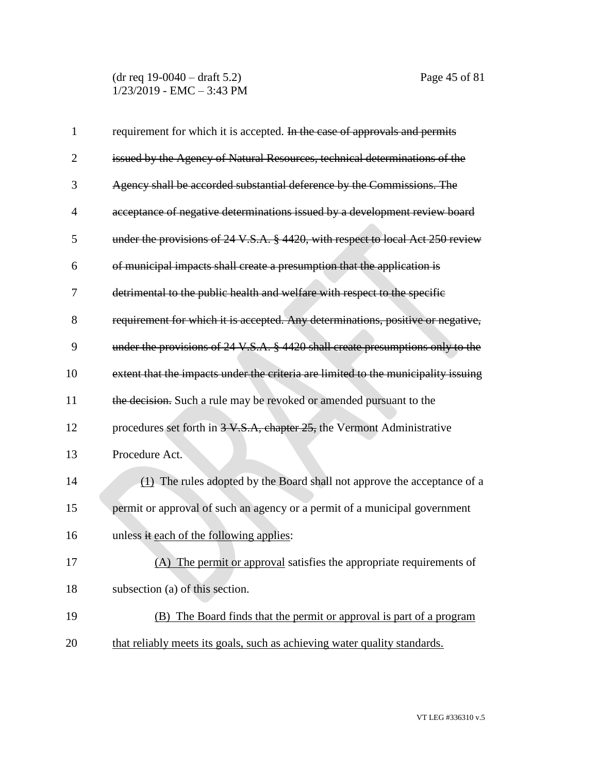(dr req 19-0040 – draft 5.2) Page 45 of 81 1/23/2019 - EMC – 3:43 PM

| $\mathbf{1}$   | requirement for which it is accepted. In the case of approvals and permits         |
|----------------|------------------------------------------------------------------------------------|
| $\overline{2}$ | issued by the Agency of Natural Resources, technical determinations of the         |
| 3              | Agency shall be accorded substantial deference by the Commissions. The             |
| $\overline{4}$ | acceptance of negative determinations issued by a development review board         |
| 5              | under the provisions of 24 V.S.A. § 4420, with respect to local Act 250 review     |
| 6              | of municipal impacts shall create a presumption that the application is            |
| 7              | detrimental to the public health and welfare with respect to the specific          |
| 8              | requirement for which it is accepted. Any determinations, positive or negative,    |
| 9              | under the provisions of 24 V.S.A. § 4420 shall create presumptions only to the     |
| 10             | extent that the impacts under the criteria are limited to the municipality issuing |
| 11             | the decision. Such a rule may be revoked or amended pursuant to the                |
| 12             | procedures set forth in 3-V.S.A, chapter 25, the Vermont Administrative            |
| 13             | Procedure Act.                                                                     |
| 14             | (1) The rules adopted by the Board shall not approve the acceptance of a           |
| 15             | permit or approval of such an agency or a permit of a municipal government         |
| 16             | unless it each of the following applies:                                           |
| 17             | (A) The permit or approval satisfies the appropriate requirements of               |
| 18             | subsection (a) of this section.                                                    |
| 19             | (B) The Board finds that the permit or approval is part of a program               |
| 20             | that reliably meets its goals, such as achieving water quality standards.          |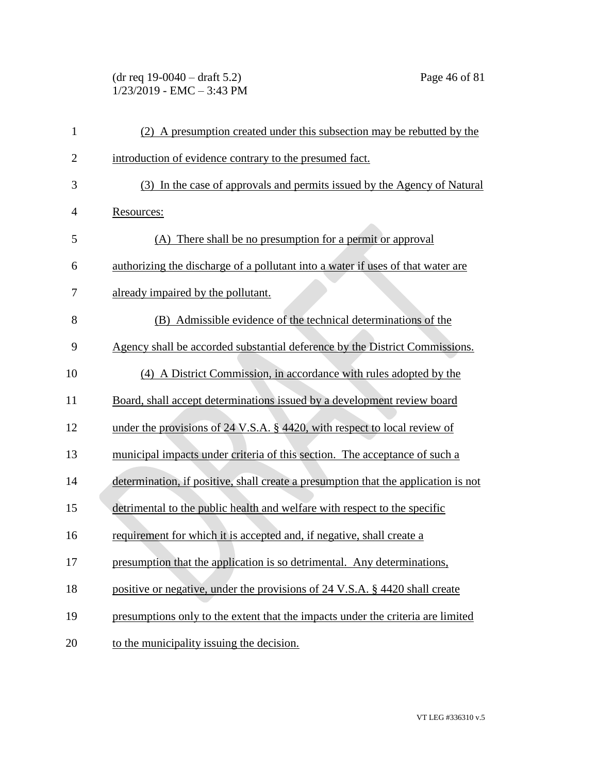(dr req 19-0040 – draft 5.2) Page 46 of 81 1/23/2019 - EMC – 3:43 PM

| 1              | (2) A presumption created under this subsection may be rebutted by the             |
|----------------|------------------------------------------------------------------------------------|
| $\overline{c}$ | introduction of evidence contrary to the presumed fact.                            |
| 3              | (3) In the case of approvals and permits issued by the Agency of Natural           |
| 4              | Resources:                                                                         |
| 5              | (A) There shall be no presumption for a permit or approval                         |
| 6              | authorizing the discharge of a pollutant into a water if uses of that water are    |
| 7              | already impaired by the pollutant.                                                 |
| 8              | (B) Admissible evidence of the technical determinations of the                     |
| 9              | Agency shall be accorded substantial deference by the District Commissions.        |
| 10             | (4) A District Commission, in accordance with rules adopted by the                 |
| 11             | Board, shall accept determinations issued by a development review board            |
| 12             | under the provisions of 24 V.S.A. § 4420, with respect to local review of          |
| 13             | municipal impacts under criteria of this section. The acceptance of such a         |
| 14             | determination, if positive, shall create a presumption that the application is not |
| 15             | detrimental to the public health and welfare with respect to the specific          |
| 16             | requirement for which it is accepted and, if negative, shall create a              |
| 17             | presumption that the application is so detrimental. Any determinations,            |
| 18             | positive or negative, under the provisions of 24 V.S.A. § 4420 shall create        |
| 19             | presumptions only to the extent that the impacts under the criteria are limited    |
| 20             | to the municipality issuing the decision.                                          |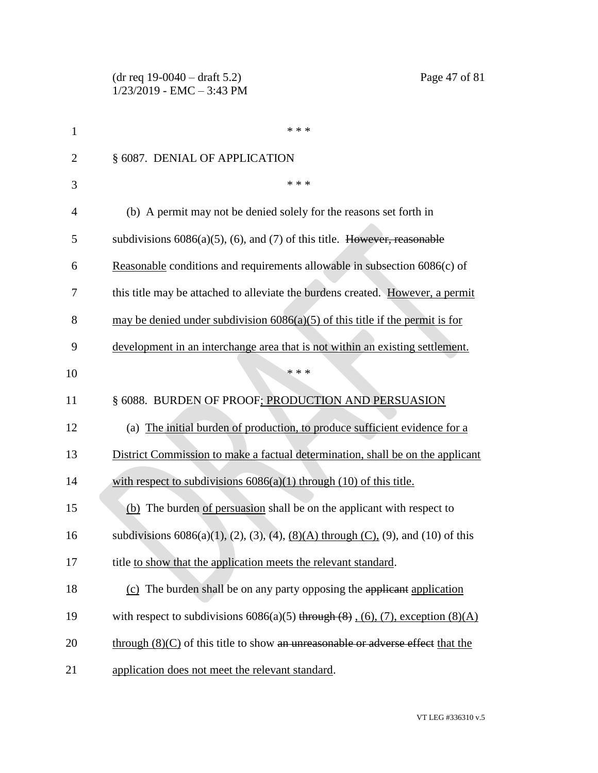| 1              | * * *                                                                                                   |
|----------------|---------------------------------------------------------------------------------------------------------|
| $\overline{2}$ | § 6087. DENIAL OF APPLICATION                                                                           |
| 3              | * * *                                                                                                   |
| 4              | (b) A permit may not be denied solely for the reasons set forth in                                      |
| 5              | subdivisions $6086(a)(5)$ , (6), and (7) of this title. However, reasonable                             |
| 6              | Reasonable conditions and requirements allowable in subsection 6086(c) of                               |
| 7              | this title may be attached to alleviate the burdens created. However, a permit                          |
| 8              | may be denied under subdivision $6086(a)(5)$ of this title if the permit is for                         |
| 9              | development in an interchange area that is not within an existing settlement.                           |
| 10             | * * *                                                                                                   |
| 11             | § 6088. BURDEN OF PROOF; PRODUCTION AND PERSUASION                                                      |
| 12             | (a) The initial burden of production, to produce sufficient evidence for a                              |
| 13             | District Commission to make a factual determination, shall be on the applicant                          |
| 14             | with respect to subdivisions $6086(a)(1)$ through $(10)$ of this title.                                 |
| 15             | (b) The burden of persuasion shall be on the applicant with respect to                                  |
| 16             | subdivisions $6086(a)(1)$ , $(2)$ , $(3)$ , $(4)$ , $(8)(A)$ through $(C)$ , $(9)$ , and $(10)$ of this |
| 17             | title to show that the application meets the relevant standard.                                         |
| 18             | (c) The burden shall be on any party opposing the applicant application                                 |
| 19             | with respect to subdivisions $6086(a)(5)$ through $(8)$ , $(6)$ , $(7)$ , exception $(8)(A)$            |
| 20             | through $(8)(C)$ of this title to show an unreasonable or adverse effect that the                       |
| 21             | application does not meet the relevant standard.                                                        |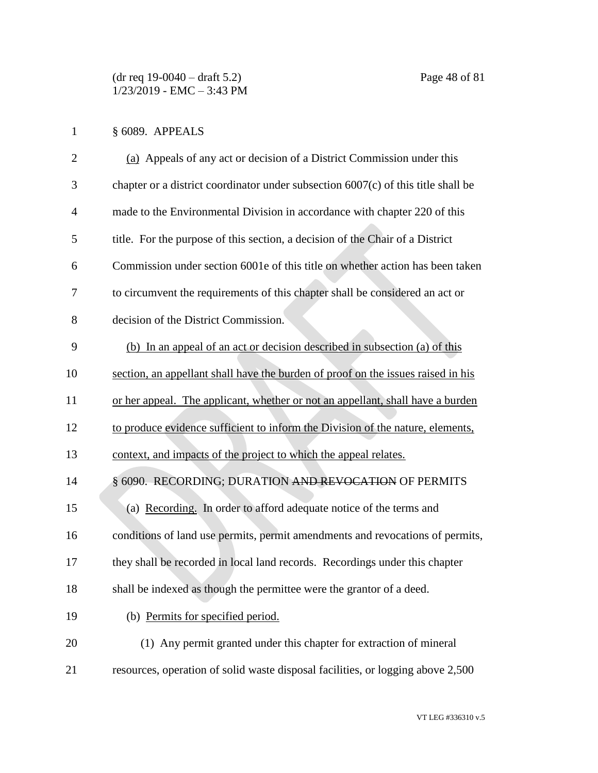# § 6089. APPEALS

| $\overline{2}$ | (a) Appeals of any act or decision of a District Commission under this              |
|----------------|-------------------------------------------------------------------------------------|
| 3              | chapter or a district coordinator under subsection $6007(c)$ of this title shall be |
| $\overline{4}$ | made to the Environmental Division in accordance with chapter 220 of this           |
| 5              | title. For the purpose of this section, a decision of the Chair of a District       |
| 6              | Commission under section 6001e of this title on whether action has been taken       |
| 7              | to circumvent the requirements of this chapter shall be considered an act or        |
| 8              | decision of the District Commission.                                                |
| 9              | (b) In an appeal of an act or decision described in subsection (a) of this          |
| 10             | section, an appellant shall have the burden of proof on the issues raised in his    |
| 11             | or her appeal. The applicant, whether or not an appellant, shall have a burden      |
| 12             | to produce evidence sufficient to inform the Division of the nature, elements,      |
| 13             | context, and impacts of the project to which the appeal relates.                    |
| 14             | § 6090. RECORDING; DURATION AND REVOCATION OF PERMITS                               |
| 15             | (a) Recording. In order to afford adequate notice of the terms and                  |
| 16             | conditions of land use permits, permit amendments and revocations of permits,       |
| 17             | they shall be recorded in local land records. Recordings under this chapter         |
| 18             | shall be indexed as though the permittee were the grantor of a deed.                |
| 19             | (b) Permits for specified period.                                                   |
| 20             | (1) Any permit granted under this chapter for extraction of mineral                 |
| 21             | resources, operation of solid waste disposal facilities, or logging above 2,500     |
|                |                                                                                     |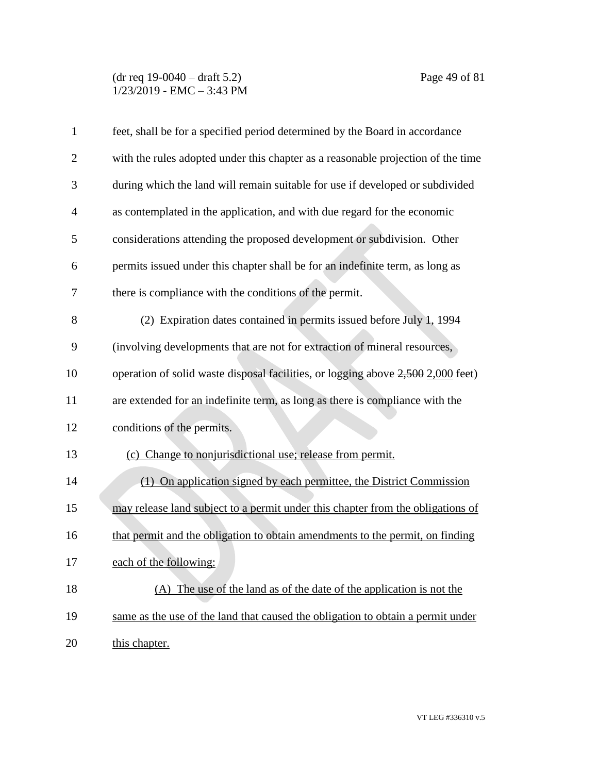### (dr req 19-0040 – draft 5.2) Page 49 of 81 1/23/2019 - EMC – 3:43 PM

| $\mathbf{1}$   | feet, shall be for a specified period determined by the Board in accordance      |
|----------------|----------------------------------------------------------------------------------|
| $\overline{c}$ | with the rules adopted under this chapter as a reasonable projection of the time |
| 3              | during which the land will remain suitable for use if developed or subdivided    |
| 4              | as contemplated in the application, and with due regard for the economic         |
| 5              | considerations attending the proposed development or subdivision. Other          |
| 6              | permits issued under this chapter shall be for an indefinite term, as long as    |
| 7              | there is compliance with the conditions of the permit.                           |
| 8              | (2) Expiration dates contained in permits issued before July 1, 1994             |
| 9              | (involving developments that are not for extraction of mineral resources,        |
| 10             | operation of solid waste disposal facilities, or logging above 2,500 2,000 feet) |
| 11             | are extended for an indefinite term, as long as there is compliance with the     |
| 12             | conditions of the permits.                                                       |
| 13             | (c) Change to nonjurisdictional use; release from permit.                        |
| 14             | (1) On application signed by each permittee, the District Commission             |
| 15             | may release land subject to a permit under this chapter from the obligations of  |
| 16             | that permit and the obligation to obtain amendments to the permit, on finding    |
| 17             | each of the following:                                                           |
| 18             | (A) The use of the land as of the date of the application is not the             |
| 19             | same as the use of the land that caused the obligation to obtain a permit under  |
| 20             | this chapter.                                                                    |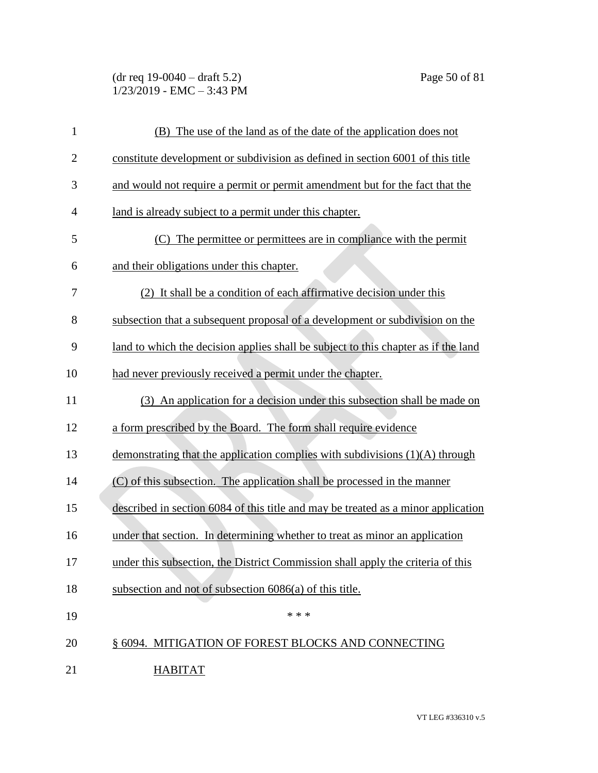(dr req 19-0040 – draft 5.2) Page 50 of 81  $1/23/2019$  - EMC - 3:43 PM

| $\mathbf{1}$   | (B) The use of the land as of the date of the application does not                 |
|----------------|------------------------------------------------------------------------------------|
| $\overline{2}$ | constitute development or subdivision as defined in section 6001 of this title     |
| 3              | and would not require a permit or permit amendment but for the fact that the       |
| 4              | land is already subject to a permit under this chapter.                            |
| 5              | (C) The permittee or permittees are in compliance with the permit                  |
| 6              | and their obligations under this chapter.                                          |
| 7              | (2) It shall be a condition of each affirmative decision under this                |
| 8              | subsection that a subsequent proposal of a development or subdivision on the       |
| 9              | land to which the decision applies shall be subject to this chapter as if the land |
| 10             | had never previously received a permit under the chapter.                          |
| 11             | (3) An application for a decision under this subsection shall be made on           |
| 12             | a form prescribed by the Board. The form shall require evidence                    |
| 13             | demonstrating that the application complies with subdivisions $(1)(A)$ through     |
| 14             | (C) of this subsection. The application shall be processed in the manner           |
| 15             | described in section 6084 of this title and may be treated as a minor application  |
| 16             | under that section. In determining whether to treat as minor an application        |
| 17             | under this subsection, the District Commission shall apply the criteria of this    |
| 18             | subsection and not of subsection 6086(a) of this title.                            |
| 19             | * * *                                                                              |
| 20             | § 6094. MITIGATION OF FOREST BLOCKS AND CONNECTING                                 |
| 21             | <b>HABITAT</b>                                                                     |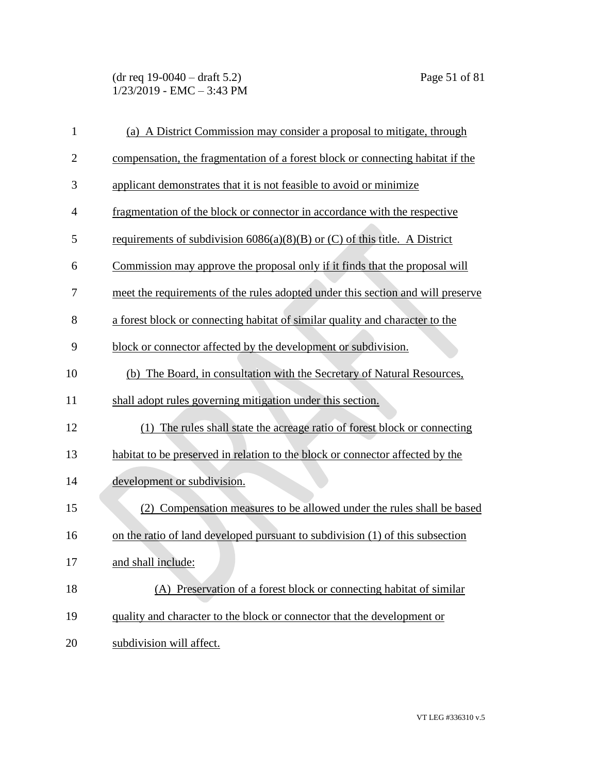(dr req 19-0040 – draft 5.2) Page 51 of 81 1/23/2019 - EMC – 3:43 PM

| $\mathbf{1}$   | (a) A District Commission may consider a proposal to mitigate, through          |
|----------------|---------------------------------------------------------------------------------|
| $\overline{2}$ | compensation, the fragmentation of a forest block or connecting habitat if the  |
| 3              | applicant demonstrates that it is not feasible to avoid or minimize             |
| $\overline{4}$ | fragmentation of the block or connector in accordance with the respective       |
| 5              | requirements of subdivision $6086(a)(8)(B)$ or (C) of this title. A District    |
| 6              | Commission may approve the proposal only if it finds that the proposal will     |
| 7              | meet the requirements of the rules adopted under this section and will preserve |
| 8              | a forest block or connecting habitat of similar quality and character to the    |
| 9              | block or connector affected by the development or subdivision.                  |
| 10             | (b) The Board, in consultation with the Secretary of Natural Resources,         |
| 11             | shall adopt rules governing mitigation under this section.                      |
| 12             | (1) The rules shall state the acreage ratio of forest block or connecting       |
| 13             | habitat to be preserved in relation to the block or connector affected by the   |
| 14             | development or subdivision.                                                     |
| 15             | (2) Compensation measures to be allowed under the rules shall be based          |
| 16             | on the ratio of land developed pursuant to subdivision (1) of this subsection   |
| 17             | and shall include:                                                              |
| 18             | (A) Preservation of a forest block or connecting habitat of similar             |
| 19             | quality and character to the block or connector that the development or         |
| 20             | subdivision will affect.                                                        |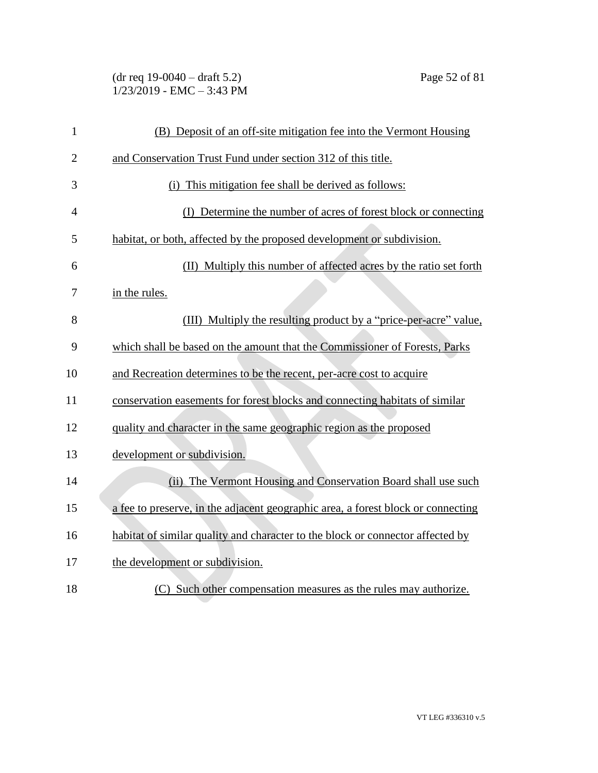(dr req 19-0040 – draft 5.2) Page 52 of 81 1/23/2019 - EMC – 3:43 PM

| $\mathbf{1}$   | (B) Deposit of an off-site mitigation fee into the Vermont Housing               |
|----------------|----------------------------------------------------------------------------------|
| $\overline{2}$ | and Conservation Trust Fund under section 312 of this title.                     |
| 3              | This mitigation fee shall be derived as follows:<br>(i)                          |
| 4              | (I) Determine the number of acres of forest block or connecting                  |
| 5              | habitat, or both, affected by the proposed development or subdivision.           |
| 6              | (II) Multiply this number of affected acres by the ratio set forth               |
| 7              | in the rules.                                                                    |
| 8              | (III) Multiply the resulting product by a "price-per-acre" value,                |
| 9              | which shall be based on the amount that the Commissioner of Forests, Parks       |
| 10             | and Recreation determines to be the recent, per-acre cost to acquire             |
| 11             | conservation easements for forest blocks and connecting habitats of similar      |
| 12             | quality and character in the same geographic region as the proposed              |
| 13             | development or subdivision.                                                      |
| 14             | (ii) The Vermont Housing and Conservation Board shall use such                   |
| 15             | a fee to preserve, in the adjacent geographic area, a forest block or connecting |
| 16             | habitat of similar quality and character to the block or connector affected by   |
| 17             | the development or subdivision.                                                  |
| 18             | (C) Such other compensation measures as the rules may authorize.                 |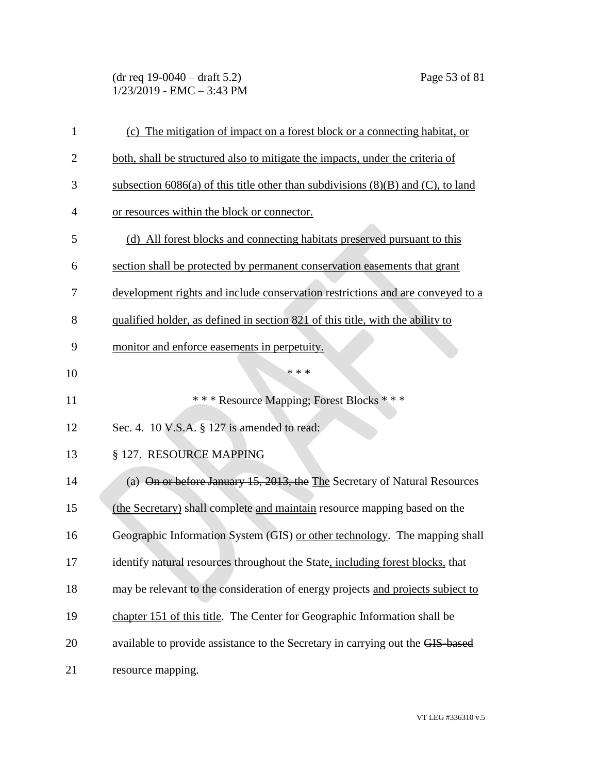(dr req 19-0040 – draft 5.2) Page 53 of 81 1/23/2019 - EMC – 3:43 PM

| $\mathbf{1}$   | (c) The mitigation of impact on a forest block or a connecting habitat, or            |
|----------------|---------------------------------------------------------------------------------------|
| $\overline{2}$ | both, shall be structured also to mitigate the impacts, under the criteria of         |
| 3              | subsection 6086(a) of this title other than subdivisions $(8)(B)$ and $(C)$ , to land |
| 4              | or resources within the block or connector.                                           |
| 5              | (d) All forest blocks and connecting habitats preserved pursuant to this              |
| 6              | section shall be protected by permanent conservation easements that grant             |
| 7              | development rights and include conservation restrictions and are conveyed to a        |
| 8              | qualified holder, as defined in section 821 of this title, with the ability to        |
| 9              | monitor and enforce easements in perpetuity.                                          |
| 10             | * * *                                                                                 |
| 11             | *** Resource Mapping; Forest Blocks ***                                               |
| 12             | Sec. 4. 10 V.S.A. § 127 is amended to read:                                           |
| 13             | § 127. RESOURCE MAPPING                                                               |
| 14             | (a) On or before January 15, 2013, the The Secretary of Natural Resources             |
| 15             | (the Secretary) shall complete and maintain resource mapping based on the             |
| 16             | Geographic Information System (GIS) or other technology. The mapping shall            |
| 17             | identify natural resources throughout the State, including forest blocks, that        |
| 18             | may be relevant to the consideration of energy projects and projects subject to       |
| 19             | chapter 151 of this title. The Center for Geographic Information shall be             |
| 20             | available to provide assistance to the Secretary in carrying out the GIS-based        |
| 21             | resource mapping.                                                                     |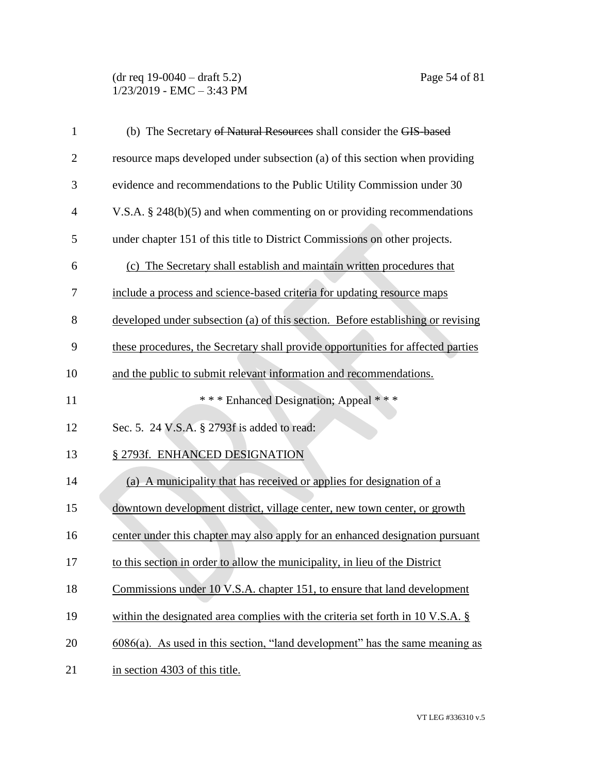#### (dr req 19-0040 – draft 5.2) Page 54 of 81 1/23/2019 - EMC – 3:43 PM

| $\mathbf{1}$   | (b) The Secretary of Natural Resources shall consider the GIS-based                 |
|----------------|-------------------------------------------------------------------------------------|
| $\overline{2}$ | resource maps developed under subsection (a) of this section when providing         |
| 3              | evidence and recommendations to the Public Utility Commission under 30              |
| 4              | V.S.A. $\S$ 248(b)(5) and when commenting on or providing recommendations           |
| 5              | under chapter 151 of this title to District Commissions on other projects.          |
| 6              | (c) The Secretary shall establish and maintain written procedures that              |
| 7              | include a process and science-based criteria for updating resource maps             |
| 8              | developed under subsection (a) of this section. Before establishing or revising     |
| 9              | these procedures, the Secretary shall provide opportunities for affected parties    |
| 10             | and the public to submit relevant information and recommendations.                  |
| 11             | *** Enhanced Designation; Appeal ***                                                |
| 12             | Sec. 5. 24 V.S.A. § 2793f is added to read:                                         |
| 13             | § 2793f. ENHANCED DESIGNATION                                                       |
| 14             | (a) A municipality that has received or applies for designation of a                |
| 15             | downtown development district, village center, new town center, or growth           |
| 16             | center under this chapter may also apply for an enhanced designation pursuant       |
| 17             | to this section in order to allow the municipality, in lieu of the District         |
| 18             | Commissions under 10 V.S.A. chapter 151, to ensure that land development            |
| 19             | within the designated area complies with the criteria set forth in $10$ V.S.A. $\S$ |
| 20             | $6086(a)$ . As used in this section, "land development" has the same meaning as     |
| 21             | in section 4303 of this title.                                                      |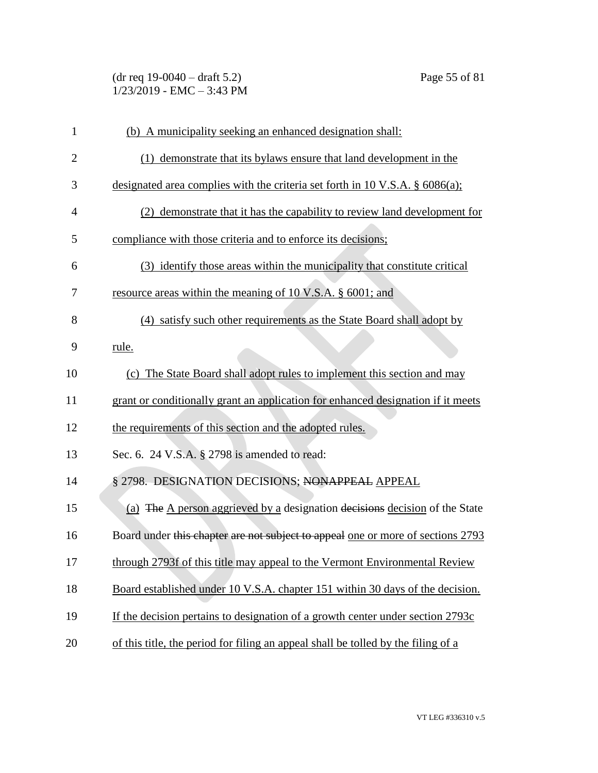| $(dr \text{ req } 19-0040 - draft 5.2)$ |  |
|-----------------------------------------|--|
| $1/23/2019$ - EMC $-3:43$ PM            |  |

| $\mathbf{1}$   | (b) A municipality seeking an enhanced designation shall:                         |
|----------------|-----------------------------------------------------------------------------------|
| $\overline{c}$ | (1) demonstrate that its bylaws ensure that land development in the               |
| 3              | designated area complies with the criteria set forth in 10 V.S.A. $\S$ 6086(a);   |
| $\overline{4}$ | (2) demonstrate that it has the capability to review land development for         |
| 5              | compliance with those criteria and to enforce its decisions;                      |
| 6              | (3) identify those areas within the municipality that constitute critical         |
| 7              | resource areas within the meaning of 10 V.S.A. § 6001; and                        |
| 8              | (4) satisfy such other requirements as the State Board shall adopt by             |
| 9              | rule.                                                                             |
| 10             | (c) The State Board shall adopt rules to implement this section and may           |
| 11             | grant or conditionally grant an application for enhanced designation if it meets  |
| 12             | the requirements of this section and the adopted rules.                           |
| 13             | Sec. 6. 24 V.S.A. § 2798 is amended to read:                                      |
| 14             | § 2798. DESIGNATION DECISIONS; NONAPPEAL APPEAL                                   |
| 15             | (a) The A person aggrieved by a designation decisions decision of the State       |
| 16             | Board under this chapter are not subject to appeal one or more of sections 2793   |
| 17             | through 2793f of this title may appeal to the Vermont Environmental Review        |
| 18             | Board established under 10 V.S.A. chapter 151 within 30 days of the decision.     |
| 19             | If the decision pertains to designation of a growth center under section 2793c    |
| 20             | of this title, the period for filing an appeal shall be tolled by the filing of a |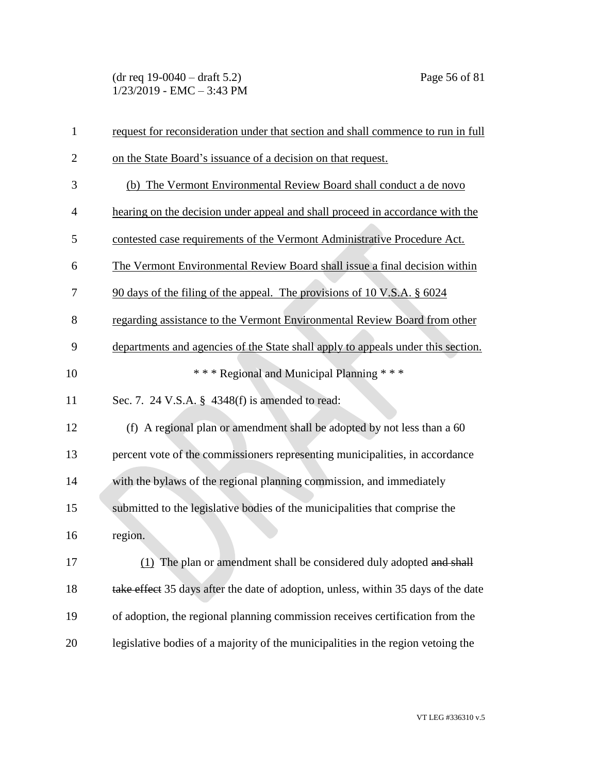(dr req 19-0040 – draft 5.2) Page 56 of 81 1/23/2019 - EMC – 3:43 PM

| $\mathbf{1}$   | request for reconsideration under that section and shall commence to run in full   |
|----------------|------------------------------------------------------------------------------------|
| $\overline{2}$ | on the State Board's issuance of a decision on that request.                       |
| 3              | (b) The Vermont Environmental Review Board shall conduct a de novo                 |
| $\overline{4}$ | hearing on the decision under appeal and shall proceed in accordance with the      |
| 5              | contested case requirements of the Vermont Administrative Procedure Act.           |
| 6              | The Vermont Environmental Review Board shall issue a final decision within         |
| 7              | 90 days of the filing of the appeal. The provisions of 10 V.S.A. § 6024            |
| 8              | regarding assistance to the Vermont Environmental Review Board from other          |
| 9              | departments and agencies of the State shall apply to appeals under this section.   |
| 10             | *** Regional and Municipal Planning ***                                            |
| 11             | Sec. 7. 24 V.S.A. § 4348(f) is amended to read:                                    |
| 12             | (f) A regional plan or amendment shall be adopted by not less than a 60            |
| 13             | percent vote of the commissioners representing municipalities, in accordance       |
| 14             | with the bylaws of the regional planning commission, and immediately               |
| 15             | submitted to the legislative bodies of the municipalities that comprise the        |
| 16             | region.                                                                            |
| 17             | (1) The plan or amendment shall be considered duly adopted and shall               |
| 18             | take effect 35 days after the date of adoption, unless, within 35 days of the date |
| 19             | of adoption, the regional planning commission receives certification from the      |
| 20             | legislative bodies of a majority of the municipalities in the region vetoing the   |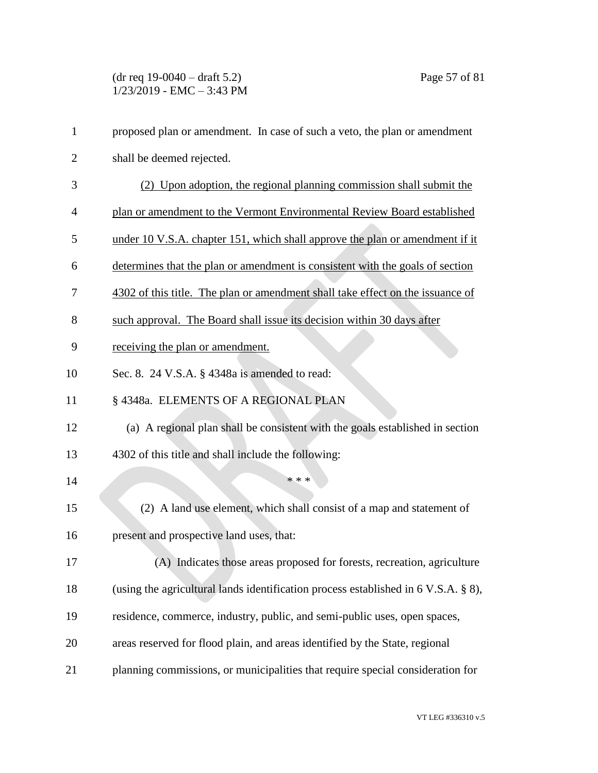| $\mathbf{1}$   | proposed plan or amendment. In case of such a veto, the plan or amendment          |
|----------------|------------------------------------------------------------------------------------|
| $\overline{2}$ | shall be deemed rejected.                                                          |
| 3              | (2) Upon adoption, the regional planning commission shall submit the               |
| 4              | plan or amendment to the Vermont Environmental Review Board established            |
| 5              | under 10 V.S.A. chapter 151, which shall approve the plan or amendment if it       |
| 6              | determines that the plan or amendment is consistent with the goals of section      |
| 7              | 4302 of this title. The plan or amendment shall take effect on the issuance of     |
| 8              | such approval. The Board shall issue its decision within 30 days after             |
| 9              | receiving the plan or amendment.                                                   |
| 10             | Sec. 8. 24 V.S.A. § 4348a is amended to read:                                      |
| 11             | § 4348a. ELEMENTS OF A REGIONAL PLAN                                               |
| 12             | (a) A regional plan shall be consistent with the goals established in section      |
| 13             | 4302 of this title and shall include the following:                                |
| 14             | * * *                                                                              |
| 15             | (2) A land use element, which shall consist of a map and statement of              |
| 16             | present and prospective land uses, that:                                           |
| 17             | (A) Indicates those areas proposed for forests, recreation, agriculture            |
| 18             | (using the agricultural lands identification process established in 6 V.S.A. § 8), |
| 19             | residence, commerce, industry, public, and semi-public uses, open spaces,          |
| 20             | areas reserved for flood plain, and areas identified by the State, regional        |
| 21             | planning commissions, or municipalities that require special consideration for     |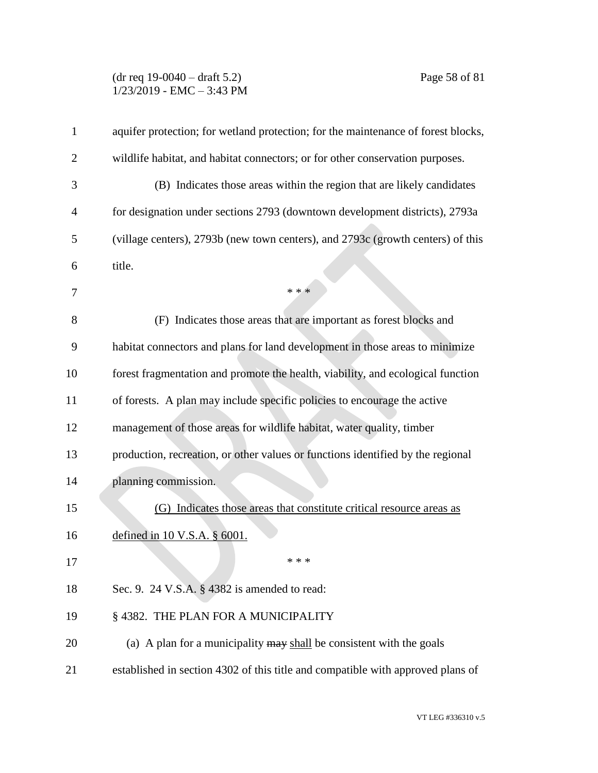### (dr req 19-0040 – draft 5.2) Page 58 of 81 1/23/2019 - EMC – 3:43 PM

| aquifer protection; for wetland protection; for the maintenance of forest blocks, |
|-----------------------------------------------------------------------------------|
| wildlife habitat, and habitat connectors; or for other conservation purposes.     |
| (B) Indicates those areas within the region that are likely candidates            |
| for designation under sections 2793 (downtown development districts), 2793a       |
| (village centers), 2793b (new town centers), and 2793c (growth centers) of this   |
| title.                                                                            |
| * * *                                                                             |
| (F) Indicates those areas that are important as forest blocks and                 |
| habitat connectors and plans for land development in those areas to minimize      |
| forest fragmentation and promote the health, viability, and ecological function   |
| of forests. A plan may include specific policies to encourage the active          |
| management of those areas for wildlife habitat, water quality, timber             |
| production, recreation, or other values or functions identified by the regional   |
| planning commission.                                                              |
| (G) Indicates those areas that constitute critical resource areas as              |
| defined in $10$ V.S.A. $\S$ 6001.                                                 |
| * * *                                                                             |
| Sec. 9. 24 V.S.A. § 4382 is amended to read:                                      |
| § 4382. THE PLAN FOR A MUNICIPALITY                                               |
| (a) A plan for a municipality $\frac{may}{head}$ be consistent with the goals     |
| established in section 4302 of this title and compatible with approved plans of   |
|                                                                                   |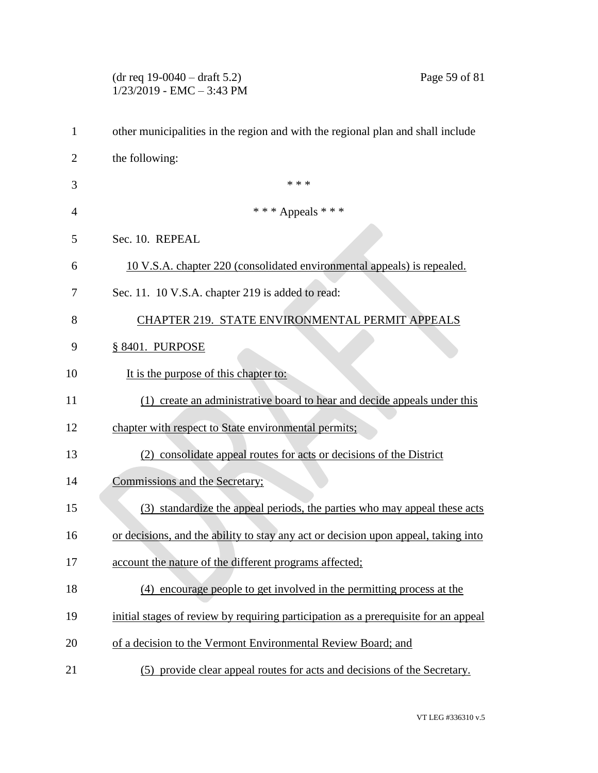|              | $(dr \text{ req } 19-0040 - draft 5.2)$<br>Page 59 of 81<br>$1/23/2019$ - EMC - 3:43 PM |
|--------------|-----------------------------------------------------------------------------------------|
| $\mathbf{1}$ | other municipalities in the region and with the regional plan and shall include         |
| 2            | the following:                                                                          |
| 3            | * * *                                                                                   |
| 4            | *** Appeals ***                                                                         |
| 5            | Sec. 10. REPEAL                                                                         |
| 6            | 10 V.S.A. chapter 220 (consolidated environmental appeals) is repealed.                 |
| 7            | Sec. 11. 10 V.S.A. chapter 219 is added to read:                                        |
| 8            | CHAPTER 219. STATE ENVIRONMENTAL PERMIT APPEALS                                         |
| 9            | § 8401. PURPOSE                                                                         |
| 10           | It is the purpose of this chapter to:                                                   |
| 11           | (1) create an administrative board to hear and decide appeals under this                |
| 12           | chapter with respect to State environmental permits;                                    |
| 13           | (2) consolidate appeal routes for acts or decisions of the District                     |
| 14           | Commissions and the Secretary;                                                          |
| 15           | (3) standardize the appeal periods, the parties who may appeal these acts               |
| 16           | or decisions, and the ability to stay any act or decision upon appeal, taking into      |
| 17           | account the nature of the different programs affected;                                  |
| 18           | (4) encourage people to get involved in the permitting process at the                   |
| 19           | initial stages of review by requiring participation as a prerequisite for an appeal     |
| 20           | of a decision to the Vermont Environmental Review Board; and                            |
| 21           | (5) provide clear appeal routes for acts and decisions of the Secretary.                |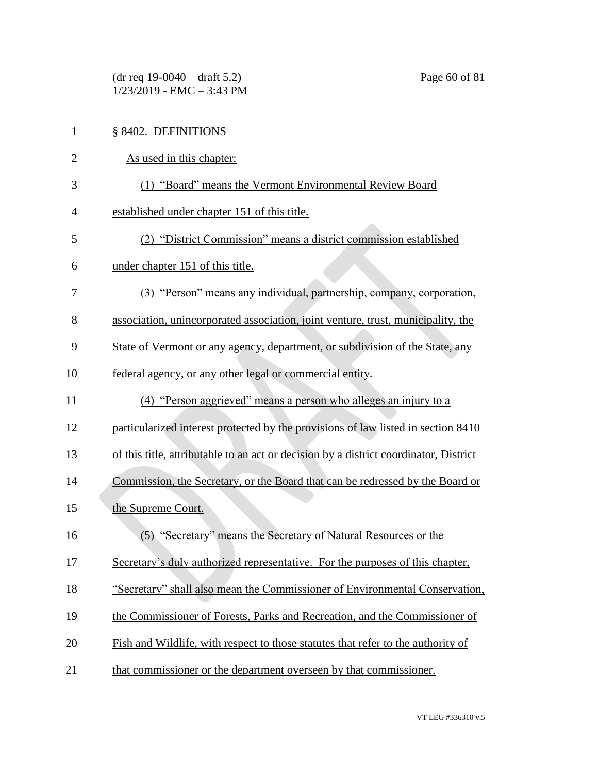(dr req 19-0040 – draft 5.2) Page 60 of 81 1/23/2019 - EMC – 3:43 PM

| $\mathbf{1}$   | § 8402. DEFINITIONS                                                                   |
|----------------|---------------------------------------------------------------------------------------|
| $\overline{2}$ | As used in this chapter:                                                              |
| 3              | (1) "Board" means the Vermont Environmental Review Board                              |
| $\overline{4}$ | established under chapter 151 of this title.                                          |
| 5              | (2) "District Commission" means a district commission established                     |
| 6              | under chapter 151 of this title.                                                      |
| 7              | (3) "Person" means any individual, partnership, company, corporation,                 |
| 8              | association, unincorporated association, joint venture, trust, municipality, the      |
| 9              | State of Vermont or any agency, department, or subdivision of the State, any          |
| 10             | federal agency, or any other legal or commercial entity.                              |
| 11             | (4) "Person aggrieved" means a person who alleges an injury to a                      |
| 12             | particularized interest protected by the provisions of law listed in section 8410     |
| 13             | of this title, attributable to an act or decision by a district coordinator, District |
| 14             | Commission, the Secretary, or the Board that can be redressed by the Board or         |
| 15             | the Supreme Court.                                                                    |
| 16             | (5) "Secretary" means the Secretary of Natural Resources or the                       |
| 17             | Secretary's duly authorized representative. For the purposes of this chapter,         |
| 18             | "Secretary" shall also mean the Commissioner of Environmental Conservation,           |
| 19             | the Commissioner of Forests, Parks and Recreation, and the Commissioner of            |
| 20             | Fish and Wildlife, with respect to those statutes that refer to the authority of      |
| 21             | that commissioner or the department overseen by that commissioner.                    |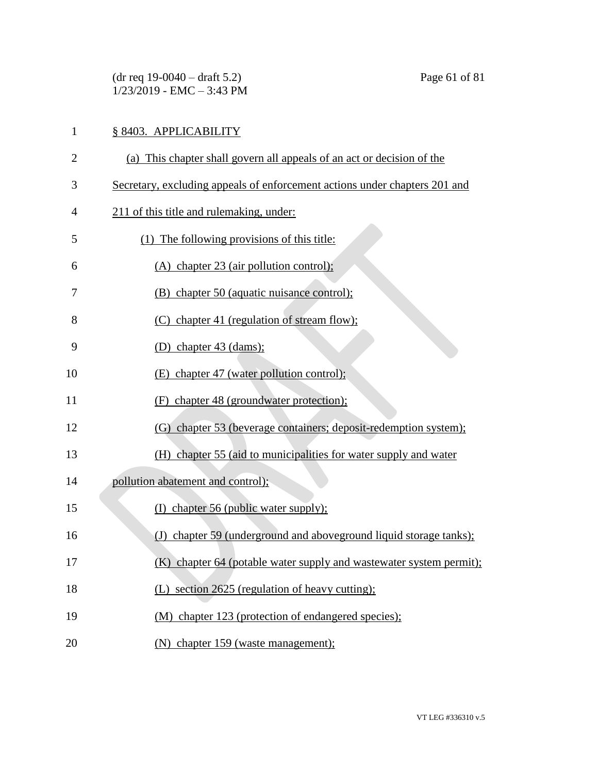(dr req 19-0040 – draft 5.2) Page 61 of 81 1/23/2019 - EMC – 3:43 PM

# § 8403. APPLICABILITY (a) This chapter shall govern all appeals of an act or decision of the Secretary, excluding appeals of enforcement actions under chapters 201 and 211 of this title and rulemaking, under: (1) The following provisions of this title: (A) chapter 23 (air pollution control); (B) chapter 50 (aquatic nuisance control); (C) chapter 41 (regulation of stream flow); (D) chapter 43 (dams); 10 (E) chapter 47 (water pollution control); (F) chapter 48 (groundwater protection); (G) chapter 53 (beverage containers; deposit-redemption system); (H) chapter 55 (aid to municipalities for water supply and water pollution abatement and control); 15 (I) chapter 56 (public water supply); 16 (J) chapter 59 (underground and above ground liquid storage tanks); (K) chapter 64 (potable water supply and wastewater system permit); 18 (L) section 2625 (regulation of heavy cutting); (M) chapter 123 (protection of endangered species); (N) chapter 159 (waste management);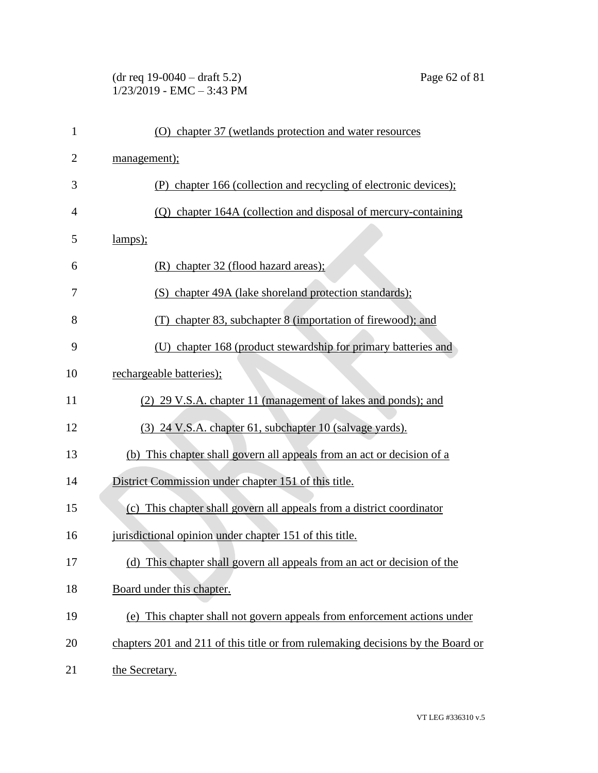#### (dr req 19-0040 – draft 5.2) Page 62 of 81 1/23/2019 - EMC – 3:43 PM

| $\mathbf{1}$   | (O) chapter 37 (wetlands protection and water resources                         |
|----------------|---------------------------------------------------------------------------------|
| $\overline{2}$ | management);                                                                    |
| 3              | chapter 166 (collection and recycling of electronic devices);<br>(P)            |
| $\overline{4}$ | (Q) chapter 164A (collection and disposal of mercury-containing                 |
| 5              | lamps);                                                                         |
| 6              | (R) chapter 32 (flood hazard areas);                                            |
| 7              | (S) chapter 49A (lake shoreland protection standards);                          |
| 8              | chapter 83, subchapter 8 (importation of firewood); and<br>(T)                  |
| 9              | chapter 168 (product stewardship for primary batteries and                      |
| 10             | rechargeable batteries);                                                        |
| 11             | (2) 29 V.S.A. chapter 11 (management of lakes and ponds); and                   |
| 12             | (3) 24 V.S.A. chapter 61, subchapter 10 (salvage yards).                        |
| 13             | (b) This chapter shall govern all appeals from an act or decision of a          |
| 14             | District Commission under chapter 151 of this title.                            |
| 15             | (c) This chapter shall govern all appeals from a district coordinator           |
| 16             | jurisdictional opinion under chapter 151 of this title.                         |
| 17             | (d) This chapter shall govern all appeals from an act or decision of the        |
| 18             | Board under this chapter.                                                       |
| 19             | (e) This chapter shall not govern appeals from enforcement actions under        |
| 20             | chapters 201 and 211 of this title or from rulemaking decisions by the Board or |
| 21             | the Secretary.                                                                  |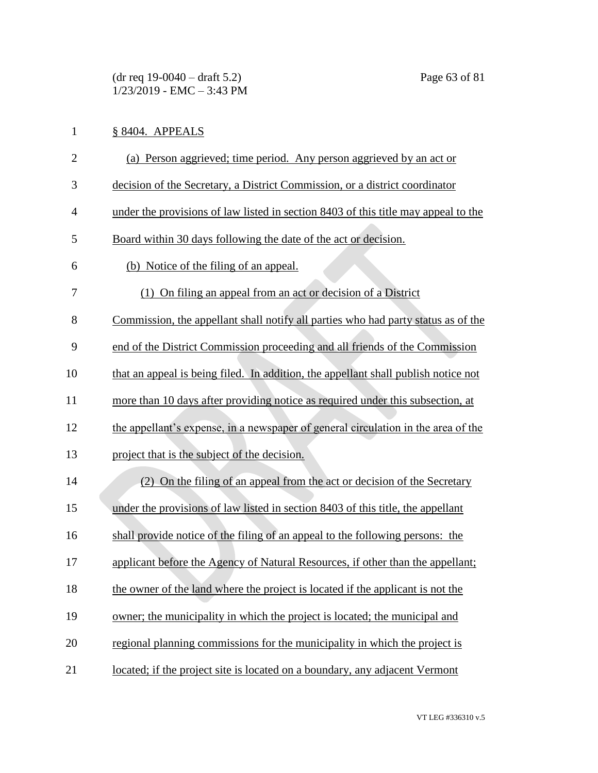(dr req 19-0040 – draft 5.2) Page 63 of 81 1/23/2019 - EMC – 3:43 PM

# 1 § 8404. APPEALS

| $\overline{2}$ | (a) Person aggrieved; time period. Any person aggrieved by an act or               |
|----------------|------------------------------------------------------------------------------------|
| 3              | decision of the Secretary, a District Commission, or a district coordinator        |
| $\overline{4}$ | under the provisions of law listed in section 8403 of this title may appeal to the |
| 5              | Board within 30 days following the date of the act or decision.                    |
| 6              | (b) Notice of the filing of an appeal.                                             |
| 7              | (1) On filing an appeal from an act or decision of a District                      |
| 8              | Commission, the appellant shall notify all parties who had party status as of the  |
| 9              | end of the District Commission proceeding and all friends of the Commission        |
| 10             | that an appeal is being filed. In addition, the appellant shall publish notice not |
| 11             | more than 10 days after providing notice as required under this subsection, at     |
| 12             | the appellant's expense, in a newspaper of general circulation in the area of the  |
| 13             | project that is the subject of the decision.                                       |
| 14             | (2) On the filing of an appeal from the act or decision of the Secretary           |
| 15             | under the provisions of law listed in section 8403 of this title, the appellant    |
| 16             | shall provide notice of the filing of an appeal to the following persons: the      |
| 17             | applicant before the Agency of Natural Resources, if other than the appellant;     |
| 18             | the owner of the land where the project is located if the applicant is not the     |
| 19             | owner; the municipality in which the project is located; the municipal and         |
| 20             | regional planning commissions for the municipality in which the project is         |
| 21             | located; if the project site is located on a boundary, any adjacent Vermont        |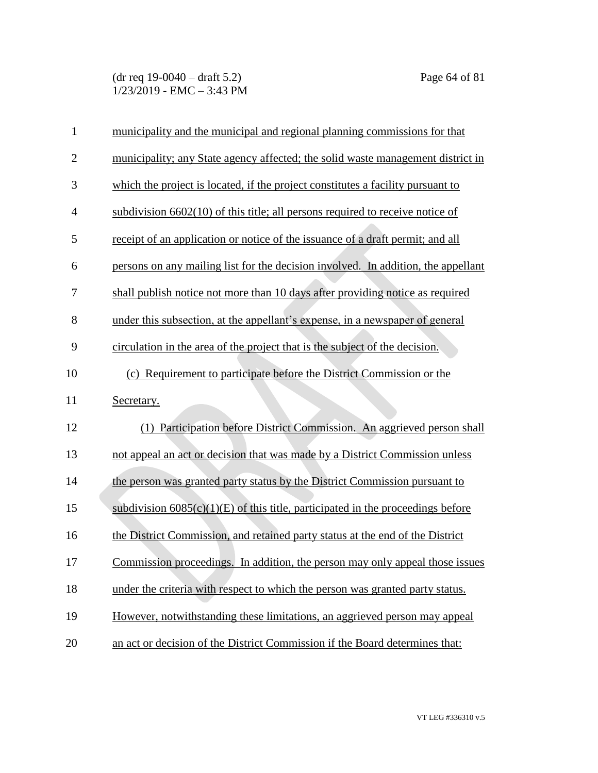(dr req 19-0040 – draft 5.2) Page 64 of 81 1/23/2019 - EMC – 3:43 PM

| $\mathbf{1}$   | municipality and the municipal and regional planning commissions for that           |
|----------------|-------------------------------------------------------------------------------------|
| $\overline{2}$ | municipality; any State agency affected; the solid waste management district in     |
| 3              | which the project is located, if the project constitutes a facility pursuant to     |
| $\overline{4}$ | subdivision $6602(10)$ of this title; all persons required to receive notice of     |
| 5              | receipt of an application or notice of the issuance of a draft permit; and all      |
| 6              | persons on any mailing list for the decision involved. In addition, the appellant   |
| 7              | shall publish notice not more than 10 days after providing notice as required       |
| 8              | under this subsection, at the appellant's expense, in a newspaper of general        |
| 9              | circulation in the area of the project that is the subject of the decision.         |
| 10             | (c) Requirement to participate before the District Commission or the                |
| 11             | Secretary.                                                                          |
| 12             | Participation before District Commission. An aggrieved person shall<br>(1)          |
| 13             | not appeal an act or decision that was made by a District Commission unless         |
| 14             | the person was granted party status by the District Commission pursuant to          |
| 15             | subdivision $6085(c)(1)(E)$ of this title, participated in the proceedings before   |
| 16             | the District Commission, and retained party status at the end of the District       |
| 17             | <u>Commission proceedings. In addition, the person may only appeal those issues</u> |
| 18             | under the criteria with respect to which the person was granted party status.       |
| 19             | However, notwithstanding these limitations, an aggrieved person may appeal          |
| 20             | an act or decision of the District Commission if the Board determines that:         |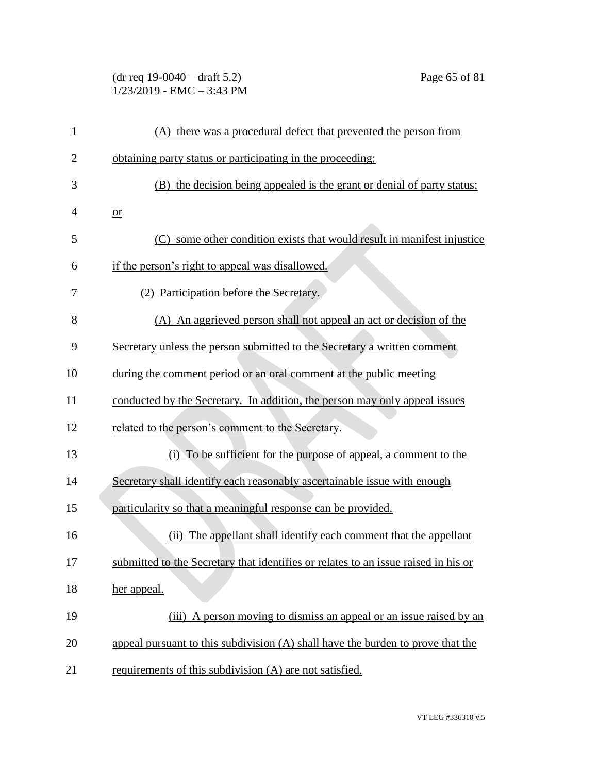| $(dr \text{ req } 19-0040 - draft 5.2)$ |  |
|-----------------------------------------|--|
| $1/23/2019$ - EMC $-3:43$ PM            |  |

| 1              | (A) there was a procedural defect that prevented the person from                   |
|----------------|------------------------------------------------------------------------------------|
| $\overline{c}$ | obtaining party status or participating in the proceeding;                         |
| 3              | (B) the decision being appealed is the grant or denial of party status;            |
| 4              | $or$                                                                               |
| 5              | some other condition exists that would result in manifest injustice<br>(C)         |
| 6              | if the person's right to appeal was disallowed.                                    |
| 7              | (2) Participation before the Secretary.                                            |
| 8              | (A) An aggrieved person shall not appeal an act or decision of the                 |
| 9              | Secretary unless the person submitted to the Secretary a written comment           |
| 10             | during the comment period or an oral comment at the public meeting                 |
| 11             | conducted by the Secretary. In addition, the person may only appeal issues         |
| 12             | related to the person's comment to the Secretary.                                  |
| 13             | (i) To be sufficient for the purpose of appeal, a comment to the                   |
| 14             | Secretary shall identify each reasonably ascertainable issue with enough           |
| 15             | particularity so that a meaningful response can be provided.                       |
| 16             | (ii) The appellant shall identify each comment that the appellant                  |
| 17             | submitted to the Secretary that identifies or relates to an issue raised in his or |
| 18             | her appeal.                                                                        |
| 19             | (iii) A person moving to dismiss an appeal or an issue raised by an                |
| 20             | appeal pursuant to this subdivision (A) shall have the burden to prove that the    |
| 21             | requirements of this subdivision (A) are not satisfied.                            |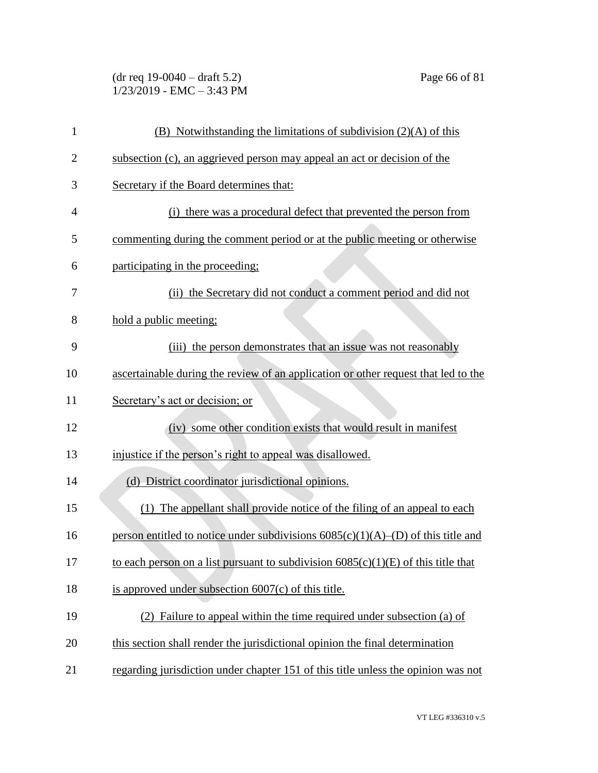| $(dr \text{ req } 19-0040 - draft 5.2)$ |  |
|-----------------------------------------|--|
| $1/23/2019$ - EMC $-3:43$ PM            |  |

| 1              | $(B)$ Notwithstanding the limitations of subdivision $(2)(A)$ of this               |
|----------------|-------------------------------------------------------------------------------------|
| $\overline{2}$ | subsection (c), an aggrieved person may appeal an act or decision of the            |
| 3              | Secretary if the Board determines that:                                             |
| 4              | (i) there was a procedural defect that prevented the person from                    |
| 5              | commenting during the comment period or at the public meeting or otherwise          |
| 6              | participating in the proceeding:                                                    |
| 7              | (ii) the Secretary did not conduct a comment period and did not                     |
| 8              | hold a public meeting;                                                              |
| 9              | (iii) the person demonstrates that an issue was not reasonably                      |
| 10             | ascertainable during the review of an application or other request that led to the  |
| 11             | Secretary's act or decision; or                                                     |
| 12             | (iv) some other condition exists that would result in manifest                      |
| 13             | injustice if the person's right to appeal was disallowed.                           |
| 14             | (d) District coordinator jurisdictional opinions.                                   |
| 15             | (1) The appellant shall provide notice of the filing of an appeal to each           |
| 16             | person entitled to notice under subdivisions $6085(c)(1)(A)$ –(D) of this title and |
| 17             | to each person on a list pursuant to subdivision $6085(c)(1)(E)$ of this title that |
| 18             | is approved under subsection $6007(c)$ of this title.                               |
| 19             | (2) Failure to appeal within the time required under subsection (a) of              |
| 20             | this section shall render the jurisdictional opinion the final determination        |
| 21             | regarding jurisdiction under chapter 151 of this title unless the opinion was not   |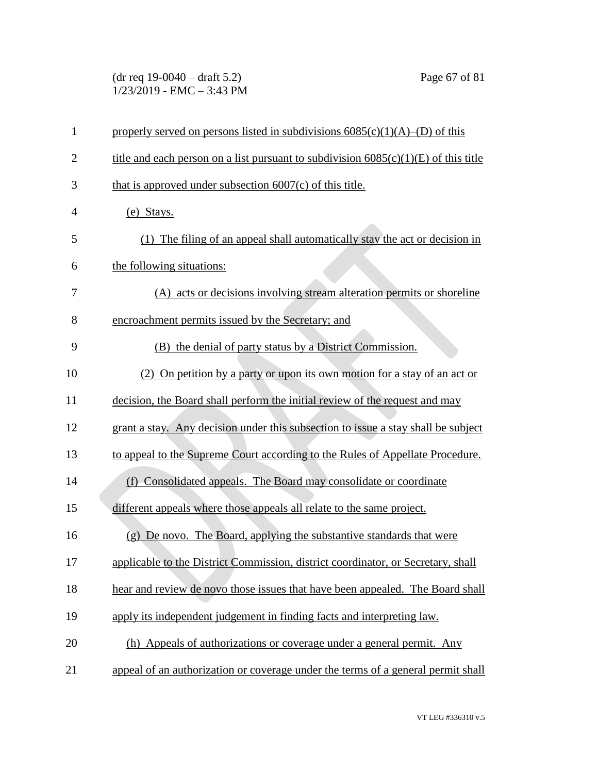(dr req 19-0040 – draft 5.2) Page 67 of 81  $1/23/2019$  - EMC - 3:43 PM

| $\mathbf{1}$   | properly served on persons listed in subdivisions $6085(c)(1)(A)$ –(D) of this        |
|----------------|---------------------------------------------------------------------------------------|
| $\overline{2}$ | title and each person on a list pursuant to subdivision $6085(c)(1)(E)$ of this title |
| 3              | that is approved under subsection $6007(c)$ of this title.                            |
| $\overline{4}$ | (e) Stays.                                                                            |
| 5              | (1) The filing of an appeal shall automatically stay the act or decision in           |
| 6              | the following situations:                                                             |
| 7              | (A) acts or decisions involving stream alteration permits or shoreline                |
| 8              | encroachment permits issued by the Secretary; and                                     |
| 9              | (B) the denial of party status by a District Commission.                              |
| 10             | (2) On petition by a party or upon its own motion for a stay of an act or             |
| 11             | decision, the Board shall perform the initial review of the request and may           |
| 12             | grant a stay. Any decision under this subsection to issue a stay shall be subject     |
| 13             | to appeal to the Supreme Court according to the Rules of Appellate Procedure.         |
| 14             | (f) Consolidated appeals. The Board may consolidate or coordinate                     |
| 15             | different appeals where those appeals all relate to the same project.                 |
| 16             | (g) De novo. The Board, applying the substantive standards that were                  |
| 17             | applicable to the District Commission, district coordinator, or Secretary, shall      |
| 18             | hear and review de novo those issues that have been appealed. The Board shall         |
| 19             | apply its independent judgement in finding facts and interpreting law.                |
| 20             | (h) Appeals of authorizations or coverage under a general permit. Any                 |
| 21             | appeal of an authorization or coverage under the terms of a general permit shall      |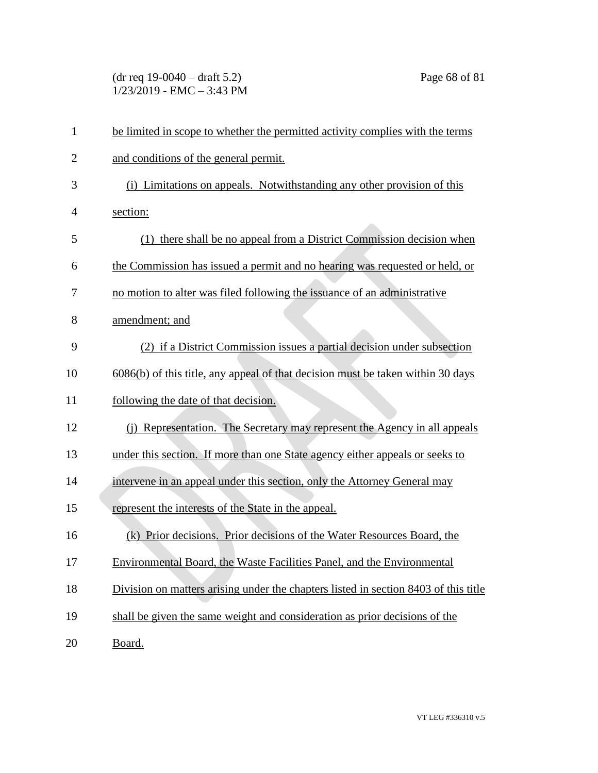(dr req 19-0040 – draft 5.2) Page 68 of 81  $1/23/2019$  - EMC - 3:43 PM

| $\mathbf{1}$   | be limited in scope to whether the permitted activity complies with the terms       |
|----------------|-------------------------------------------------------------------------------------|
| $\overline{2}$ | and conditions of the general permit.                                               |
| 3              | (i) Limitations on appeals. Notwithstanding any other provision of this             |
| 4              | section:                                                                            |
| 5              | (1) there shall be no appeal from a District Commission decision when               |
| 6              | the Commission has issued a permit and no hearing was requested or held, or         |
| 7              | no motion to alter was filed following the issuance of an administrative            |
| 8              | amendment; and                                                                      |
| 9              | (2) if a District Commission issues a partial decision under subsection             |
| 10             | 6086(b) of this title, any appeal of that decision must be taken within 30 days     |
| 11             | following the date of that decision.                                                |
| 12             | (i) Representation. The Secretary may represent the Agency in all appeals           |
| 13             | under this section. If more than one State agency either appeals or seeks to        |
| 14             | intervene in an appeal under this section, only the Attorney General may            |
| 15             | represent the interests of the State in the appeal.                                 |
| 16             | (k) Prior decisions. Prior decisions of the Water Resources Board, the              |
| 17             | Environmental Board, the Waste Facilities Panel, and the Environmental              |
| 18             | Division on matters arising under the chapters listed in section 8403 of this title |
| 19             | shall be given the same weight and consideration as prior decisions of the          |
| 20             | Board.                                                                              |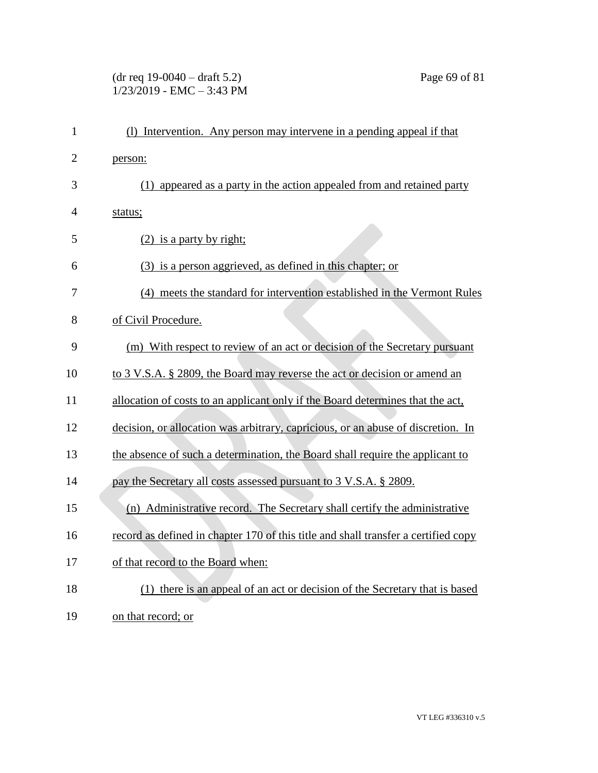#### (dr req 19-0040 – draft 5.2) Page 69 of 81 1/23/2019 - EMC – 3:43 PM

| $\mathbf{1}$   | (1) Intervention. Any person may intervene in a pending appeal if that             |
|----------------|------------------------------------------------------------------------------------|
| $\overline{2}$ | person:                                                                            |
| 3              | (1) appeared as a party in the action appealed from and retained party             |
| $\overline{4}$ | status;                                                                            |
| 5              | $(2)$ is a party by right;                                                         |
| 6              | (3) is a person aggrieved, as defined in this chapter; or                          |
| 7              | (4) meets the standard for intervention established in the Vermont Rules           |
| 8              | of Civil Procedure.                                                                |
| 9              | (m) With respect to review of an act or decision of the Secretary pursuant         |
| 10             | to 3 V.S.A. § 2809, the Board may reverse the act or decision or amend an          |
| 11             | allocation of costs to an applicant only if the Board determines that the act,     |
| 12             | decision, or allocation was arbitrary, capricious, or an abuse of discretion. In   |
| 13             | the absence of such a determination, the Board shall require the applicant to      |
| 14             | pay the Secretary all costs assessed pursuant to 3 V.S.A. § 2809.                  |
| 15             | (n) Administrative record. The Secretary shall certify the administrative          |
| 16             | record as defined in chapter 170 of this title and shall transfer a certified copy |
| 17             | of that record to the Board when:                                                  |
| 18             | (1) there is an appeal of an act or decision of the Secretary that is based        |
| 19             | on that record; or                                                                 |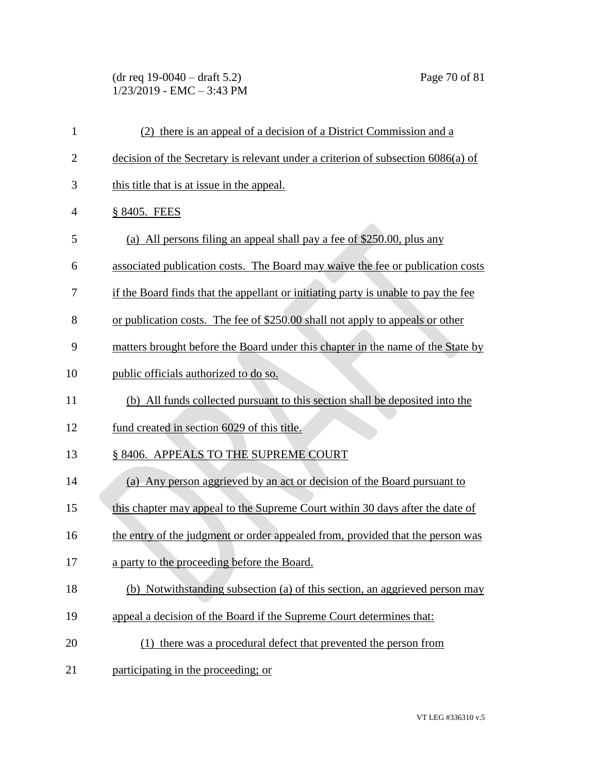# (dr req 19-0040 – draft 5.2) Page 70 of 81  $1/23/2019$  - EMC - 3:43 PM

| $\mathbf{1}$   | (2) there is an appeal of a decision of a District Commission and a                |
|----------------|------------------------------------------------------------------------------------|
| $\overline{2}$ | decision of the Secretary is relevant under a criterion of subsection 6086(a) of   |
| 3              | this title that is at issue in the appeal.                                         |
| $\overline{4}$ | § 8405. FEES                                                                       |
| 5              | (a) All persons filing an appeal shall pay a fee of \$250.00, plus any             |
| 6              | associated publication costs. The Board may waive the fee or publication costs     |
| 7              | if the Board finds that the appellant or initiating party is unable to pay the fee |
| 8              | or publication costs. The fee of \$250.00 shall not apply to appeals or other      |
| 9              | matters brought before the Board under this chapter in the name of the State by    |
| 10             | public officials authorized to do so.                                              |
| 11             | (b) All funds collected pursuant to this section shall be deposited into the       |
| 12             | fund created in section 6029 of this title.                                        |
| 13             | § 8406. APPEALS TO THE SUPREME COURT                                               |
| 14             | (a) Any person aggrieved by an act or decision of the Board pursuant to            |
| 15             | this chapter may appeal to the Supreme Court within 30 days after the date of      |
| 16             | the entry of the judgment or order appealed from, provided that the person was     |
| 17             | a party to the proceeding before the Board.                                        |
| 18             | (b) Notwithstanding subsection (a) of this section, an aggrieved person may        |
| 19             | appeal a decision of the Board if the Supreme Court determines that:               |
| 20             | (1) there was a procedural defect that prevented the person from                   |
| 21             | participating in the proceeding; or                                                |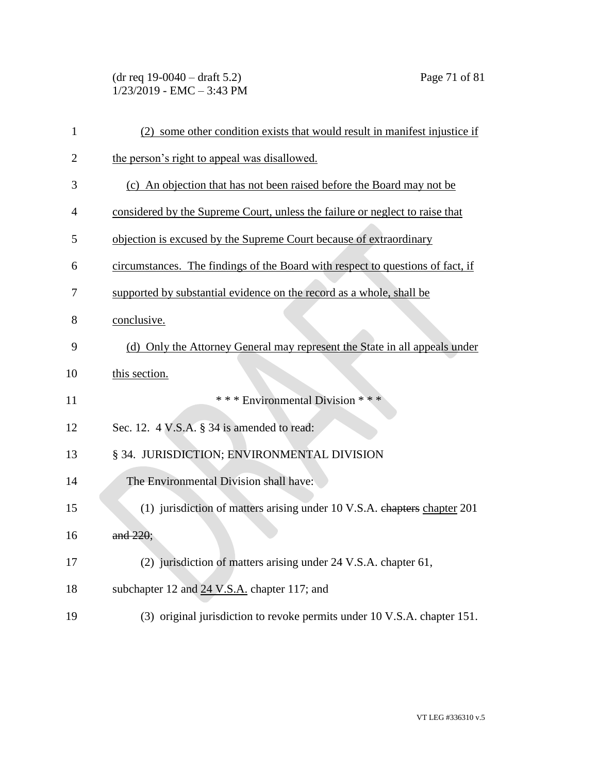(dr req 19-0040 – draft 5.2) Page 71 of 81  $1/23/2019$  - EMC - 3:43 PM

| $\mathbf{1}$   | (2) some other condition exists that would result in manifest injustice if     |
|----------------|--------------------------------------------------------------------------------|
| $\overline{2}$ | the person's right to appeal was disallowed.                                   |
| 3              | (c) An objection that has not been raised before the Board may not be          |
| 4              | considered by the Supreme Court, unless the failure or neglect to raise that   |
| 5              | objection is excused by the Supreme Court because of extraordinary             |
| 6              | circumstances. The findings of the Board with respect to questions of fact, if |
| 7              | supported by substantial evidence on the record as a whole, shall be           |
| 8              | conclusive.                                                                    |
| 9              | (d) Only the Attorney General may represent the State in all appeals under     |
| 10             | this section.                                                                  |
| 11             | *** Environmental Division ***                                                 |
| 12             | Sec. 12. 4 V.S.A. § 34 is amended to read:                                     |
| 13             | § 34. JURISDICTION; ENVIRONMENTAL DIVISION                                     |
| 14             | The Environmental Division shall have:                                         |
| 15             | (1) jurisdiction of matters arising under 10 V.S.A. chapters chapter 201       |
| 16             | and 220;                                                                       |
| 17             | (2) jurisdiction of matters arising under 24 V.S.A. chapter 61,                |
| 18             | subchapter 12 and 24 V.S.A. chapter 117; and                                   |
| 19             | (3) original jurisdiction to revoke permits under 10 V.S.A. chapter 151.       |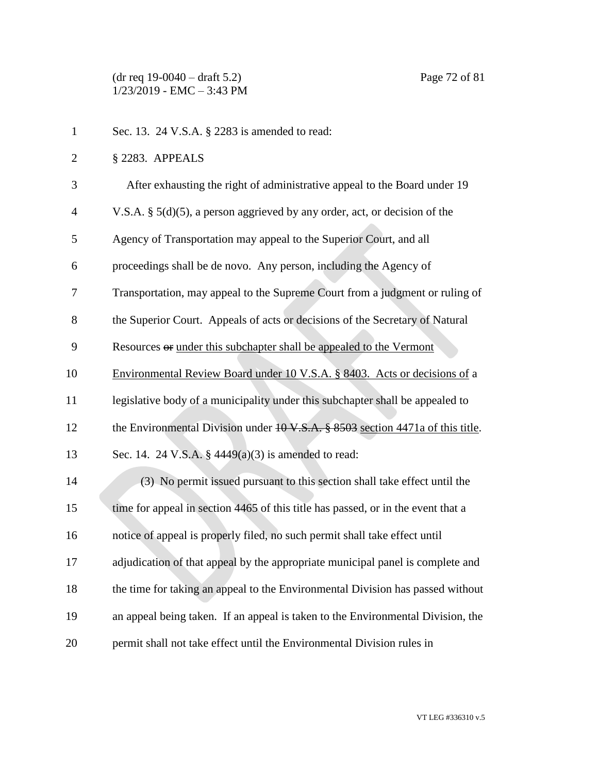(dr req 19-0040 – draft 5.2) Page 72 of 81 1/23/2019 - EMC – 3:43 PM

| $\mathbf{1}$   | Sec. 13. 24 V.S.A. § 2283 is amended to read:                                    |
|----------------|----------------------------------------------------------------------------------|
| $\overline{2}$ | § 2283. APPEALS                                                                  |
| 3              | After exhausting the right of administrative appeal to the Board under 19        |
| 4              | V.S.A. $\S$ 5(d)(5), a person aggrieved by any order, act, or decision of the    |
| 5              | Agency of Transportation may appeal to the Superior Court, and all               |
| 6              | proceedings shall be de novo. Any person, including the Agency of                |
| 7              | Transportation, may appeal to the Supreme Court from a judgment or ruling of     |
| 8              | the Superior Court. Appeals of acts or decisions of the Secretary of Natural     |
| 9              | Resources or under this subchapter shall be appealed to the Vermont              |
| 10             | Environmental Review Board under 10 V.S.A. § 8403. Acts or decisions of a        |
| 11             | legislative body of a municipality under this subchapter shall be appealed to    |
| 12             | the Environmental Division under 10 V.S.A. § 8503 section 4471a of this title.   |
| 13             | Sec. 14. 24 V.S.A. § $4449(a)(3)$ is amended to read:                            |
| 14             | (3) No permit issued pursuant to this section shall take effect until the        |
| 15             | time for appeal in section 4465 of this title has passed, or in the event that a |
| 16             | notice of appeal is properly filed, no such permit shall take effect until       |
| 17             | adjudication of that appeal by the appropriate municipal panel is complete and   |
| 18             | the time for taking an appeal to the Environmental Division has passed without   |
| 19             | an appeal being taken. If an appeal is taken to the Environmental Division, the  |
| 20             | permit shall not take effect until the Environmental Division rules in           |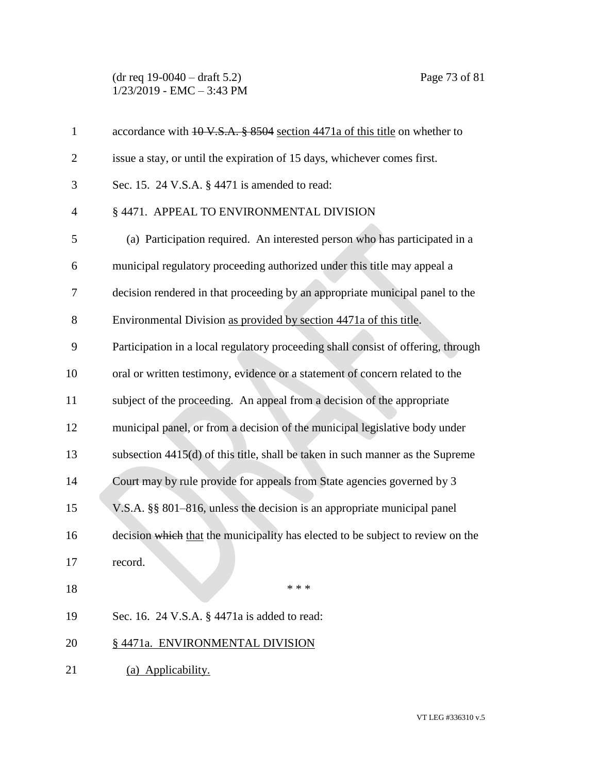(dr req 19-0040 – draft 5.2) Page 73 of 81 1/23/2019 - EMC – 3:43 PM

| $\mathbf{1}$   | accordance with $10 \text{ V.S.A.}$ \$ 8504 section 4471a of this title on whether to |
|----------------|---------------------------------------------------------------------------------------|
| $\overline{2}$ | issue a stay, or until the expiration of 15 days, whichever comes first.              |
| 3              | Sec. 15. 24 V.S.A. § 4471 is amended to read:                                         |
| 4              | § 4471. APPEAL TO ENVIRONMENTAL DIVISION                                              |
| 5              | (a) Participation required. An interested person who has participated in a            |
| 6              | municipal regulatory proceeding authorized under this title may appeal a              |
| 7              | decision rendered in that proceeding by an appropriate municipal panel to the         |
| 8              | Environmental Division as provided by section 4471a of this title.                    |
| 9              | Participation in a local regulatory proceeding shall consist of offering, through     |
| 10             | oral or written testimony, evidence or a statement of concern related to the          |
| 11             | subject of the proceeding. An appeal from a decision of the appropriate               |
| 12             | municipal panel, or from a decision of the municipal legislative body under           |
| 13             | subsection 4415(d) of this title, shall be taken in such manner as the Supreme        |
| 14             | Court may by rule provide for appeals from State agencies governed by 3               |
| 15             | V.S.A. §§ 801–816, unless the decision is an appropriate municipal panel              |
| 16             | decision which that the municipality has elected to be subject to review on the       |
| 17             | record.                                                                               |
| 18             | * * *                                                                                 |
| 19             | Sec. 16. 24 V.S.A. § 4471a is added to read:                                          |
| 20             | § 4471a. ENVIRONMENTAL DIVISION                                                       |
| 21             | (a) Applicability.                                                                    |
|                |                                                                                       |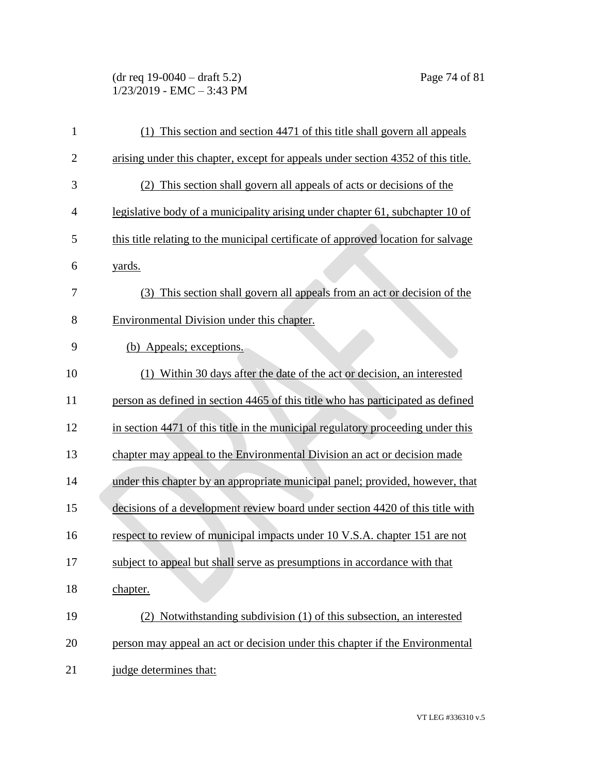(dr req 19-0040 – draft 5.2) Page 74 of 81 1/23/2019 - EMC – 3:43 PM

| $\mathbf{1}$   | (1) This section and section 4471 of this title shall govern all appeals          |
|----------------|-----------------------------------------------------------------------------------|
| $\overline{2}$ | arising under this chapter, except for appeals under section 4352 of this title.  |
| 3              | (2) This section shall govern all appeals of acts or decisions of the             |
| $\overline{4}$ | legislative body of a municipality arising under chapter 61, subchapter 10 of     |
| 5              | this title relating to the municipal certificate of approved location for salvage |
| 6              | yards.                                                                            |
| 7              | (3) This section shall govern all appeals from an act or decision of the          |
| 8              | Environmental Division under this chapter.                                        |
| 9              | (b) Appeals; exceptions.                                                          |
| 10             | (1) Within 30 days after the date of the act or decision, an interested           |
| 11             | person as defined in section 4465 of this title who has participated as defined   |
| 12             | in section 4471 of this title in the municipal regulatory proceeding under this   |
| 13             | chapter may appeal to the Environmental Division an act or decision made          |
| 14             | under this chapter by an appropriate municipal panel; provided, however, that     |
| 15             | decisions of a development review board under section 4420 of this title with     |
| 16             | respect to review of municipal impacts under 10 V.S.A. chapter 151 are not        |
| 17             | subject to appeal but shall serve as presumptions in accordance with that         |
| 18             | chapter.                                                                          |
| 19             | (2) Notwithstanding subdivision (1) of this subsection, an interested             |
| 20             | person may appeal an act or decision under this chapter if the Environmental      |
| 21             | judge determines that:                                                            |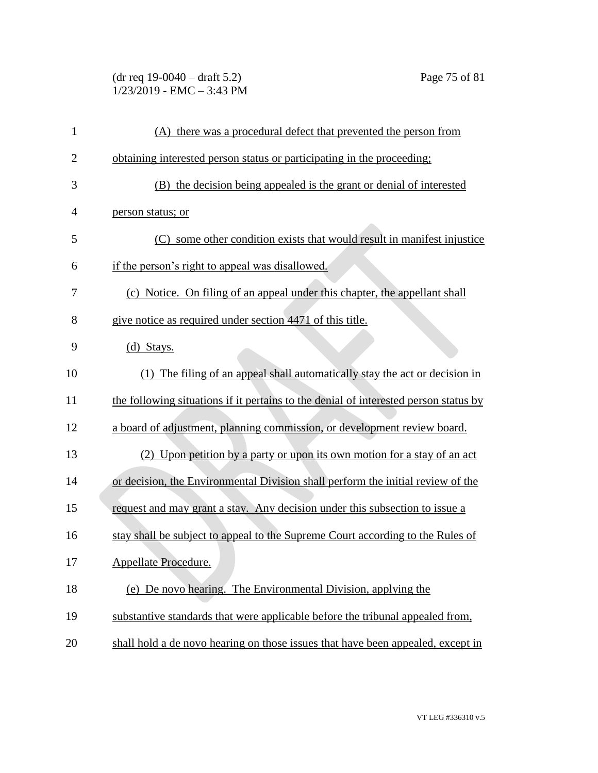(dr req 19-0040 – draft 5.2) Page 75 of 81 1/23/2019 - EMC – 3:43 PM

| 1              | (A) there was a procedural defect that prevented the person from                     |
|----------------|--------------------------------------------------------------------------------------|
| $\overline{c}$ | obtaining interested person status or participating in the proceeding;               |
| 3              | (B) the decision being appealed is the grant or denial of interested                 |
| $\overline{4}$ | person status; or                                                                    |
| 5              | (C) some other condition exists that would result in manifest injustice              |
| 6              | if the person's right to appeal was disallowed.                                      |
| 7              | (c) Notice. On filing of an appeal under this chapter, the appellant shall           |
| 8              | give notice as required under section 4471 of this title.                            |
| 9              | (d) Stays.                                                                           |
| 10             | (1) The filing of an appeal shall automatically stay the act or decision in          |
| 11             | the following situations if it pertains to the denial of interested person status by |
| 12             | a board of adjustment, planning commission, or development review board.             |
| 13             | (2) Upon petition by a party or upon its own motion for a stay of an act             |
| 14             | or decision, the Environmental Division shall perform the initial review of the      |
| 15             | request and may grant a stay. Any decision under this subsection to issue a          |
| 16             | stay shall be subject to appeal to the Supreme Court according to the Rules of       |
| 17             | Appellate Procedure.                                                                 |
| 18             | (e) De novo hearing. The Environmental Division, applying the                        |
| 19             | substantive standards that were applicable before the tribunal appealed from,        |
| 20             | shall hold a de novo hearing on those issues that have been appealed, except in      |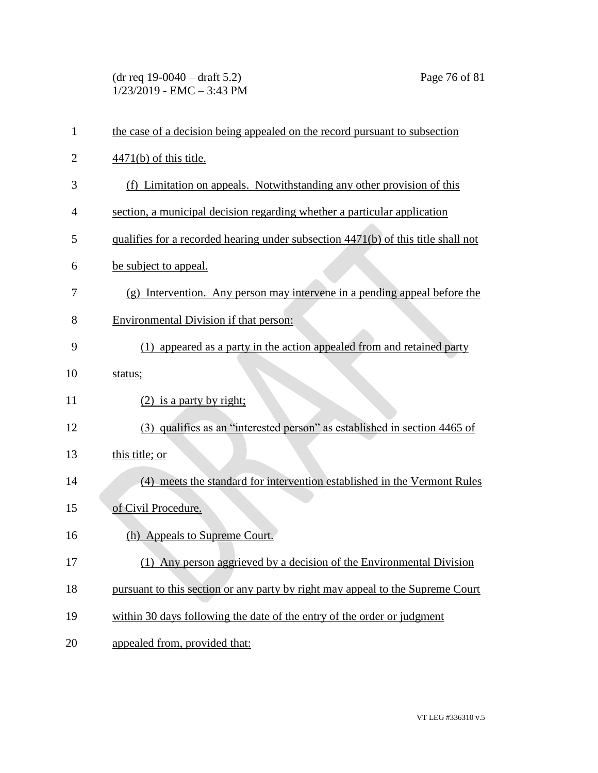(dr req 19-0040 – draft 5.2) Page 76 of 81 1/23/2019 - EMC – 3:43 PM

| $\mathbf{1}$   | the case of a decision being appealed on the record pursuant to subsection        |
|----------------|-----------------------------------------------------------------------------------|
| $\overline{2}$ | $\frac{4471(b)}{6}$ of this title.                                                |
| 3              | (f) Limitation on appeals. Notwithstanding any other provision of this            |
| 4              | section, a municipal decision regarding whether a particular application          |
| 5              | qualifies for a recorded hearing under subsection 4471(b) of this title shall not |
| 6              | be subject to appeal.                                                             |
| 7              | (g) Intervention. Any person may intervene in a pending appeal before the         |
| 8              | Environmental Division if that person:                                            |
| 9              | (1) appeared as a party in the action appealed from and retained party            |
| 10             | status;                                                                           |
| 11             | $(2)$ is a party by right;                                                        |
| 12             | (3) qualifies as an "interested person" as established in section 4465 of         |
| 13             | this title; or                                                                    |
| 14             | (4) meets the standard for intervention established in the Vermont Rules          |
| 15             | of Civil Procedure.                                                               |
| 16             | (h) Appeals to Supreme Court.                                                     |
| 17             | (1) Any person aggrieved by a decision of the Environmental Division              |
| 18             | pursuant to this section or any party by right may appeal to the Supreme Court    |
| 19             | within 30 days following the date of the entry of the order or judgment           |
| 20             | appealed from, provided that:                                                     |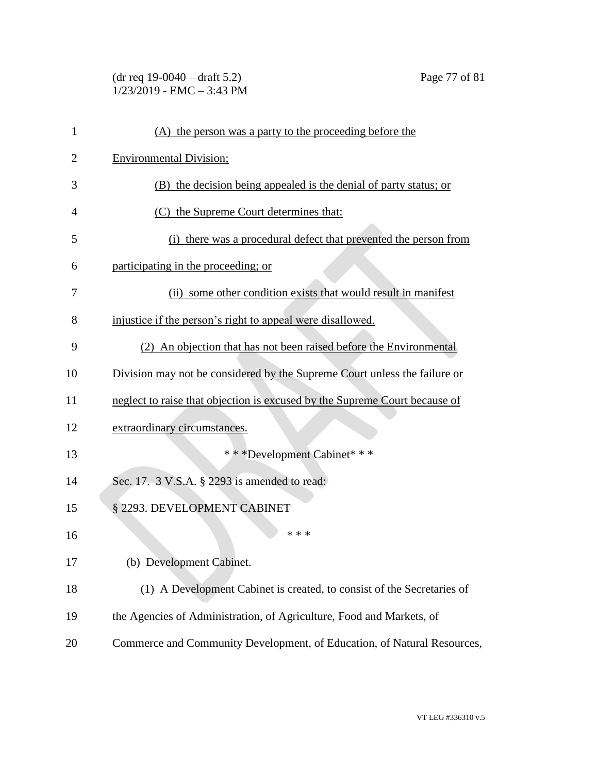## (dr req 19-0040 – draft 5.2) Page 77 of 81 1/23/2019 - EMC – 3:43 PM

| 1              | (A) the person was a party to the proceeding before the                    |
|----------------|----------------------------------------------------------------------------|
| $\overline{2}$ | <b>Environmental Division;</b>                                             |
| 3              | (B) the decision being appealed is the denial of party status; or          |
| 4              | (C) the Supreme Court determines that:                                     |
| 5              | (i) there was a procedural defect that prevented the person from           |
| 6              | participating in the proceeding; or                                        |
| 7              | (ii) some other condition exists that would result in manifest             |
| 8              | injustice if the person's right to appeal were disallowed.                 |
| 9              | (2) An objection that has not been raised before the Environmental         |
| 10             | Division may not be considered by the Supreme Court unless the failure or  |
| 11             | neglect to raise that objection is excused by the Supreme Court because of |
| 12             | extraordinary circumstances.                                               |
| 13             | * * * Development Cabinet * * *                                            |
| 14             | Sec. 17. 3 V.S.A. § 2293 is amended to read:                               |
| 15             | § 2293. DEVELOPMENT CABINET                                                |
| 16             | * * *                                                                      |
| 17             | (b) Development Cabinet.                                                   |
| 18             | (1) A Development Cabinet is created, to consist of the Secretaries of     |
| 19             | the Agencies of Administration, of Agriculture, Food and Markets, of       |
| 20             | Commerce and Community Development, of Education, of Natural Resources,    |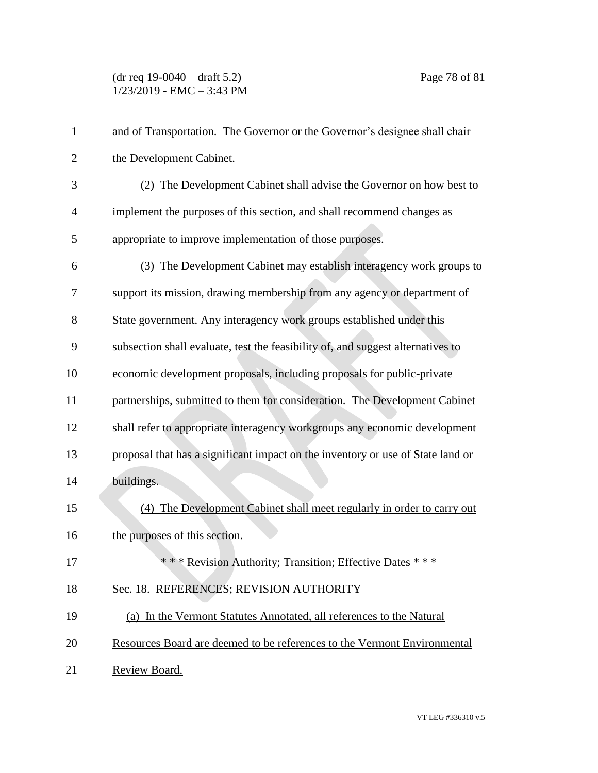## (dr req 19-0040 – draft 5.2) Page 78 of 81 1/23/2019 - EMC – 3:43 PM

| $\mathbf{1}$   | and of Transportation. The Governor or the Governor's designee shall chair      |
|----------------|---------------------------------------------------------------------------------|
| $\overline{2}$ | the Development Cabinet.                                                        |
| 3              | (2) The Development Cabinet shall advise the Governor on how best to            |
| $\overline{4}$ | implement the purposes of this section, and shall recommend changes as          |
| 5              | appropriate to improve implementation of those purposes.                        |
| 6              | (3) The Development Cabinet may establish interagency work groups to            |
| 7              | support its mission, drawing membership from any agency or department of        |
| 8              | State government. Any interagency work groups established under this            |
| 9              | subsection shall evaluate, test the feasibility of, and suggest alternatives to |
| 10             | economic development proposals, including proposals for public-private          |
| 11             | partnerships, submitted to them for consideration. The Development Cabinet      |
| 12             | shall refer to appropriate interagency workgroups any economic development      |
| 13             | proposal that has a significant impact on the inventory or use of State land or |
| 14             | buildings.                                                                      |
| 15             | (4) The Development Cabinet shall meet regularly in order to carry out          |
| 16             | the purposes of this section.                                                   |
| 17             | *** Revision Authority; Transition; Effective Dates ***                         |
| 18             | Sec. 18. REFERENCES; REVISION AUTHORITY                                         |
| 19             | (a) In the Vermont Statutes Annotated, all references to the Natural            |
| 20             | Resources Board are deemed to be references to the Vermont Environmental        |
| 21             | Review Board.                                                                   |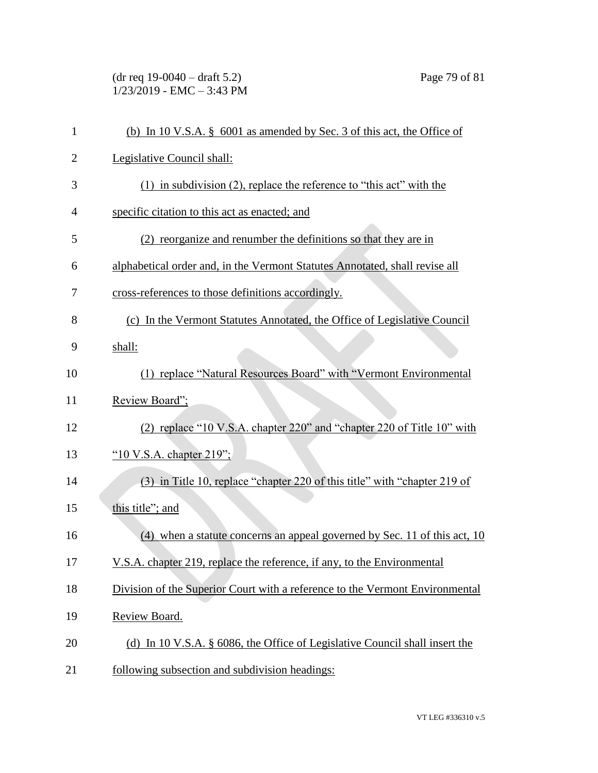(dr req 19-0040 – draft 5.2) Page 79 of 81 1/23/2019 - EMC – 3:43 PM

| $\mathbf{1}$   | (b) In 10 V.S.A. $\S$ 6001 as amended by Sec. 3 of this act, the Office of   |
|----------------|------------------------------------------------------------------------------|
| $\overline{2}$ | Legislative Council shall:                                                   |
| 3              | $(1)$ in subdivision $(2)$ , replace the reference to "this act" with the    |
| 4              | specific citation to this act as enacted; and                                |
| 5              | (2) reorganize and renumber the definitions so that they are in              |
| 6              | alphabetical order and, in the Vermont Statutes Annotated, shall revise all  |
| 7              | cross-references to those definitions accordingly.                           |
| 8              | (c) In the Vermont Statutes Annotated, the Office of Legislative Council     |
| 9              | shall:                                                                       |
| 10             | (1) replace "Natural Resources Board" with "Vermont Environmental            |
| 11             | Review Board";                                                               |
| 12             | (2) replace "10 V.S.A. chapter 220" and "chapter 220 of Title 10" with       |
| 13             | " $10$ V.S.A. chapter 219";                                                  |
| 14             | (3) in Title 10, replace "chapter 220 of this title" with "chapter 219 of    |
| 15             | this title"; and                                                             |
| 16             | (4) when a statute concerns an appeal governed by Sec. 11 of this act, 10    |
| 17             | V.S.A. chapter 219, replace the reference, if any, to the Environmental      |
| 18             | Division of the Superior Court with a reference to the Vermont Environmental |
| 19             | Review Board.                                                                |
| 20             | (d) In 10 V.S.A. § 6086, the Office of Legislative Council shall insert the  |
| 21             | following subsection and subdivision headings:                               |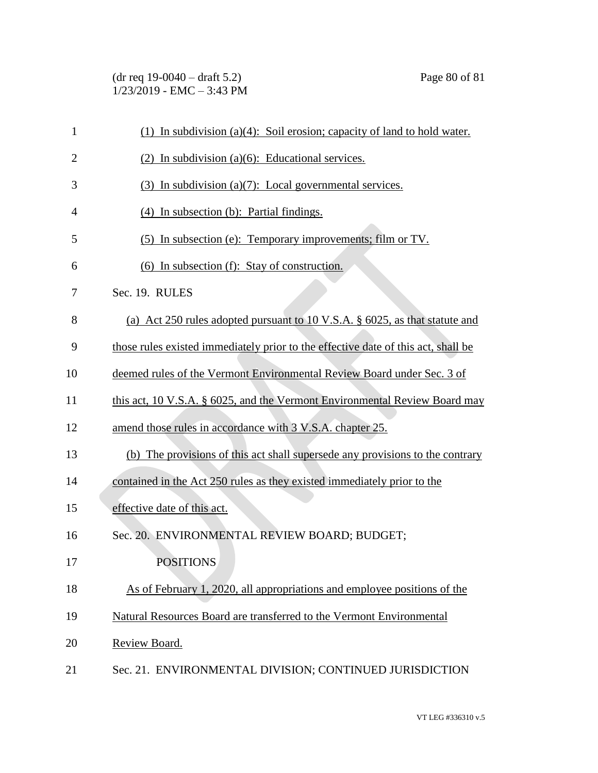(dr req 19-0040 – draft 5.2) Page 80 of 81 1/23/2019 - EMC – 3:43 PM

| $\mathbf{1}$   | (1) In subdivision (a)(4): Soil erosion; capacity of land to hold water.          |
|----------------|-----------------------------------------------------------------------------------|
| $\overline{2}$ | $(2)$ In subdivision (a)(6): Educational services.                                |
| 3              | $(3)$ In subdivision (a) $(7)$ : Local governmental services.                     |
| $\overline{4}$ | (4) In subsection (b): Partial findings.                                          |
| 5              | (5) In subsection (e): Temporary improvements; film or TV.                        |
| 6              | (6) In subsection (f): Stay of construction.                                      |
| 7              | Sec. 19. RULES                                                                    |
| 8              | (a) Act 250 rules adopted pursuant to 10 V.S.A. § 6025, as that statute and       |
| 9              | those rules existed immediately prior to the effective date of this act, shall be |
| 10             | deemed rules of the Vermont Environmental Review Board under Sec. 3 of            |
| 11             | this act, 10 V.S.A. § 6025, and the Vermont Environmental Review Board may        |
| 12             | amend those rules in accordance with 3 V.S.A. chapter 25.                         |
| 13             | (b) The provisions of this act shall supersede any provisions to the contrary     |
| 14             | contained in the Act 250 rules as they existed immediately prior to the           |
| 15             | effective date of this act.                                                       |
| 16             | Sec. 20. ENVIRONMENTAL REVIEW BOARD; BUDGET;                                      |
| 17             | <b>POSITIONS</b>                                                                  |
| 18             | As of February 1, 2020, all appropriations and employee positions of the          |
| 19             | Natural Resources Board are transferred to the Vermont Environmental              |
| 20             | Review Board.                                                                     |
| 21             | Sec. 21. ENVIRONMENTAL DIVISION; CONTINUED JURISDICTION                           |